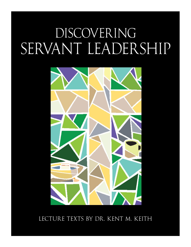## DISCOVERING SERVANT LEADERSHIP



LECTURE TEXTS BY DR. KENT M. KEITH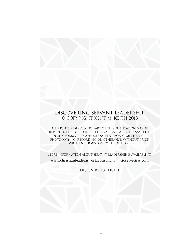#### Discovering Servant Leadership © Copyright Kent M. Keith 2018

All rights reserved. No part of this publication may be reproduced, stored in a retrieval system, or transmitted in any form or by any means, electronic, mechanical photocopying, recording or otherwise, without prior written permission by the author.

More information about servant leadership is available at

**www.christianleaderatwork.com** and **www.toservefirst.com**

Design by Joe Hunt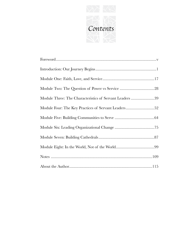

| Module Three: The Characteristics of Servant Leaders 39 |
|---------------------------------------------------------|
| Module Four: The Key Practices of Servant Leaders52     |
|                                                         |
|                                                         |
|                                                         |
|                                                         |
|                                                         |
|                                                         |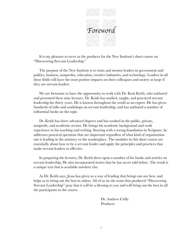

It is my pleasure to serve as the producer for the New Institute's short course on "Discovering Servant Leadership."

The purpose of the New Institute is to train and mentor leaders in government and politics, business, nonprofits, education, creative industries, and technology. Leaders in all these fields will have the most positive impacts on their colleagues and society at large if they are servant leaders.

We are fortunate to have the opportunity to work with Dr. Kent Keith, who authored and presented these nine lectures. Dr. Keith has studied, taught, and practiced servant leadership for thirty years. He is known throughout the world as an expert. He has given hundreds of talks and workshops on servant leadership, and has authored a number of influential books on the topic.

Dr. Keith has three advanced degrees and has worked in the public, private, nonprofit, and academic sectors. He brings his academic background and work experience to his teaching and writing. Starting with a strong foundation in Scripture, he addresses practical questions that are important regardless of what kind of organization one is leading in the ministry or the marketplace. The modules in this short course are essentially about how to be a servant leader and apply the principles and practices that make servant leaders so effective.

In preparing the lectures, Dr. Keith drew upon a number of his books and articles on servant leadership. He also incorporated stories that he has never told before. The result is a unique text that is available nowhere else.

As Dr. Keith says, Jesus has given us a way of leading that brings out our best, and helps us to bring out the best in others. All of us on the team that produced "Discovering Servant Leadership" pray that it will be a blessing to you and will bring out the best in all the participants in the course.

> Dr. Andrew Crilly Producer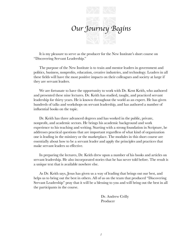# *Our Journey Begins*

It is my pleasure to serve as the producer for the New Institute's short course on "Discovering Servant Leadership."

The purpose of the New Institute is to train and mentor leaders in government and politics, business, nonprofits, education, creative industries, and technology. Leaders in all these fields will have the most positive impacts on their colleagues and society at large if they are servant leaders.

We are fortunate to have the opportunity to work with Dr. Kent Keith, who authored and presented these nine lectures. Dr. Keith has studied, taught, and practiced servant leadership for thirty years. He is known throughout the world as an expert. He has given hundreds of talks and workshops on servant leadership, and has authored a number of influential books on the topic.

Dr. Keith has three advanced degrees and has worked in the public, private, nonprofit, and academic sectors. He brings his academic background and work experience to his teaching and writing. Starting with a strong foundation in Scripture, he addresses practical questions that are important regardless of what kind of organization one is leading in the ministry or the marketplace. The modules in this short course are essentially about how to be a servant leader and apply the principles and practices that make servant leaders so effective.

In preparing the lectures, Dr. Keith drew upon a number of his books and articles on servant leadership. He also incorporated stories that he has never told before. The result is a unique text that is available nowhere else.

As Dr. Keith says, Jesus has given us a way of leading that brings out our best, and helps us to bring out the best in others. All of us on the team that produced "Discovering Servant Leadership" pray that it will be a blessing to you and will bring out the best in all the participants in the course.

> Dr. Andrew Crilly Producer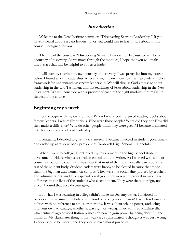#### *Introduction*

Welcome to the New Institute course on "Discovering Servant Leadership." If you haven't heard about servant leadership, or you would like to learn more about it, this course is designed for you.

The title of the course is "Discovering Servant Leadership" because we will be on a journey of discovery. As we move through the modules, I hope that you will make discoveries that will be helpful to you as a leader.

I will start by sharing my own journey of discovery. I was pretty far into my career before I found servant leadership. After sharing my own journey, I will provide a Biblical framework for understanding servant leadership. We will discuss God's message about leadership in the Old Testament and the teachings of Jesus about leadership in the New Testament. We will conclude with a preview of each of the eight modules that make up the rest of the course.

#### **Beginning my search**

Let me begin with my own journey. When I was a boy, I enjoyed reading books about famous leaders. I was really curious. Who were those people? What did they do? How did they make a difference? Why do other people think they were great? I became fascinated with leaders and the idea of leadership.

Eventually, I decided to give it a try, myself. I became involved in student government, and ended up as student body president at Roosevelt High School in Honolulu.

When I went to college, I continued my involvement in the high school student government field, serving as a speaker, consultant, and writer. As I worked with student councils around the country, it was clear that most of them didn't really care about the rest of the student body. Student leaders were happy to be elected because that made them the big men and women on campus. They were the social elite, praised by teachers and administrators, and given special privileges. They weren't interested in making a difference in the lives of the students who elected them. They were there to reign, not serve. I found that very discouraging.

But what I was learning in college didn't make me feel any better. I majored in American Government. Scholars were fond of talking about *realpolitik*, which is basically politics with no reference to ethics or morality. It was about seizing power, and using it to your own advantage, whether it was right or wrong. They admired Machiavelli, who centuries ago advised Italian princes on how to gain power by being deceitful and immoral. My classmates thought that was very sophisticated. I thought it was very wrong. Leaders should be moral, and they should have moral purposes.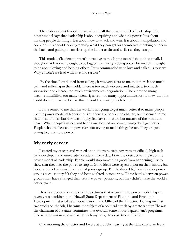These ideas about leadership are what I call the power model of leadership. The power model says that leadership is about acquiring and wielding power. It is about making people do things. It is about how to attack and win. It is about manipulation and coercion. It is about leaders grabbing what they can get for themselves, stabbing others in the back, and pulling themselves up the ladder as far and as fast as they can go.

This model of leadership wasn't attractive to me. It was too selfish and too small. I thought that leadership ought to be bigger than just grabbing power for oneself. It ought to be about loving and helping others. Jesus commanded us to love and called us to serve. Why couldn't we lead with love and service?

 By the time I graduated from college, it was very clear to me that there is too much pain and suffering in the world. There is too much violence and injustice, too much starvation and disease, too much environmental degradation. There are too many dreams unfulfilled, too many talents ignored, too many opportunities lost. I knew that the world does not have to be like this. It could be much, much better.

But it seemed to me that the world is not going to get much better if so many people use the power model of leadership. Yes, there are barriers to change, but it seemed to me that most of those barriers are not physical laws of nature but matters of the mind and heart. When people's minds and hearts are focused on power, things don't get better. People who are focused on power are not trying to make things better. They are just trying to grab more power.

#### **My early career**

I started my career, and worked as an attorney, state government official, high tech park developer, and university president. Every day, I saw the destructive impact of the power model of leadership. People would stop something good from happening, just to show that they had the power to stop it. Good ideas were rejected, not on their merits, but because the ideas came from a rival power group. People started fights with other power groups because they felt they had been slighted in some way. These battles between power groups may have changed their relative power positions, but they didn't make the world a better place.

Here is a personal example of the pettiness that occurs in the power model. I spent seven years working in the Hawaii State Department of Planning and Economic Development. I started as a Coordinator in the Office of the Director. During my first two weeks on the job, I became the subject of a political attack by a state senator. He was the chairman of a Senate committee that oversaw some of our department's programs. The senator was in a power battle with my boss, the department director.

One morning the director and I were at a public hearing at the state capitol in front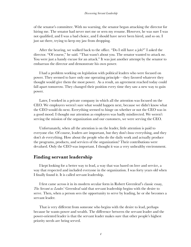of the senator's committee. With no warning, the senator began attacking the director for hiring me. The senator had never met me or seen my resume. However, he was sure I was not qualified, and I was a bad choice, and I should have never been hired, and so on. I just sat there, trying to keep my jaw from dropping.

After the hearing, we walked back to the office. "Do I still have a job?" I asked the director. "Of course," he said. "That wasn't about you. The senator wanted to attack *me*. You were just a handy excuse for an attack." It was just another attempt by the senator to embarrass the director and demonstrate his own power.

I had a problem working on legislation with political leaders who were focused on power. They seemed to have only one operating principle—they favored whatever they thought would give them the most power. As a result, an agreement reached today could fall apart tomorrow. They changed their position every time they saw a new way to gain power.

Later, I worked in a private company in which all the attention was focused on the CEO. We employees weren't sure what would happen next, because we didn't know what the CEO would do next. Everything seemed to hinge on whether or not the CEO was in a good mood. I thought our attention as employees was badly misdirected. We weren't serving the mission of the organization and our customers, we were serving the CEO.

Unfortunately, when all the attention is on the leader, little attention is paid to everyone else. Of course, leaders are important, but they don't *know* everything, and they don't *do* everything. How about the people who do the daily work and actually produce the programs, products, and services of the organization? Their contributions were devalued. Only the CEO was important. I thought it was a very unhealthy environment.

#### **Finding servant leadership**

I kept looking for a better way to lead, a way that was based on love and service, a way that respected and included everyone in the organization. I was forty years old when I finally found it. It is called servant leadership.

I first came across it in its modern secular form in Robert Greenleaf's classic essay, The Servant as Leader.<sup>1</sup> Greenleaf said that servant leadership begins with the desire to serve. Then, when a person sees the opportunity to serve by leading, he or she becomes a servant leader.

That is very different from someone who begins with the desire to lead, perhaps because he wants power and wealth. The difference between the servant leader and the power-oriented leader is that the servant leader makes sure that other people's highest priority needs are being served.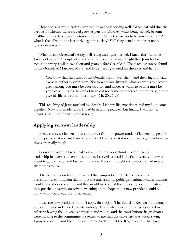How does a servant leader know that he or she is serving well? Greenleaf said that the best test is whether those served grow as persons. Do they, while being served, become healthier, wiser, freer, more autonomous, more likely themselves to become servants? And what is the effect on the least privileged in society? Will they benefit or at least not be further deprived?

When I read Greenleaf's essay, bells rang and lights flashed. I knew this was what I was looking for. A couple of years later, I discovered to my delight that Jesus had said something very similar, two thousand years before Greenleaf. The teaching can be found in the Gospels of Matthew, Mark, and Luke. Jesus gathered his disciples and he said:

You know that the rulers of the Gentiles lord it over them, and their high officials exercise authority over them. Not so with you. Instead, whoever wants to become great among you must be your servant, and whoever wants to be first must be your slave—just as the Son of Man did not come to be served, but to serve, and to give his life as a ransom for many. (Mt. 20:25-28)

This teaching of Jesus touched me deeply. I felt my life experience and my faith come together. Now it all made sense. It had been a long journey, but finally, I was home. Thank God! I had finally made it home.

#### **Applying servant leadership**

Because servant leadership is so different from the power model of leadership, people are surprised that servant leadership works. I learned that it not only works, it works when times are really tough.

Soon after reading Greenleaf's essay, I had the opportunity to apply servant leadership in a very challenging situation. I served as president of a university that was about to go bankrupt and lose accreditation. Experts thought the university had maybe six months to live.

The accreditation team that visited the campus found 41 deficiencies. The accreditation commission did not put the university on public probation, because students would have stopped coming and that would have killed the university for sure. Instead, they put the university on private warning, in the hope that a new president could be found who would lead the turnaround.

I was the new president. I didn't apply for the job. The Board of Regents ran through 200 candidates and ended up with nobody. That's when one of the Regents called me. After reviewing the university's mission and values, and the contributions its graduates were making to the community, it seemed to me that the university was worth saving. I prayed about it, and I felt God calling me to do it. I let the Regents know that I was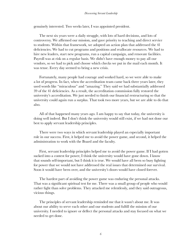genuinely interested. Two weeks later, I was appointed president.

The next six years were a daily struggle, with lots of hard decisions, and lots of controversy. We affirmed our mission, and gave priority to teaching and direct service to students. Within that framework, we adopted an action plan that addressed the 41 deficiencies. We had to cut programs and positions and reallocate resources. We had to hire new leaders, start new programs, run a capital campaign, and renovate facilities. Payroll was at risk on a regular basis. We didn't have enough money to pay all our vendors, so we had to pick and choose which checks we put in the mail each month. It was tense. Every day seemed to bring a new crisis.

Fortunately, many people had courage and worked hard, so we were able to make a lot of progress. In fact, when the accreditation team came back three years later, they used words like "miraculous" and "amazing." They said we had substantially addressed 39 of the 41 deficiencies. As a result, the accreditation commission fully restored the university's accreditation. We just needed to finish our financial restructuring so that the university could again run a surplus. That took two more years, but we are able to do that also.

All of that happened many years ago. I am happy to say that today, the university is doing well indeed. But I don't think the university would still exist, if we had not done our best to apply servant leadership principles.

There were two ways in which servant leadership played an especially important role in our success. First, it helped me to avoid the power game, and second, it helped the administration to work with the Board and the faculty.

First, servant leadership principles helped me to avoid the power game. If I had gotten sucked into a contest for power, I think the university would have gone down. I know that sounds self-important, but I think it is true. We would have all been so busy fighting for power that we would not have addressed the real issues that determined our survival. Soon it would have been over, and the university's doors would have closed forever.

The hardest part of avoiding the power game was enduring the personal attacks. That was a significant spiritual test for me. There was a small group of people who would rather fight than solve problems. They attacked me relentlessly, and they said outrageous, vicious things.

The principles of servant leadership reminded me that it wasn't about me. It was about our ability to serve each other and our students and fulfill the mission of our university. I needed to ignore or deflect the personal attacks and stay focused on what we needed to get done.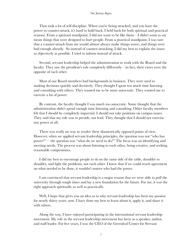That took a lot of self-discipline. When you're being attacked, and you have the power to counter-attack, it's hard to hold back. I held back for both spiritual and practical reasons. From a spiritual standpoint, I did not want to be like them—I didn't want to say mean things that were designed to hurt people. From a practical standpoint, I was sure that a counter-attack from me would almost always make things worse, and things were bad enough already. So instead of counter-attacking, I did my best to explain the issues as objectively as possible. I tried to inform instead of attack.

Second, servant leadership helped the administration to work with the Board and the faculty. They saw the president's role completely differently—in fact, their views were the opposite of each other.

Most of our Board members had backgrounds in business. They were used to making decisions quickly and decisively. They thought I spent too much time listening and consulting with others. They wanted me to be more autocratic. They wanted me to exercise a lot of power.

By contrast, the faculty thought I was much too autocratic. Some thought that the administration didn't spend enough time listening and consulting. Other faculty members felt that I should be completely impartial. I should not take positions on campus issues. They said that my role was to preside, not lead. They thought that I should not exercise any power at all.

There was really no way to resolve these diametrically opposed points of view. However, when we applied servant leadership principles, the question was not "who has power?"— the question was "what do we need to do?" The focus was on identifying and meeting needs. The process was about listening to each other, being creative, and seeking reasonable compromises.

I did my best to encourage people to sit on the same side of the table, shoulder to shoulder, and fight the problems, not each other. I knew that if we could reach agreement on what needed to be done, it wouldn't matter who had the power.

I am convinced that servant leadership is a major reason that we were able to pull the university through tough times and lay a new foundation for the future. For me, it was the right approach spiritually as well as practically.

Well, I hope that gives you an idea as to why servant leadership has been my passion for nearly thirty years, now. I have done my best to learn about it, apply it, and share it with others.

Along the way, I have enjoyed participating in the international servant leadership movement. My role in the servant leadership movement has been as a speaker, author, and staff leader. For five years, I was the CEO of the Greenleaf Center for Servant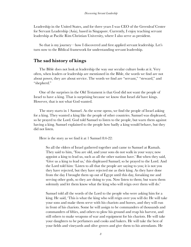Leadership in the United States, and for three years I was CEO of the Greenleaf Center for Servant Leadership (Asia), based in Singapore. Currently, I enjoy teaching servant leadership at Pacific Rim Christian University, where I also serve as president.

So that is my journey—how I discovered and first applied servant leadership. Let's turn now to the Biblical framework for understanding servant leadership.

#### **The sad history of kings**

The Bible does not look at leadership the way our secular culture looks at it. Very often, when leaders or leadership are mentioned in the Bible, the words we find are not about power, they are about service. The words we find are "servant," "steward," and "shepherd."

One of the surprises in the Old Testament is that God did not want the people of Israel to have a king. That is surprising because we know that Israel *did* have kings. However, that is not what God wanted.

The story starts in 1 Samuel. As the scene opens, we find the people of Israel asking for a king. They wanted a king like the people of other countries. Samuel was displeased, so he prayed to the Lord. God told Samuel to listen to the people, but warn them against having a king. Samuel explained to the people how badly a king would behave, but they did not listen.

Here is the story as we find it at 1 Samuel 8:4-22:

So all the elders of Israel gathered together and came to Samuel at Ramah. They said to him, 'You are old, and your sons do not walk in your ways; now appoint a king to lead us, such as all the other nations have.' But when they said, 'Give us a king to lead us,' this displeased Samuel; so he prayed to the Lord. And the Lord told him: 'Listen to all that the people are saying to you; it is not you they have rejected, but they have rejected me as their king. As they have done from the day I brought them up out of Egypt until this day, forsaking me and serving other gods, so they are doing to you. Now listen to them; but warn them solemnly and let them know what the king who will reign over them will do.'

Samuel told all the words of the Lord to the people who were asking him for a king. He said, 'This is what the king who will reign over you will do: He will take your sons and make them serve with his chariots and horses, and they will run in front of his chariots. Some he will assign to be commanders of thousands and commanders of fifties, and others to plow his ground and reap his harvest, and still others to make weapons of war and equipment for his chariots. He will take your daughters to be perfumers and cooks and bakers. He will take the best of your fields and vineyards and olive groves and give them to his attendants. He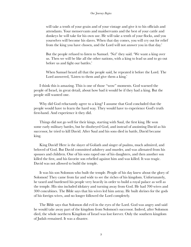will take a tenth of your grain and of your vintage and give it to his officials and attendants. Your menservants and maidservants and the best of your cattle and donkeys he will take for his own use. He will take a tenth of your flocks, and you yourselves will become his slaves. When that day comes, you will cry out for relief from the king you have chosen, and the Lord will not answer you in that day.'

But the people refused to listen to Samuel. 'No!' they said. 'We want a king over us. Then we will be like all the other nations, with a king to lead us and to go out before us and fight our battles.'

When Samuel heard all that the people said, he repeated it before the Lord. The Lord answered, 'Listen to them and give them a king.'

I think this is amazing. This is one of those "wow" moments. God warned the people of Israel, in great detail, about how bad it would be if they had a king. But the people still wanted one.

Why did God reluctantly agree to a king? I assume that God concluded that the people would have to learn the hard way. They would have to experience God's truth first-hand. And experience it they did.

Things did not go well for their kings, starting with Saul, the first king. He won some early military battles, but he disobeyed God, and instead of anointing David as his successor, he tried to kill David. After Saul and his sons died in battle, David became king.

King David! Here is the slayer of Goliath and singer of psalms, much admired, and beloved of God. But David committed adultery and murder, and was alienated from his spouses and children. One of his sons raped one of his daughters, and then another son killed the first, and his favorite son rebelled against him and was killed. It was tragic. David was not allowed to build the temple.

It was his son Solomon who built the temple. People of his day knew about the glory of Solomon! They came from far and wide to see the riches of his kingdom. Unfortunately, he taxed and burdened his people very heavily in order to build a royal palace as well as the temple. His sins included idolatry and turning away from God. He had 700 wives and 300 concubines. The Bible says that his wives led him astray. He built shrines for the gods of his foreign wives, and no longer followed the Lord completely.

The Bible says that Solomon did evil in the eyes of the Lord. God was angry and said he would take away part of the kingdom from Solomon's successor. Indeed, after Solomon died, the whole northern Kingdom of Israel was lost forever. Only the southern kingdom of Judah remained. It was a disaster.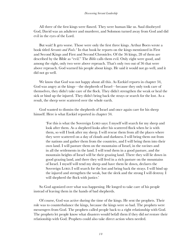All three of the first kings were flawed. They were human like us. Saul disobeyed God, David was an adulterer and murderer, and Solomon turned away from God and did evil in the eyes of the Lord.

But wait! It gets worse. Those were only the first three kings. Arthur Boers wrote a book titled *Servants and Fools.2* In that book he reports on the kings mentioned in First and Second Kings and First and Second Chronicles. Of the 36 kings, 28 of them are described by the Bible as "evil." The *Bible* calls them evil. Only eight were good, and among the eight, only two were above reproach. That's only two out of 36 that were above reproach. God warned his people about kings. He said it would not go well, and it did not go well.

We know that God was not happy about all this. As Ezekiel reports in chapter 34, God was angry at the kings—the shepherds of Israel—because they only took care of themselves, they didn't take care of the flock. They didn't strengthen the weak or heal the sick or bind up the injured. They didn't bring back the strays or search for the lost. As a result, the sheep were scattered over the whole earth.

God wanted to dismiss the shepherds of Israel and once again care for his sheep himself. Here is what Ezekiel reported in chapter 34.

'For this is what the Sovereign LORD says: I myself will search for my sheep and look after them. As a shepherd looks after his scattered flock when he is with them, so will I look after my sheep. I will rescue them from all the places where they were scattered on a day of clouds and darkness.I will bring them out from the nations and gather them from the countries, and I will bring them into their own land. I will pasture them on the mountains of Israel, in the ravines and in all the settlements in the land. I will tend them in a good pasture, and the mountain heights of Israel will be their grazing land. There they will lie down in good grazing land, and there they will feed in a rich pasture on the mountains of Israel. I myself will tend my sheep and have them lie down, declares the Sovereign LORD. I will search for the lost and bring back the strays. I will bind up the injured and strengthen the weak, but the sleek and the strong I will destroy. I will shepherd the flock with justice.'

So God agonized over what was happening. He longed to take care of his people instead of leaving them in the hands of bad shepherds.

Of course, God was active during the time of the kings. He sent the prophets. Their role was to counterbalance the kings, because the kings were so bad. The prophets were messengers from God. The prophets called people back to a right relationship with God. The prophets let people know what disasters would befall them if they did *not* restore their relationship with God. Prophets could also take direct action when needed.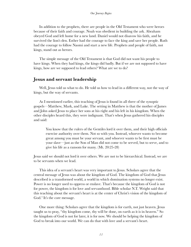In addition to the prophets, there are people in the Old Testament who were heroes because of their faith and courage. Noah was obedient in building the ark. Abraham obeyed God and left home for a new land. Daniel would not disavow his faith, and he survived the lion's den. Esther had the courage to face the king and save her people. Ruth had the courage to follow Naomi and start a new life. Prophets and people of faith, not kings, stand out as heroes.

The simple message of the Old Testament is that God did not want his people to have kings. When they had kings, the kings did badly. But if we are not supposed to have kings, how are we supposed to lead others? What are we to do?

#### **Jesus and servant leadership**

Well, Jesus told us what to do. He told us how to lead in a different way, not the way of kings, but the way of servants.

As I mentioned earlier, this teaching of Jesus is found in all three of the synoptic gospels—Matthew, Mark, and Luke. The setting in Matthew is that the mother of James and John asked Jesus to place her sons at his right and his left in his kingdom. When the other disciples heard this, they were indignant. That's when Jesus gathered his disciples and said:

You know that the rulers of the Gentiles lord it over them, and their high officials exercise authority over them. Not so with you. Instead, whoever wants to become great among you must be your servant, and whoever wants to be first must be your slave—just as the Son of Man did not come to be served, but to serve, and to give his life as a ransom for many. (Mt. 20:25-28)

Jesus said we should not lord it over others. We are not to be hierarchical. Instead, we are to be servants when we lead.

This idea of a servant's heart was very important to Jesus. Scholars agree that the central message of Jesus was about the kingdom of God. The kingdom of God that Jesus described is a transformed world, a world in which domination systems no longer exist. Power is no longer used to oppress or enslave. That's because the kingdom of God is not for power, the kingdom is for love and servanthood. Bible scholar N.T. Wright said that this teaching about the servant's heart is at the center of Christ's vision of the kingdom of God.3 It's the core message.

One more thing: Scholars agree that the kingdom is for earth, not just heaven. Jesus taught us to pray, "thy kingdom come, thy will be done, on earth as it is in heaven." So the kingdom of God is not for later, it is for now. We should be helping the kingdom of God to break into our world. We can do that with love and a servant's heart.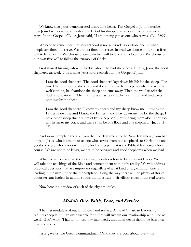We know that Jesus demonstrated a servant's heart. The Gospel of John describes how Jesus knelt down and washed the feet of his disciples as an example of how we are to serve. In the Gospel of Luke, Jesus said, "I am among you as one who serves" (Lk. 22:27).

We need to remember that servanthood is not servitude. Servitude occurs when people are forced to serve. We are not forced to serve. Instead we choose of our own free will to be servants. We choose of our own free will to love and help others. We choose of our own free will to follow the example of Christ.

God shared his anguish with Ezekiel about the bad shepherds. Finally, Jesus, the good shepherd, arrived. This is what Jesus said, recorded in the Gospel of John:

I am the good shepherd. The good shepherd lays down his life for the sheep. The hired hand is not the shepherd and does not own the sheep. So when he sees the wolf coming, he abandons the sheep and runs away. Then the wolf attacks the flock and scatters it. The man runs away because he is a hired hand and cares nothing for the sheep.

I am the good shepherd; I know my sheep and my sheep know me— just as the Father knows me and I know the Father—and I lay down my life for the sheep. I have other sheep that are not of this sheep pen. I must bring them also. They too will listen to my voice, and there shall be one flock and one shepherd. (Jn. 10:11-16)

And so we complete the arc from the Old Testament to the New Testament, from bad kings to Jesus, who is among us as one who serves; from bad shepherds to Christ, the one good shepherd who lays down his life for his sheep. That is the Biblical framework for this course. We are not to be kings, we are to be servants and good shepherds when we lead.

What we will explore in the following modules is how to be a servant leader. We will take the teachings of the Bible and connect them with daily reality. We will address practical questions that are important regardless of what kind of organization one is leading in the ministry or the marketplace. Along the way there will be plenty of stories about servant leaders in action, stories that illustrate their effectiveness in the real world.

Now here is a preview of each of the eight modules.

#### *Module One: Faith, Love, and Service*

The first module is about faith, love, and service. A life of Christian leadership requires deep faith—an unshakeable faith that will sustain our relationship with God as we do God's work. That faith must flow into deeds, and those deeds should be based on love and service.

Jesus gave us two Great Commandments, and they are both about love—the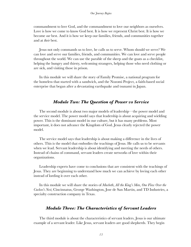commandment to love God, and the commandment to love our neighbors as ourselves. Love is how we come to know God best. It is how we represent Christ best. It is how we become *our* best. And it is how we keep our families, friends, and communities together and at *their* best.

Jesus not only commands us to love, he calls us to serve. Whom should we serve? We can love and serve our families, friends, and communities. We can love and serve people throughout the world. We can use the parable of the sheep and the goats as a checklist, helping the hungry and thirsty, welcoming strangers, helping those who need clothing or are sick, and visiting those in prison.

In this module we will share the story of Family Promise, a national program for the homeless that started with a sandwich, and the Nozomi Project, a faith-based social enterprise that began after a devastating earthquake and tsunami in Japan.

#### *Module Two: The Question of Power vs Service*

The second module is about two major models of leadership—the power model and the service model. The power model says that leadership is about acquiring and wielding power. This is the dominant model in our culture, but it has many problems. Most important, it does not advance the Kingdom of God. Jesus clearly rejected the power model.

The service model says that leadership is about making a difference in the lives of others. This is the model that embodies the teachings of Jesus. He calls us to be servants when we lead. Servant leadership is about identifying and meeting the needs of others. Instead of chains of command, servant leaders create networks of love within their organizations.

Leadership experts have come to conclusions that are consistent with the teachings of Jesus. They are beginning to understand how much we can achieve by loving each other instead of lording it over each other.

In this module we will share the stories of *Macbeth*, *All the King's Men*, *One Flew Over the Cuckoo's Nest*, Cincinnatus, George Washington, Jose de San Martin, and TD Industries, a specialty construction company in Texas.

#### *Module Three: The Characteristics of Servant Leaders*

The third module is about the characteristics of servant leaders. Jesus is our ultimate example of a servant leader. Like Jesus, servant leaders are good shepherds. They begin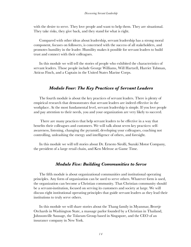with the desire to serve. They love people and want to help them. They are situational. They take risks, they give back, and they stand for what is right.

Compared with other ideas about leadership, servant leadership has a strong moral component, focuses on followers, is concerned with the success of all stakeholders, and promotes humility in the leader. Humility makes it possible for servant leaders to build trust and connect with their colleagues.

In this module we will tell the stories of people who exhibited the characteristics of servant leaders. Those people include George Williams, Will Hartzell, Harriet Tubman, Atticus Finch, and a Captain in the United States Marine Corps.

#### *Module Four: The Key Practices of Servant Leaders*

The fourth module is about the key practices of servant leaders. There is plenty of empirical research that demonstrates that servant leaders are indeed effective in the workplace. At the most fundamental level, servant leadership is simple. If you love people and pay attention to their needs, you and your organization are very likely to succeed.

 There are many practices that help servant leaders to be effective in a way that benefits their colleagues and customers. We will talk about seven key practices: selfawareness, listening, changing the pyramid, developing your colleagues, coaching not controlling, unleashing the energy and intelligence of others, and foresight.

In this module we will tell stories about Dr. Ernesto Sirolli, Suzuki Motor Company, the president of a large retail chain, and Ken Melrose at Game Time.

#### *Module Five: Building Communities to Serve*

The fifth module is about organizational communities and institutional operating principles. Any form of organization can be used to serve others. Whatever form is used, the organization can become a Christian community. That Christian community should be a servant-institution, focused on serving its customers and society at large. We will discuss eight institutional operating principles that guide servant leaders as they lead their institutions to truly serve others.

In this module we will share stories about the Thang family in Myanmar, Broetje Orchards in Washington State, a massage parlor founded by a Christian in Thailand, Johnsonville Sausage, the Tolaram Group based in Singapore, and the CEO of an insurance company in New York.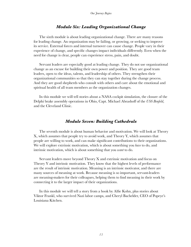#### *Module Six: Leading Organizational Change*

The sixth module is about leading organizational change. There are many reasons for leading change. An organization may be failing, or growing, or seeking to improve its service. External forces and internal turnover can cause change. People vary in their experience of change, and specific changes impact individuals differently. Even when the need for change is clear, people can experience stress, pain, and doubt.

Servant leaders are especially good at leading change. They do not use organizational change as an excuse for building their own power and position. They are good team leaders, open to the ideas, talents, and leadership of others. They strengthen their organizational communities so that they can stay together during the change process. And they are good shepherds who consult with others and care about the emotional and spiritual health of all team members as the organization changes.

In this module we will tell stories about a NASA cockpit simulation, the closure of the Delphi brake assembly operations in Ohio, Capt. Michael Abrashoff of the *USS Benfold*, and the Cleveland Clinic.

#### *Module Seven: Building Cathedrals*

The seventh module is about human behavior and motivation. We will look at Theory X, which assumes that people try to avoid work, and Theory Y, which assumes that people are willing to work, and can make significant contributions to their organizations. We will explore extrinsic motivation, which is about something you *have* to do, and intrinsic motivation, which is about something that you *want* to do.

Servant leaders move beyond Theory X and extrinsic motivation and focus on Theory Y and intrinsic motivation. They know that the highest levels of performance are the result of intrinsic motivation. Meaning is an intrinsic motivator, and there are many sources of meaning at work. Because meaning is so important, servant-leaders are meaning-makers for their colleagues, helping them to find meaning in their work by connecting it to the larger impact of their organizations.

In this module we will tell a story from a book by Alfie Kohn, plus stories about Viktor Frankl, who survived Nazi labor camps, and Cheryl Bachelder, CEO of Popeye's Louisiana Kitchen.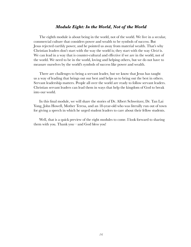#### *Module Eight: In the World, Not of the World*

The eighth module is about being in the world, not of the world. We live in a secular, commercial culture that considers power and wealth to be symbols of success. But Jesus rejected earthly power, and he pointed us away from material wealth. That's why Christian leaders don't start with the way the world is; they start with the way *Christ* is. We can lead in a way that is counter-cultural and effective if we are in the world, not of the world. We need to be in the world, loving and helping others, but we do not have to measure ourselves by the world's symbols of success like power and wealth.

There are challenges to being a servant leader, but we know that Jesus has taught us a way of leading that brings out our best and helps us to bring out the best in others. Servant leadership matters. People all over the world are ready to follow servant leaders. Christian servant leaders can lead them in ways that help the kingdom of God to break into our world.

In this final module, we will share the stories of Dr. Albert Schweitzer, Dr. Tan Lai Yong, John Howell, Mother Teresa, and an 18-year-old who was literally run out of town for giving a speech in which he urged student leaders to care about their fellow students.

Well, that is a quick preview of the eight modules to come. I look forward to sharing them with you. Thank you—and God bless you!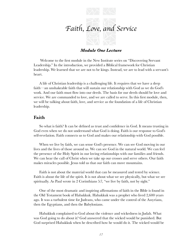## *Faith, Love, and Service*

#### *Module One Lecture*

 Welcome to the first module in the New Institute series on "Discovering Servant Leadership." In the introduction, we provided a Biblical framework for Christian leadership. We learned that we are not to be kings. Instead, we are to lead with a servant's heart.

A life of Christian leadership is a challenging life. It requires that we have a deep faith—an unshakeable faith that will sustain our relationship with God as we do God's work. And our faith must flow into our deeds. The basis for our deeds should be love and service. We are commanded to love, and we are called to serve. In this first module, then, we will be talking about faith, love, and service as the foundation of a life of Christian leadership.

#### **Faith**

So what is faith? It can be defined as trust and confidence in God. It means trusting in God even when we do not understand what God is doing. Faith is our response to God's self-revelation. Faith connects us to God and makes our relationship with God possible.

When we live by faith, we can sense God's presence. We can see God moving in our lives and the lives of those around us. We can see God in the natural world. We can feel the presence of the Holy Spirit in our loving relationships with our families and friends. We can hear the call of Christ when we take up our crosses and serve others. Our faith makes miracles possible. Jesus told us that our faith can move mountains.

Faith is not about the material world that can be measured and tested by science. Faith is about the life of the spirit. It is not about what we see physically, but what we see spiritually. As Paul wrote in 2 Corinthians 5:7, "we live by faith, not by sight."

One of the most dramatic and inspiring affirmations of faith in the Bible is found in the Old Testament book of Habakkuk. Habakkuk was a prophet who lived 2,600 years ago. It was a turbulent time for Judeans, who came under the control of the Assyrians, then the Egyptians, and then the Babylonians.

Habakkuk complained to God about the violence and wickedness in Judah. What was God going to do about it? God answered that the wicked would be punished. But God surprised Habakkuk when he described how he would do it. The wicked would be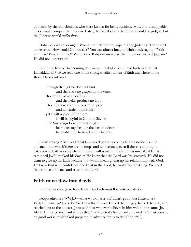punished by the Babylonians, who were known for being ruthless, swift, and unstoppable. They would conquer the Judeans. Later, the Babylonians themselves would be judged, but the Judeans would suffer first.

Habakkuk was distraught. Would the Babylonians wipe out the Judeans? That didn't make sense. How could God do this? You can almost imagine Habakkuk saying: "Wait a minute! Wait a minute!" Weren't the Babylonians worse than the most wicked Judeans? He did not understand.

But in the face of that coming destruction, Habakkuk still had faith in God. At Habakkuk 3:17-19 we read one of the strongest affirmations of faith anywhere in the Bible. Habakkuk said:

| Though the fig tree does not bud          |
|-------------------------------------------|
| and there are no grapes on the vines,     |
| though the olive crop fails               |
| and the fields produce no food,           |
| though there are no sheep in the pen      |
| and no cattle in the stalls,              |
| yet I will rejoice in the Lord,           |
| I will be joyful in God my Savior.        |
| The Sovereign Lord is my strength;        |
| he makes my feet like the feet of a deer, |
| he enables me to tread on the heights.    |

Judah was agrarian, so Habakkuk was describing complete devastation. But he affirmed that even if there are no crops and no livestock, even if there is nothing to eat; even if death is everywhere, his faith will remain. His faith was unshakeable. He remained joyful in God his Savior. He knew that the Lord was his strength. He did not want to give up his faith because that would mean giving up his relationship with God. He knew that with confidence and trust in the Lord, he could face anything. We need that same confidence and trust in the Lord.

#### **Faith must flow into deeds**

But it is not enough to have faith. Our faith must flow into our deeds.

People often ask WWJD—what would Jesus do? That's good, but I like to ask, WDJD—what *did* Jesus do? We know the answer. He fed the hungry, healed the sick, and reached out to the outcast. Jesus said that whoever believes in him will do the same (Jn. 14:12). In Ephesians, Paul tells us that "we are God's handiwork, created in Christ Jesus to do good works, which God prepared in advance for us to do" (Eph. 2:10).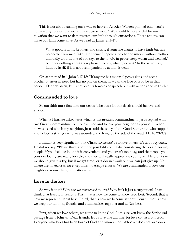This is not about earning one's way to heaven. As Rick Warren pointed out, "you're not saved *by* service, but you are saved *for* service."4 We should be so grateful for our salvation that we want to demonstrate our faith through our actions. Those actions can make our faith come alive. As we read at James 2:14-17:

What good is it, my brothers and sisters, if someone claims to have faith but has no deeds? Can such faith save them? Suppose a brother or sister is without clothes and daily food. If one of you says to them, 'Go in peace; keep warm and well fed,' but does nothing about their physical needs, what good is it? In the same way, faith by itself, if it is not accompanied by action, is dead.

Or, as we read in 1 John 3:17-18: "If anyone has material possessions and sees a brother or sister in need but has no pity on them, how can the love of God be in that person? Dear children, let us not love with words or speech but with actions and in truth."

#### **Commanded to love**

So our faith must flow into our deeds. The basis for our deeds should be love and service.

When a Pharisee asked Jesus which is the greatest commandment, Jesus replied with two Great Commandments—to love God and to love your neighbor as yourself. When he was asked who is my neighbor, Jesus told the story of the Good Samaritan who stopped and helped a stranger who was wounded and lying by the side of the road (Lk. 10:29-37).

I think it is very significant that Christ *commanded* us to love others. It's not a *suggestion*. He did not say, "Please think about the possibility of maybe considering the idea of loving people, if you feel like it, and it is convenient, and you aren't too busy, and the people you consider loving are really lovable, and they will really appreciate your love." He didn't say we should give it a try, but if we get tired, or it doesn't work out, we can just give up. No. There are no excuses, no exceptions, no escape clauses. We are commanded to love our neighbors as ourselves, no matter what.

#### **Love is the key**

So why is that? Why are we *commanded* to love? Why isn't it just a suggestion? I can think of at least four reasons. First, that is how we come to know God best. Second, that is how we represent Christ best. Third, that is how we become *our* best. Fourth, that is how we keep our families, friends, and communities together and at *their* best.

First, when we love others, we come to know God. I am sure you know the Scriptural passage from 1 John 4: "Dear friends, let us love one another, for love comes from God. Everyone who loves has been born of God and knows God. Whoever does not love does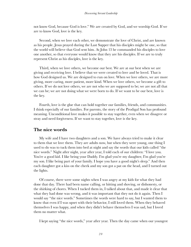not know God, because God is love." We are created by God, and we worship God. If we are to know God, love is the key.

Second, when we love each other, we demonstrate the love of Christ, and are known as his people. Jesus prayed during the Last Supper that his disciples might be one, so that the world will believe that God sent him. At John 13 he commanded his disciples to love one another, so that everyone would know that they are his disciples. If we are to truly represent Christ as his disciples, love is the key.

Third, when we love others, we become our best. We are at our best when we are giving and receiving love. I believe that we were created to love and be loved. That is how God designed us. We are designed to run on love. When we love others, we are more giving, more caring, more patient, more kind. When we love others, we become a gift to others. If we do not love others, we are not who we are supposed to be; we are not all that we can be; we are not doing what we were born to do. If we want to be our best, love is the key.

Fourth, love is the glue that can hold together our families, friends, and communities. I think especially of our families. For parents, the story of the Prodigal Son has profound meaning. Unconditional love makes it possible to stay together, even when we disagree or stray and need forgiveness. If we want to stay together, love is the key.

#### **The nice words**

My wife and I have two daughters and a son. We have always tried to make it clear to them that we love them. They are adults now, but when they were young, one thing I used to do was to tuck them into bed at night and say the words that our kids called "the nice words." Night after night, year after year, I told each of our children: "I love you. You're a good kid. I like being your Daddy. I'm glad you're my daughter, I'm glad you're my son. I like being part of your family. I hope you have a good night's sleep." And then each daughter got a kiss on the cheek and my son got a pat on the head, and I turned out the lights.

Of course, there were some nights when I was angry at my kids for what they had done that day. There had been name calling, or hitting and shoving, or dishonesty, or the shirking of chores. When I tucked them in, I talked about that, and made it clear that what they had done was wrong, and it was important that they not do it again. Then I would say "the nice words." Sometimes the words were hard to say, but I wanted them to know that even if I was upset with their behavior, I still loved them. When they behaved themselves I was happy, and when they didn't behave themselves I was sad, but I loved them no matter what.

I kept saying "the nice words," year after year. Then the day came when our youngest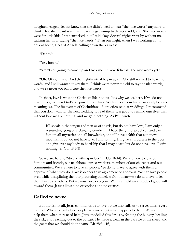daughter, Angela, let me know that she didn't need to hear "the nice words" anymore. I think what she meant was that she was a grown-up twelve-year-old, and "the nice words" were for little kids. I was surprised, but I said okay. Several nights went by without me tucking her in or saying "the nice words." Then one night, when I was working at my desk at home, I heard Angela calling down the staircase.

"Daddy?"

"Yes, honey."

"Aren't you going to come up and tuck me in? You didn't say the nice words yet."

"Oh. Okay," I said. And the nightly ritual began again. She still wanted to hear the words, and I still wanted to say them. I think we're never too old to say the nice words, and we're never too old to *hear* the nice words.<sup>5</sup>

In short, love is what the Christian life is about. It is why we are here. If we do not love others, we miss God's purpose for our lives. Without love, our lives can easily become meaningless. The first verses of Corinthians 13 are often read at weddings. I recommend that you don't wait for the next wedding to read them. It is good to remind ourselves that without love we are nothing, and we gain nothing. As Paul wrote:

If I speak in the tongues of men or of angels, but do not have love, I am only a resounding gong or a clanging cymbal. If I have the gift of prophecy and can fathom all mysteries and all knowledge, and if I have a faith that can move mountains, but do not have love, I am nothing. If I give all I possess to the poor and give over my body to hardship that I may boast, but do not have love, I gain nothing. (1 Co. 13:1-3)

So we are here to "do everything in love" (1 Co. 16:14). We are here to love our families and friends, our neighbors, our co-workers, members of our churches and our communities. We are here to love all people. We do not have to agree with them or approve of what they do. Love is deeper than agreement or approval. We can love people even while disciplining them or protecting ourselves from them—we do not have to let them hurt us or others. But we must love everyone. We must hold an attitude of good will toward them. Jesus allowed no exceptions and no excuses.

#### **Called to serve**

But that is not all. Jesus commands us to love but he also calls us to serve. This is very natural. When we truly love people, we care about what happens to them. We want to help them when they need help. Jesus modelled this for us by feeding the hungry, healing the sick, and reaching out to the outcast. He made it clear in the parable of the sheep and the goats that we should do the same (Mt 25:31-46).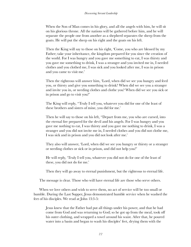When the Son of Man comes in his glory, and all the angels with him, he will sit on his glorious throne. All the nations will be gathered before him, and he will separate the people one from another as a shepherd separates the sheep from the goats. He will put the sheep on his right and the goats on his left.

Then the King will say to those on his right, 'Come, you who are blessed by my Father; take your inheritance, the kingdom prepared for you since the creation of the world. For I was hungry and you gave me something to eat, I was thirsty and you gave me something to drink, I was a stranger and you invited me in, I needed clothes and you clothed me, I was sick and you looked after me, I was in prison and you came to visit me.'

Then the righteous will answer him, 'Lord, when did we see you hungry and feed you, or thirsty and give you something to drink? When did we see you a stranger and invite you in, or needing clothes and clothe you? When did we see you sick or in prison and go to visit you?'

The King will reply, "Truly I tell you, whatever you did for one of the least of these brothers and sisters of mine, you did for me.'

Then he will say to those on his left, "Depart from me, you who are cursed, into the eternal fire prepared for the devil and his angels. For I was hungry and you gave me nothing to eat, I was thirsty and you gave me nothing to drink, I was a stranger and you did not invite me in, I needed clothes and you did not clothe me, I was sick and in prison and you did not look after me.'

They also will answer, 'Lord, when did we see you hungry or thirsty or a stranger or needing clothes or sick or in prison, and did not help you?'

He will reply, 'Truly I tell you, whatever you did not do for one of the least of these, you did not do for me.'

Then they will go away to eternal punishment, but the righteous to eternal life.

The message is clear. Those who will have eternal life are those who serve others.

When we love others and wish to serve them, no act of service will be too small or humble. During the Last Supper, Jesus demonstrated humble service when he washed the feet of his disciples. We read at John 13:3-5:

Jesus knew that the Father had put all things under his power, and that he had come from God and was returning to God; so he got up from the meal, took off his outer clothing, and wrapped a towel around his waist. After that, he poured water into a basin and began to wash his disciples' feet, drying them with the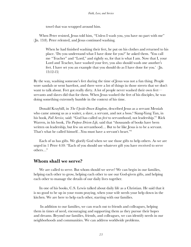towel that was wrapped around him.

When Peter resisted, Jesus told him, "Unless I wash you, you have no part with me" (Jn. 13:8). Peter relented, and Jesus continued washing.

When he had finished washing their feet, he put on his clothes and returned to his place. 'Do you understand what I have done for you?' he asked them. 'You call me "Teacher" and "Lord," and rightly so, for that is what I am. Now that I, your Lord and Teacher, have washed your feet, you also should wash one another's feet. I have set you an example that you should do as I have done for you.' (Jn. 13:12-15)

By the way, washing someone's feet during the time of Jesus was not a fun thing. People wore sandals or went barefoot, and there were a lot of things in those streets that we don't want to talk about. Feet got really dirty. A lot of people never washed their own feet servants and slaves did that for them. When Jesus washed the feet of his disciples, he was doing something extremely humble in the context of his time.

Donald Kraybill, in *The Upside-Down Kingdom*, described Jesus as a servant Messiah who came among us as a waiter, a slave, a servant, and not a boss.<sup>6</sup> Siang-Yang Tan, in his book, *Full Service,* said: "God has called us *first* to servanthood, not leadership."7 Rick Warren, in his book, *The Purpose Driven Life,* said that "thousands of books have been written on leadership, but few on servanthood… But to be like Jesus is to be a servant. That's what he called himself…You must have a servant's heart."8

Each of us has gifts. We glorify God when we use those gifts to help others. As we are urged in 1 Peter 4:10: "Each of you should use whatever gift you have received to serve others…"

#### **Whom shall we serve?**

We are called to serve. But whom should we serve? We can begin in our families, helping each other to grow, helping each other to use our God-given gifts, and helping each other to manage the details of our daily lives together.

In one of his books, C.S. Lewis talked about daily life as a Christian. He said that it is no good to be up in your room praying, when your wife needs your help down in the kitchen. We are here to help each other, starting with our families.

 In addition to our families, we can reach out to friends and colleagues, helping them in times of need, encouraging and supporting them as they pursue their hopes and dreams. Beyond our families, friends, and colleagues, we can identify needs in our neighborhoods and communities. We can address worldwide problems.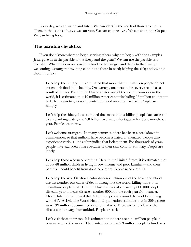Every day, we can watch and listen. We can identify the needs of those around us. Then, in thousands of ways, we can *serve*. We can change lives. We can share the Gospel. We can bring hope.

#### **The parable checklist**

If you don't know where to begin serving others, why not begin with the examples Jesus gave us in the parable of the sheep and the goats? We can use the parable as a checklist. Why not focus on providing food to the hungry and drink to the thirsty; welcoming a stranger; providing clothing to those in need; helping the sick; and visiting those in prison?

Let's help the hungry. It is estimated that more than 800 million people do not get enough food to be healthy. On average, one person dies every second as a result of hunger. Even in the United States, one of the richest countries in the world, it is estimated that 49 million Americans—including 16 million children lack the means to get enough nutritious food on a regular basis. People are hungry.

Let's help the thirsty. It is estimated that more than a billion people lack access to clean drinking water, and 2.8 billion face water shortages at least one month per year. People are thirsty.

Let's welcome strangers. In many countries, there has been a breakdown in communities, so that millions have become isolated or alienated. People also experience various kinds of prejudice that isolate them. For thousands of years, people have excluded others because of their skin color or ethnicity. People are lonely.

Let's help those who need clothing. Here in the United States, it is estimated that about 48 million children living in low-income and poor families—and their parents—could benefit from donated clothes. People need clothing.

Let's help the sick. Cardiovascular diseases—disorders of the heart and blood are the number one cause of death throughout the world, killing more than 17 million people in 2011. In the United States alone, nearly 600,000 people die each year of heart disease. Another 600,000 die each year from cancer. Meanwhile, it is estimated that 40 million people around the world are living with HIV/AIDS. The World Health Organization estimates that in 2010, there were 219 million documented cases of malaria. These are only a few of the diseases that ravage humankind. People are sick.

Let's visit those in prison. It is estimated that there are nine million people in prisons around the world. The United States has 2.3 million people behind bars,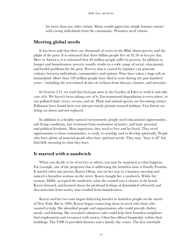far more than any other nation. Many would appreciate simple human contact with caring individuals from the community. Prisoners need visitors.

#### **Meeting global needs**

It has been said that there are thousands of verses in the Bible about poverty and the plight of the poor. It is estimated that three billion people live on \$2.50 or less per day. Here in America, it is estimated that 40 million people suffer in poverty. In addition to hunger and homelessness, poverty usually results in a wide range of social, educational, and health problems for the poor. Poverty that is caused by injustice can generate violence between individuals, communities, and nations. Wars have taken a huge toll on humankind. More than 120 million people have died in wars during the past hundred years—including the war-related deaths of civilians from diseases, famine, and atrocities.

In Genesis 2:15, we read that God put man in the Garden of Eden to work it and take care of it. We haven't been taking care of it. Environmental degradation is everywhere, in our polluted land, rivers, oceans, and air. Plant and animal species are becoming extinct. Pollutants have found their way into previously pristine natural habitats. Vast forests are being cut down and not replaced.

In addition to a healthy natural environment, people need educational opportunities, safe living conditions, fair treatment from institutions of justice, and basic personal and political freedoms. Most important, they need to love and be loved. They need opportunities to form communities, to work, to worship, and to develop spiritually. People who have plenty of material goods often have spiritual needs. They may "have it all" but find little meaning in what they have.

#### **It started with a sandwich**

When you decide to be of service to others, you may be surprised at what happens. For example, one of the programs that is addressing the homeless issue is Family Promise. It started when one person, Karen Olson, was on her way to a business meeting and noticed a homeless woman on the street. Karen bought her a sandwich. While the woman, Millie, accepted the sandwich, what she wanted was a chance to be heard. Karen listened, and learned about the profound feelings of diminished self-worth and disconnection from society that resulted from homelessness.

Karen and her two sons began delivering lunches to homeless people on the streets of New York. But in 1986, Karen began connecting those in need with those who wanted to help. She identified people and organizations who could provide shelter, meals, and housing. She recruited volunteers who could help their homeless neighbors find employment and reconnect with society. Churches offered hospitality within their buildings. The YMCA provided showers and a family day center. The first interfaith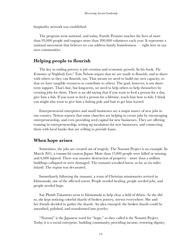hospitality network was established.

The program went national, and today, Family Promise touches the lives of more than 93,000 people and engages more than 200,000 volunteers each year. It represents a national movement that believes we can address family homelessness — right here in our own communities.

#### **Helping people to flourish**

The key to ending poverty is job creation and economic growth. In his book, *The Economics of Neighborly Love*, 9 Tom Nelson argues that we are made to flourish, and to share with others so they can flourish, too. That means we need to build our own capacity, so that we have tangible resources to contribute to others. The goal, however, is not shortterm support. That's fine, but long-term, we need to help others to help themselves by creating jobs for them. There is an old saying that if you want to feed a person for a day, give him a fish. If you want to feed a person for a lifetime, teach him how to fish. I think you might also want to give him a fishing pole and bait to get him started.

Entrepreneurial enterprises and small businesses are a major source of new jobs in our country. Nelson reports that some churches are helping to create jobs by encouraging entrepreneurship, and even providing seed capital for new businesses. They are offering training in entrepreneurship, setting up incubators for new businesses, and connecting them with local banks that are willing to provide loans.

#### **When hope arises**

Sometimes, the jobs are created out of tragedy. The Nozomi Project is an example. In March 2011, a *tsunami* hit eastern Japan. More than 17,000 people were killed or missing, and 6,000 injured. There was massive destruction of property—more than a million buildings collapsed or were damaged. The tsunami wreaked havoc as far as six miles inland. The region was devastated.

Immediately following the tsunami, a team of Christian missionaries arrived in Ishinomaki, one of the affected towns. People needed healing, people needed jobs, and people needed hope.

Sue Plumb Takamoto went to Ishinomaki to help clear a field of debris. As she did so, she kept noticing colorful shards of broken pottery, strewn everywhere. She and her friends decided to gather the shards. An idea emerged: the broken shards could be smoothed, polished, and transformed into jewelry.

"Nozomi" is the Japanese word for "hope," so they called it the Nozomi Project. Today it is a social enterprise, building community, providing income, restoring dignity,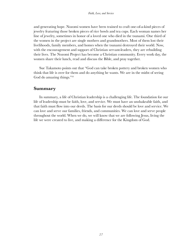and generating hope. Nozomi women have been trained to craft one-of-a-kind pieces of jewelry featuring those broken pieces of rice bowls and tea cups. Each woman names her line of jewelry, sometimes in honor of a loved one who died in the tsunami. One third of the women in the project are single mothers and grandmothers. Most of them lost their livelihoods, family members, and homes when the tsunami destroyed their world. Now, with the encouragement and support of Christian servant-leaders, they are rebuilding their lives. The Nozomi Project has become a Christian community. Every work day, the women share their lunch, read and discuss the Bible, and pray together.

Sue Takamoto points out that "God can take broken pottery and broken women who think that life is over for them and do anything he wants. We are in the midst of seeing God do amazing things."10

#### **Summary**

In summary, a life of Christian leadership is a challenging life. The foundation for our life of leadership must be faith, love, and service. We must have an unshakeable faith, and that faith must flow into our deeds. The basis for our deeds should be love and service. We can love and serve our families, friends, and communities. We can love and serve people throughout the world. When we do, we will know that we are following Jesus, living the life we were created to live, and making a difference for the Kingdom of God.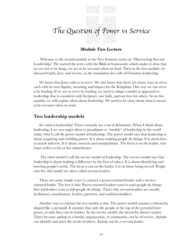### *The Question of Power vs Service*

#### *Module Two Lecture*

 Welcome to the second module in the New Institute series on "Discovering Servant Leadership." We started the series with the Biblical framework, which makes it clear that we are not to be kings, we are to be servants when we lead. Then in the first module, we discussed faith, love, and service, as the foundation for a life of Christian leadership.

We know that Jesus calls us to serve. We also know that there are many ways to serve, each with its own dignity, meaning, and impact for the Kingdom. One way we can serve is by leading. If we are to serve by leading, we need to adopt a model or approach to leadership that is consistent with Scripture, our faith, and our love for others. So in this module, we will explore ideas about leadership. We need to be clear about what it means to be servants when we lead.

#### **Two leadership models**

So, what is leadership? There certainly are a lot of definitions. When I think about leadership, I see two major ideas or paradigms or "models" of leadership in the world today. One I call the power model of leadership. The power model says that leadership is about acquiring and wielding power. It is about making people do things. It is about how to attack and win. It is about coercion and manipulation. The focus is on the leader, who issues orders to his or her subordinates.

 The other model I call the service model of leadership. The service model says that leadership is about making a difference in the lives of others. It is about identifying and meeting people's needs. The focus is not on the leader, it is on those being served. People who live this model are often called servant leaders.

There are some simple ways to contrast a power-oriented leader and a serviceoriented leader. The first is this: Power-oriented leaders want to *make* people do things. Servant-leaders want to *help* people do things. That's why servant-leaders are usually facilitators, coordinators, healers, partners, and coalition-builders.

Another way to contrast the two models is this. The power model assumes a hierarchy shaped like a pyramid. It assumes that only the people at the top of the pyramid have power, so only they can be leaders. In the service model, the hierarchy doesn't matter. That's because *anybody* in a family, organization, or community can be of service. *Anybody*  can identify and meet the needs of others. *Anybody* can be a servant leader.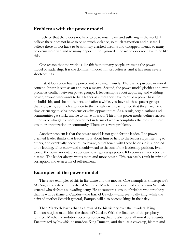#### **Problems with the power model**

I believe that there does not have to be so much pain and suffering in the world. I believe there does not have to be so much violence, so much starvation and disease. I believe there do not have to be so many crushed dreams and untapped talents, so many problems unsolved and so many opportunities ignored. The world does not have to be like this.

One reason that the world is like this is that many people are using the power model of leadership. It is the dominant model in most cultures, and it has some severe shortcomings.

First, it focuses on having power, not on using it wisely. There is no purpose or moral content. Power is seen as an end, not a means. Second, the power model glorifies and even promotes conflict between power groups. If leadership is about acquiring and wielding power, anyone who wants to be a leader assumes they have to build a power base. So he builds his, and she builds hers, and after a while, you have all these power groups that are paying so much attention to their rivalry with each other, that they have little time or energy to solve problems or seize opportunities. As a result, organizations and communities get stuck, unable to move forward. Third, the power model defines success in terms of who gains more power, not in terms of who accomplishes the most for their group or organization or community. These are severe problems.

Another problem is that the power model is not good for the leader. The poweroriented leader thinks that leadership is about him or her, so the leader stops listening to others, and eventually becomes irrelevant, out of touch with those he or she is supposed to be leading. That can—and should—lead to the loss of the leadership position. Even worse, the power-oriented leader can never get *enough* power. It becomes an addiction, a disease. The leader always wants more and more power. This can easily result in spiritual corruption and even a life of self-torment.

#### **Examples of the power model**

There are examples of this in literature and the movies. One example is Shakespeare's *Macbeth*, a tragedy set in medieval Scotland. Macbeth is a loyal and courageous Scottish general who defeats an invading army. He encounters a group of witches who prophesy that he will be thane of Cawdor—the Earl of Cawdor—and eventually king, while the heirs of another Scottish general, Banquo, will also become kings in their day.

Then Macbeth learns that as a reward for his victory over the invaders, King Duncan has just made him the thane of Cawdor. With the first part of the prophesy fulfilled, Macbeth's ambition becomes so strong that he abandons all moral constraints. Encouraged by his wife, he murders King Duncan, and then, as a cover-up, blames and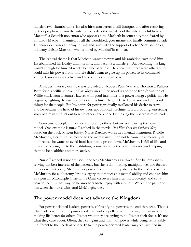murders two chamberlains. He also hires murderers to kill Banquo, and after receiving further prophesies from the witches, he orders the murders of the wife and children of Macduff, a Scottish nobleman who opposes him. Macbeth becomes a tyrant, feared by all. Lady Macbeth, haunted by all the bloodshed, goes insane and finally commits suicide. Duncan's son raises an army in England, and with the support of other Scottish nobles, his army defeats Macbeth, who is killed by Macduff in combat.

The central theme is that Macbeth wanted power, and his ambition corrupted him. He abandoned his loyalty and morality, and became a murderer. But becoming the king wasn't enough for him. Macbeth became paranoid. He knew that there were others who could take his power from him. He didn't want to give up his power, so he continued killing. Power was addictive, and he could never be at peace.

A modern literary example was provided by Robert Penn Warren, who won a Pulitzer Prize for his brilliant novel, *All the King's Men*.<sup>11</sup> The novel is about the transformation of Willie Stark from a country lawyer with good intentions to a power-hungry politician. He began by fighting the corrupt political machine. He got elected governor and did good things for the people. But his desire for power gradually swallowed his desire to serve, and he became the head of his own corrupt political machine. It is a brooding, unsettling story of a man who set out to serve others and ended by making them serve him instead.

Sometimes, people think they are serving others, but are really using the power model. One example is nurse Ratched in the movie, *One Flew Over the Cuckoo's Nest,* based on the book by Ken Kesey. Nurse Ratched works in a mental institution. Randle McMurphy, a criminal, is moved to the mental institution not because he is mentally ill but because he wants to avoid hard labor on a prison farm. McMurphy is full of life, and he wants to bring life to the institution, re-invigorating the other patients, and helping them to be healthier and more active.

Nurse Ratched is not amused—she sees McMurphy as a threat. She believes she is serving the best interests of the patients, but she is dominating, manipulative, and focused on her own authority. She uses her power to diminish the patients. In the end, she sends McMurphy for a lobotomy, brain surgery that reduces his mental ability and changes him as a person. McMurphy's friend the Chief discovers him after his lobotomy, and can't bear to see him that way, so he smothers McMurphy with a pillow. We feel the pain and loss when the nurse wins, and McMurphy dies.

#### **The power model does not advance the Kingdom**

For power-oriented leaders, power is self-justifying; power is the end they seek. That is why leaders who live the power model are not very effective in meeting human needs or making life better for others. It's not what they are trying to do. It's not their focus. It's not what they care about. Often, they can gain and maintain power while being remarkably indifferent to the needs of others. In fact, a power-oriented leader may feel justified in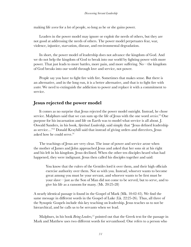making life *worse* for a lot of people, so long as he or she gains power.

Leaders in the power model may ignore or exploit the needs of others, but they are not good at addressing the needs of others. The power model perpetuates fear, war, violence, injustice, starvation, disease, and environmental degradation.

In short, the power model of leadership does not advance the kingdom of God. And we do not help the kingdom of God to break into our world by fighting power with more power. That just leads to more battles, more pain, and more suffering. No—the kingdom of God breaks into our world through love and service, not power.

People say you have to fight fire with fire. Sometimes that makes sense. But there is an alternative, and in the long run, it is a better alternative, and that is to fight fire with *water*. We need to extinguish the addiction to power and replace it with a commitment to service.

#### **Jesus rejected the power model**

It comes as no surprise that Jesus rejected the power model outright. Instead, he chose service. Malphurs said that we can sum up the life of Jesus with the one word *service*. 12 One purpose for his incarnation and life on Earth was to model what service is all about. J. Oswald Sanders, in his book, *Spiritual Leadership*, said simply that "Jesus defined leadership as service…"13 Donald Kraybill said that instead of giving orders and directives, Jesus asked how he could serve.<sup>14</sup>

The teachings of Jesus are very clear. The issue of power and service arose when the mother of James and John approached Jesus and asked that her sons sit at his right and his left in his kingdom. Jesus declined. When the other ten disciples heard what had happened, they were indignant. Jesus then called his disciples together and said:

You know that the rulers of the Gentiles lord it over them, and their high officials exercise authority over them. Not so with you. Instead, whoever wants to become great among you must be your servant, and whoever wants to be first must be your slave—just as the Son of Man did not come to be served, but to serve, and to give his life as a ransom for many. (Mt. 20:25-28)

A nearly identical passage is found in the Gospel of Mark (Mk. 10:42-45). We find the same message in different words in the Gospel of Luke (Lk. 22:25-26). Thus, all three of the Synoptic Gospels include this key teaching on leadership. Jesus teaches us to not be hierarchical, and he calls us to be servants when we lead.

Malphurs, in his book *Being Leaders,15* pointed out that the Greek text for the passage in Mark and Matthew uses two different words for servanthood. One refers to a person who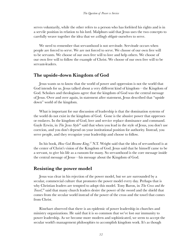serves voluntarily, while the other refers to a person who has forfeited his rights and is in a servile position in relation to his lord. Malphurs said that Jesus uses the two concepts to carefully weave together the idea that we *willingly obligate* ourselves to serve.

We need to remember that servanthood is not servitude. Servitude occurs when people are forced to serve. We are not forced to serve. We choose of our own free will to be servants. We choose of our own free will to love and help others. We choose of our own free will to follow the example of Christ. We choose of our own free will to be servant-leaders.

#### **The upside-down Kingdom of God**

Jesus wants us to know that the world of power and oppression is not the world that God intends for us. Jesus talked about a very different kind of kingdom—the Kingdom of God. Scholars and theologians agree that the kingdom of God was the central message of Jesus. Over and over again, in statement after statement, Jesus described that "upside down" world of the kingdom.

What is important for our discussion of leadership is that the domination systems of the world do not exist in the kingdom of God. Gone is the abusive power that oppresses or enslaves. In the kingdom of God, love and service replace dominance and command. Gayle Erwin, in *The Jesus Style<sup>16</sup>* said that when you lead in the style of Jesus, you don't use coercion, and you don't depend on your institutional position for authority. Instead, you serve people, and they recognize your leadership and choose to follow.

In his book, *How God Became King,17* N.T. Wright said that the idea of servanthood is at the center of Christ's vision of the Kingdom of God. Jesus said that he himself came to be a servant, to give his life as a ransom for many. So servanthood is the core message inside the central message of Jesus—his message about the Kingdom of God.

#### **Resisting the power model**

Jesus was clear in his rejection of the power model, but we are surrounded by a secular, commercial culture that promotes the power model every day. Perhaps that is why Christian leaders are tempted to adopt this model. Tony Baron, in *The Cross and the Towel*, 18 said that many church leaders desire the power of the sword and the shield that comes from the secular world instead of the power of the cross and the towel that comes from Christ.

Rinehart observed that there is an epidemic of power leadership in churches and ministry organizations. He said that it is so common that we've lost our immunity to power leadership. As we become more modern and sophisticated, we seem to accept the secular world's management philosophies to accomplish kingdom work. It's as though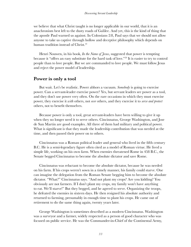we believe that what Christ taught is no longer applicable in our world, that it is an anachronism best left to the dusty roads of Galilee. And yet, this is the kind of thing that the apostle Paul warned us against. In Colossians 2:8, Paul says that we should not allow anyone to take us captive through hollow and deceptive philosophy which depends on human tradition instead of Christ.<sup>19</sup>

Henri Nouwen, in his book, *In the Name of Jesus*, suggested that power is tempting because it "offers an easy substitute for the hard task of love."20 It is easier to try to control people than to love people. But we are commanded to love people. We must follow Jesus and reject the power model of leadership.

#### **Power is only a tool**

But wait. Let's be realistic. Power abhors a vacuum. *Somebody* is going to exercise power. Can a servant-leader exercise power? Yes, but servant leaders see power as a tool, and they don't use power very often. On the rare occasions in which they must exercise power, they exercise it *with* others, not *over* others, and they exercise it to *serve and protect* others, not to benefit themselves.

Because power is only a tool, great servant-leaders have been willing to give it up when they no longer need it to serve others. Cincinnatus, George Washington, and Jose de San Martin are good examples. All three of them had military and political power. What is significant is that they made the leadership contribution that was needed at the time, and then passed their power on to others.

Cincinnatus was a Roman political leader and general who lived in the fifth century B.C. He is a semi-legendary figure often cited as a model of Roman virtue. He lived a simple life, working on his own farm. When enemies threatened Rome in 458 B.C., the Senate begged Cincinnatus to become the absolute dictator and save Rome.

Cincinnatus was reluctant to become the absolute dictator, because he was needed on his farm. If his crops weren't sown in a timely manner, his family could starve. One can imagine the delegation from the Roman Senate begging him to become the absolute dictator. "What?" Cincinnatus says. "And not plant my crops? Are you kidding? You obviously are not farmers. If I don't plant my crops, my family won't have anything to eat. We'll starve!" But they begged, and he agreed to serve. Organizing the troops, he defeated the enemies in sixteen days. He then resigned his absolute authority and returned to farming, presumably in enough time to plant his crops. He came out of retirement to do the same thing again, twenty years later.

George Washington is sometimes described as a modern Cincinnatus. Washington was a surveyor and a farmer, widely respected as a person of good character who was focused on public service. He was the Commander-in-Chief of the Continental Army,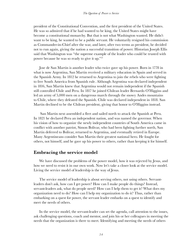president of the Constitutional Convention, and the first president of the United States. He was so admired that if he had wanted to be king, the United States might have become a constitutional monarchy. But that is not what Washington wanted. He didn't want to be king, he wanted to be a public servant. He voluntarily resigned his commission as Commander-in-Chief after the war, and later, after two terms as president, he decided not to run again, giving the nation a successful transition of power. Historian Joseph Ellis said that Washington was "the supreme example of the leader who could be trusted with power because he was so ready to give it up."21

Jose de San Martin is another leader who twice gave up his power. Born in 1778 in what is now Argentina, San Martin received a military education in Spain and served in the Spanish Army. In 1812 he returned to Argentina to join the rebels who were fighting to free South America from Spanish rule. Although Argentina was declared independent in 1816, San Martin knew that Argentina would not remain independent if the Spanish still controlled Chile and Peru. In 1817 he joined Chilean leader Bernardo O'Higgins and led an army of 5,000 men on a dangerous march through the snowy Andes mountains to Chile, where they defeated the Spanish. Chile was declared independent in 1818. San Martin declined to be the Chilean president, giving that honor to O'Higgins instead.

 San Martin next assembled a fleet and sailed north to attack the Spanish at Peru. In 1821 he declared Peru an independent nation, and was named the governor. When his vision of how to organize the newly independent countries of South America came in conflict with another patriot, Simon Bolivar, who had been fighting further north, San Martin deferred to Bolivar, returned to Argentina, and eventually retired in Europe. Many Argentineans consider San Martin their greatest national hero. He fought for others, not himself, and he gave up his power to others, rather than keeping it for himself.

# **Embracing the service model**

We have discussed the problems of the power model, how it was rejected by Jesus, and how we need to resist it in our own work. Now let's take a closer look at the service model. Living the service model of leadership is the way of Jesus.

The service model of leadership is about serving others, not using others. Servantleaders don't ask, how can I get power? How can I make people do things? Instead, servant-leaders ask, what do people need? How can I help them to get it? What does my organization need to do? How can I help my organization to do it? Thus, rather than embarking on a quest for power, the servant leader embarks on a quest to identify and meet the needs of others.

In the service model, the servant-leader can set the agenda, call attention to the issues, ask challenging questions, coach and mentor, and join his or her colleagues in meeting the needs that the organization is there to meet. Identifying and meeting the needs of others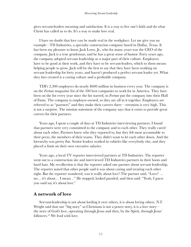gives servant-leaders meaning and satisfaction. It is a way to live one's faith and do what Christ has called us to do. It's a way to make love real.

I have no doubt that love can be made real in the workplace. Let me give you an example—TD Industries, a specialty construction company based in Dallas, Texas. It has been my pleasure to know Jack Lowe, Jr., who for many years was the CEO of the company. Jack is a true gentleman, and he has a great sense of humor. Forty years ago, the company adopted servant leadership as a major part of their culture. Employees have to be good at their work, and they have to be servant-leaders, which to them means helping people to grow. Jack will be the first to say that they have been working on servant leadership for forty years, and haven't produced a perfect servant leader yet. What they *have* created is a caring culture and a profitable company.

TDI's 2,300 employees do nearly \$600 million in business every year. The company is on the *Fortune* magazine list of the 100 best companies to work for in America. They have been on the list every year since the list started, so *Fortune* put the company into their Hall of Fame. The company is employee-owned, so they are all in it together. Employees are referred to as "partners" and they make their careers there—retention is very high. This is not a surprise. The mission statement of the company says that it exists to provide great careers for their partners.

Years ago, I spent a couple of days at TD Industries interviewing partners. I found that partners were very committed to the company and to each other. They really cared about each other. Partners knew who they reported to, but they felt most accountable to their peers, the members of their teams. They didn't want to let each other down. And the hierarchy was pretty flat. Senior leaders worked in cubicles like everybody else, and they placed a limit on their own executive salaries.

Years ago, a local TV reporter interviewed partners at TD Industries. The reporter went out to a construction site and interviewed TD Industries partners in their boots and hard hats. My recollection is that the reporter asked one partner about servant leadership. The reporter noted that other people said it was about caring and treating each other right. But the reporter wondered, was it really about love? The partner said, "Love? … no… it's about… I mean…" He stopped, looked puzzled, and then said: "Yeah, I guess you *could* say it's about love."

#### **A network of love**

Servant-leadership is not about lording it over others, it is about loving others. N.T. Wright said that our "big story" as Christians is not a power story, it is a love story the story of God's love, operating through Jesus and then, by the Spirit, through Jesus' followers.22 We lead with love.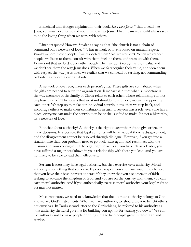Blanchard and Hodges explained in their book, *Lead Like Jesus,23* that to lead like Jesus, you must love Jesus, and you must love *like* Jesus. That means we should always seek to do the loving thing when we work with others.

Rinehart quoted Howard Snyder as saying that "the church is not a chain of command but a network of love."24 That network of love is based on mutual respect. Would we lord it over people if we respected them? No, we wouldn't. When we respect people, we listen to them, consult with them, include them, and team up with them. Erwin said that we lord it over other people when we don't recognize their value and we don't see them the way Jesus does. When we *do* recognize their value, and view them with respect the way Jesus does, we realize that we can lead by serving, not commanding. Nobody has to lord it over anybody.

A network of love recognizes each person's gifts. These gifts are contributed when the gifts are needed to serve the organization. Rinehart said that what is important is the way members of the family of Christ relate to each other. Those relationships do not emphasize rank.<sup>25</sup> The idea is that we stand shoulder to shoulder, mutually supporting each other. We step up to make our individual contributions, then we step back, and encourage others to make their contributions in turn. Everyone has a role; everyone has a place; everyone can make the contribution he or she is gifted to make. It's not a hierarchy, it's a network of love.

But what about authority? Authority is the right to act—the right to give orders or make decisions. It is possible that legal authority will be an issue if there is disagreement, and the disagreement cannot be resolved through dialogue. However, if you get into a situation like that, you probably need to go back, start again, and reconnect with the mission and your colleagues. If the legal right to act is all you have left as a leader, you have suffered a major breakdown in your relationship with those you lead, and you are not likely to be able to lead them effectively.

Servant-leaders may have legal authority, but they exercise *moral* authority. Moral authority is something that you earn. If people respect you and trust you; if they believe that you have their best interests at heart; if they know that you are a person of faith seeking to advance the kingdom of God, and you are on the journey with them, you can earn moral authority. And if you authentically exercise moral authority, your legal right to act may not matter.

Most important, we need to acknowledge that the ultimate authority belongs to God, and we are God's instruments. When we have authority, we should use it to benefit others, not ourselves. In Paul's second letter to the Corinthians, he referred to his authority as "the authority the Lord gave me for building you up, not for tearing you down." We can use authority not to make people do things, but to help people grow in their faith and service.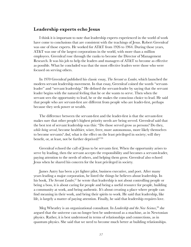# **Leadership experts echo Jesus**

I think it is important to note that leadership experts experienced in the world of work have come to conclusions that are consistent with the teachings of Jesus. Robert Greenleaf was one of those experts. He worked for AT&T from 1926 to 1964. During those years, AT&T was one of the largest corporations in the world, with more than a million employees. Greenleaf rose through the ranks to become the Director of Management Research. It was his job to help the leaders and managers of AT&T to become as effective as possible. What he concluded was that the most effective leaders were those who were focused on serving others.

In 1970 Greenleaf published his classic essay, *The Servant as Leader*, which launched the modern servant leadership movement. In that essay, Greenleaf coined the words "servantleader" and "servant leadership." He defined the servant-leader by saying that the servant leader begins with the natural feeling that he or she wants to serve. Then when the servant sees the opportunity to lead, he or she makes the conscious choice to lead. He said that people who are servant-first are different from people who are leader-first, perhaps because they seek power or wealth.

The difference between the servant-first and the leader-first is that the servant-first makes sure that other people's highest priority needs are being served. Greenleaf said that the best test of servant leadership was this: "Do those served grow as persons? Do they, *while being served*, become healthier, wiser, freer, more autonomous, more likely themselves to become servants? *And*, what is the effect on the least privileged in society; will they benefit, or, at least, not be further deprived?"<sup>26</sup>

Greenleaf echoed the call of Jesus to be servants first. When the opportunity arises to serve by leading, then the servant accepts the responsibility and becomes a servant-leader, paying attention to the needs of others, and helping them grow. Greenleaf also echoed Jesus when he shared his concern for the least privileged in society.

James Autry has been a jet fighter pilot, business executive, and poet. After many years leading a major corporation, he listed the things he believes about leadership. In his book, *The Servant Leader*, 27 he wrote that leadership is not about controlling people or being a boss, it is about caring for people and being a useful resource for people, building a community at work, and being authentic. It's about creating a place where people can find meaning in their work, and bring their spirits to work. He said that leadership, like life, is largely a matter of paying attention. Finally, he said that leadership requires love.

Meg Wheatley is an organizational consultant. In *Leadership and the New Science*, 28 she argued that the universe can no longer best be understood as a machine, as in Newtonian physics. Rather, it is best understood in terms of relationships and connections, as in quantum physics. She said that we need to become much better at building relationships.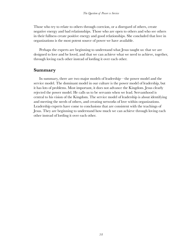Those who try to relate to others through coercion, or a disregard of others, create negative energy and bad relationships. Those who are open to others and who see others in their fullness create positive energy and good relationships. She concluded that love in organizations is the most potent source of power we have available.

Perhaps the experts are beginning to understand what Jesus taught us: that we are designed to love and be loved, and that we can achieve what we need to achieve, together, through loving each other instead of lording it over each other.

### **Summary**

In summary, there are two major models of leadership—the power model and the service model. The dominant model in our culture is the power model of leadership, but it has lots of problems. Most important, it does not advance the Kingdom. Jesus clearly rejected the power model. He calls us to be servants when we lead. Servanthood is central to his vision of the Kingdom. The service model of leadership is about identifying and meeting the needs of others, and creating networks of love within organizations. Leadership experts have come to conclusions that are consistent with the teachings of Jesus. They are beginning to understand how much we can achieve through loving each other instead of lording it over each other.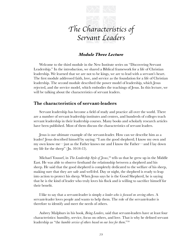# *The Characteristics of Servant Leaders*

# *Module Three Lecture*

Welcome to the third module in the New Institute series on "Discovering Servant Leadership." In the introduction, we shared a Biblical framework for a life of Christian leadership. We learned that we are not to be kings, we are to lead with a servant's heart. The first module addressed faith, love, and service as the foundation for a life of Christian leadership. The second module described the power model of leadership, which Jesus rejected, and the service model, which embodies the teachings of Jesus. In this lecture, we will be talking about the characteristics of servant leaders.

# **The characteristics of servant-leaders**

Servant leadership has become a field of study and practice all over the world. There are a number of servant leadership institutes and centers, and hundreds of colleges teach servant leadership in their leadership courses. Many books and scholarly research articles have been published. Most of them discuss the characteristics of servant leaders.

Jesus is our ultimate example of the servant-leader. How can we describe him as a leader? Jesus described himself by saying: "I am the good shepherd; I know my own and my own know me—just as the Father knows me and I know the Father—and I lay down my life for the sheep" (Jn. 10:14-15).

Michael Youssef, in *The Leadership Style of Jesus*, 29 tells us that he grew up in the Middle East. He was able to observe firsthand the relationship between a shepherd and his sheep. He said that the good shepherd is completely dedicated to the welfare of his sheep, making sure that they are safe and well-fed. Day or night, the shepherd is ready to leap into action to protect his sheep. When Jesus says he is the Good Shepherd, he is saying that he is the kind of leader who truly loves his flock and is willing to sacrifice himself for their benefit.

I like to say that a servant-leader is simply *a leader who is focused on serving others.* A servant-leader loves people and wants to help them. The role of the servant-leader is therefore to identify and meet the needs of others.

Aubrey Malphurs in his book, *Being Leaders*, said that servant-leaders have at least four characteristics: humility, service, focus on others, and love. That is why he defined servant leadership as "the *humble service of others based on our love for them*."30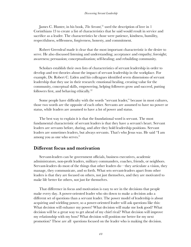James C. Hunter, in his book, *The Servant*, 31 used the description of love in 1 Corinthians 13 to create a list of characteristics that he said would result in service and sacrifice as a leader. The characteristics he chose were patience, kindness, humility, respectfulness, selflessness, forgiveness, honesty, and commitment.

Robert Greenleaf made it clear that the most important characteristic is the desire to serve. He also discussed listening and understanding; acceptance and empathy; foresight; awareness; persuasion; conceptualization; self-healing; and rebuilding community.

Scholars establish their own lists of characteristics of servant leadership in order to develop and test theories about the impact of servant leadership in the workplace. For example, Dr. Robert C. Liden and his colleagues identified seven dimensions of servant leadership that they use in their research: emotional healing, creating value for the community, conceptual skills, empowering, helping followers grow and succeed, putting followers first, and behaving ethically.<sup>32</sup>

Some people have difficulty with the words "servant leader," because in most cultures, those two words are the opposite of each other. Servants are assumed to have no power or status, while leaders are assumed to have a lot of power and status.

The best way to explain it is that the foundational word is servant. The most fundamental characteristic of servant leaders is that they have a servant's heart. Servant leaders are servants before, during, and after they hold leadership positions. Servant leaders are sometimes leaders, but always servants. That's who Jesus was. He said "I am among you as one who serves."

# **Different focus and motivation**

Servant-leaders can be government officials, business executives, academic administrators, non-profit leaders, military commanders, coaches, friends, or neighbors. Servant-leaders do most of the things that other leaders do—they articulate a vision, they manage, they communicate, and so forth. What sets servant-leaders apart from other leaders is that they are focused on others, not just themselves, and they are motivated to make life better for others, not just for themselves.

That difference in focus and motivation is easy to see in the decisions that people make every day. A power-oriented leader who sits down to make a decision asks a different set of questions than a servant leader. The power model of leadership is about acquiring and wielding power, so a power-oriented leader will ask questions like this: What decision will enhance my power? What decision will make me look good? What decision will be a great way to get ahead of my chief rival? What decision will improve my relationship with my boss? What decision will position me better for my next promotion? These are all questions focused on the leader who is making the decision.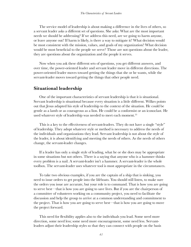The service model of leadership is about making a difference in the lives of others, so a servant leader asks a different set of questions. She asks: What are the most important needs we should be addressing? If we address this need, are we going to harm anyone, or leave anyone out? If harm is likely, is there a way to mitigate it? What decision would be most consistent with the mission, values, and goals of my organization? What decision would be most beneficial to the people we serve? Those are not questions about the leader, they are questions about the organization and the people it serves.

Now when you ask these different sets of questions, you get different answers, and over time, the power-oriented leader and servant leader move in different directions. The power-oriented leader moves toward getting the things that she or he wants, while the servant-leader moves toward getting the things that other people need.

#### **Situational leadership**

One of the important characteristics of servant leadership is that it is situational. Servant leadership is situational because every situation is a little different. Wilkes points out that Jesus adapted his style of leadership to the context of the situation. He could be gentle as a lamb or as courageous as a lion. He could be a conformist or an iconoclast. He used whatever style of leadership was needed to meet each moment.<sup>33</sup>

This is a key to the effectiveness of servant-leaders. They do not have a single "style" of leadership. They adopt whatever style or method is necessary to address the needs of the individuals and organizations they lead. Servant leadership is not about the style of the leader, it is about identifying and meeting the needs of others. As the needs of others change, the servant-leader changes.

If a leader has only a single style of leading, what he or she does may be appropriate in some situations but not others. There is a saying that anyone who is a hammer thinks every problem is a nail. A servant-leader isn't a hammer. A servant-leader is the whole toolbox. The servant-leader uses whatever tool is most appropriate in the circumstances.

To take two obvious examples, if you are the captain of a ship that is sinking, you need to issue orders to get people into the lifeboats. You should still listen, to make sure the orders you issue are accurate, but your role is to command. That is how you are going to serve best—that is how you are going to save lives. But if you are the chairperson of a committee of volunteers working on a community project, you need to facilitate the discussion and help the group to arrive at a common understanding and commitment to the project. That is how you are going to serve best—that is how you are going to move the project forward.

This need for flexibility applies also to the individuals you lead. Some need more direction, some need less; some need more encouragement, some need less. Servantleaders adjust their leadership styles so that they can connect with people on the basis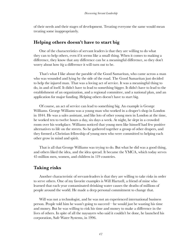of their needs and their stages of development. Treating everyone the same would mean treating some inappropriately.

#### **Helping others doesn't have to start big**

One of the characteristics of servant leaders is that they are willing to do what they can to help others, even if it seems like a small thing. When it comes to making a difference, they know that any difference can be a meaningful difference, so they don't worry about how *big* a difference it will turn out to be.

That's what I like about the parable of the Good Samaritan, who came across a man who was wounded and lying by the side of the road. The Good Samaritan just decided to help the injured man. That was a loving act of service. It was a meaningful thing to do, in and of itself. It didn't have to lead to something bigger. It didn't have to lead to the establishment of an organization, and a regional committee, and a national plan, and an application for major funding. Helping others doesn't have to start big.

Of course, an act of service can lead to something big. An example is George Williams. George Williams was a young man who worked in a draper's shop in London in 1844. He was a sales assistant, and like lots of other young men in London at the time, he worked ten to twelve hours a day, six days a week. At night, he slept in a crowded room over his workplace. Williams noticed that young men like himself had few positive alternatives to life on the streets. So he gathered together a group of other drapers, and they formed a Christian fellowship of young men who were committed to helping each other grow in mind and spirit.

That is all that George Williams was trying to do. But what he did was a good thing, and others liked the idea, and the idea spread. It became the YMCA, which today serves 45 million men, women, and children in 119 countries.

#### **Taking risks**

Another characteristic of servant-leaders is that they are willing to take risks in order to serve others. One of my favorite examples is Will Hartzell, a friend of mine who learned that each year contaminated drinking water causes the deaths of millions of people around the world. He made a deep personal commitment to change that.

Will was not a technologist, and he was not an experienced international business person. People told him he wasn't going to succeed—he would just be wasting his time and money. But he was willing to risk his time and money to make a difference in the lives of others. In spite of all the naysayers who said it couldn't be done, he launched his corporation, Safe Water Systems, in 1996.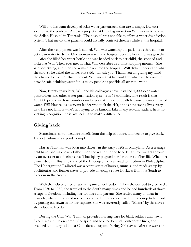Will and his team developed solar water pasteurizers that are a simple, low-cost solution to the problem. An early project that left a big impact on Will was in Africa, at the Selian Hospital in Tanzania. The hospital was not able to afford a water disinfection system. That meant that patients could actually contract diseases while at the hospital.

After their equipment was installed, Will was watching the patients as they came to get clean water to drink. One woman was in the hospital because her child was gravely ill. After she filled her water bottle and was headed back to her child, she stopped and looked at Will. Their eyes met in what Will describes as a time-stopping moment. She said something, and then she walked back into the hospital. Will didn't understand what she said, so he asked the nurse. She said, "Thank you. Thank you for giving my child the chance to live." At that moment, Will knew that he would do whatever he could to provide safe drinking water for as many people as possible all over the world.

Now, twenty years later, Will and his colleagues have installed 4,000 solar water pasteurizers and other water purification systems in 53 countries. The result is that 400,000 people in those countries no longer risk illness or death because of contaminated water. Will Hartzell is a servant leader who took the risk, and is now saving lives every day. He's not famous—he's not trying to be famous. Like many servant leaders, he is not seeking recognition, he is just seeking to make a difference.

# **Giving back**

Sometimes, servant leaders benefit from the help of others, and decide to give back. Harriet Tubman is a good example.

Harriet Tubman was born into slavery in the early 1820s in Maryland. As a teenage field hand, she was nearly killed when she was hit in the head by an iron weight thrown by an overseer at a fleeing slave. That injury plagued her for the rest of her life. When her owner died in 1849, she traveled the Underground Railroad to freedom in Philadelphia. The Underground Railroad was a secret series of houses, tunnels, and roads set up by abolitionists and former slaves to provide an escape route for slaves from the South to freedom in the North.

With the help of others, Tubman gained her freedom. Then she decided to give back. From 1850 to 1860, she traveled to the South many times and helped hundreds of slaves escape to freedom, including her brothers and parents. She settled many of them in Canada, where they could not be recaptured. Southerners tried to put a stop to her work by putting out rewards for her capture. She was reverently called "Moses" by the slaves she helped to freedom.

During the Civil War, Tubman provided nursing care for black soldiers and newly freed slaves in Union camps. She spied and scouted behind Confederate lines, and even led a military raid on a Confederate outpost, freeing 700 slaves. After the war, she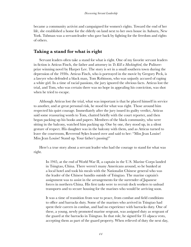became a community activist and campaigned for women's rights. Toward the end of her life, she established a home for the elderly on land next to her own house in Auburn, New York. Tubman was a servant-leader who gave back by fighting for the freedom and rights of others.

# **Taking a stand for what is right**

Servant leaders often take a stand for what is right. One of my favorite servant leaders in fiction is Atticus Finch, the father and attorney in *To Kill a Mockingbird*, the Pulitzerprize winning novel by Harper Lee. The story is set in a small southern town during the depression of the 1930s. Atticus Finch, who is portrayed in the movie by Gregory Peck, is a lawyer who defended a black man, Tom Robinson, who was unjustly accused of raping a white girl. In a time of racial passions, the jury ignored the obvious facts. Atticus lost the trial, and Tom, who was certain there was no hope in appealing his conviction, was shot when he tried to escape.

Although Atticus lost the trial, what was important is that he placed himself in service to another, and at great personal risk, he stood for what was right. Those around him respected his quiet courage. Immediately after the jury issued its guilty verdict, Atticus said some reassuring words to Tom, chatted briefly with the court reporter, and then began packing up his books and papers. Members of the black community, who were sitting in the balcony, watched him packing up. One by one, they stood up, in a silent gesture of respect. His daughter was in the balcony with them, and as Atticus turned to leave the courtroom, Reverend Sykes leaned over and said to her: "Miss Jean Louise! Miss Jean Louise! Stand up. Your father's passing!"

Here's a true story about a servant leader who had the courage to stand for what was right.

In 1945, at the end of World War II, a captain in the U.S. Marine Corps landed in Tsingtao, China. There weren't many Americans around, so he bunked at a local hotel and took his meals with the Nationalist Chinese general who was the leader of the Chinese bandits outside of Tsingtao. The marine captain's assignment was to assist in the arrangements for the surrender of Japanese forces in northern China. His first tasks were to recruit dock workers to unload transports and to secure housing for the marines who would be arriving soon.

It was a time of transition from war to peace, from combat and field conditions to office and barracks duty. Some of the marines who arrived in Tsingtao had spent their careers in combat, and had no experience with barracks duty. One of these, a young, newly promoted marine sergeant, was assigned duty as sergeant of the guard at the barracks in Tsingtao. In that role, he signed for 35 alpaca vests, accepting them as part of the guard property. When relieved of duty the next day,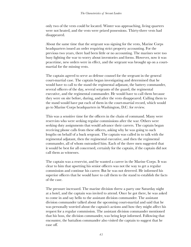only two of the vests could be located. Winter was approaching, living quarters were not heated, and the vests were prized possessions. Thirty-three vests had disappeared.

About the same time that the sergeant was signing for the vests, Marine Corps headquarters issued an order requiring strict property accounting. For the previous two years, there had been little or no accounting. The marines were too busy fighting the war to worry about inventories and forms. However, now it was peacetime, new orders were in effect, and the sergeant was brought up on a courtmartial for the missing vests.

The captain agreed to serve as defense counsel for the sergeant in the general court-martial case. The captain began investigating and determined that he would have to call to the stand the regimental adjutant, the battery commander, several officers of the day, several sergeants of the guard, the regimental executive, and the regimental commander. He would have to call them because they were on site before, during, and after the vests disappeared. Calling them to the stand would have put each of them in the court-martial record, which would go to Marine Corps headquarters in Washington, D.C. for review.

This was a sensitive time for the officers in the chain of command. Many were reservists who were seeking regular commissions after the war. Others were seeking duty assignments that would advance their careers. The captain began receiving phone calls from these officers, asking why he was going to such lengths on behalf of a buck sergeant. The captain was called in to talk with the regimental adjutant, then the regimental executive, and then the regimental commander, all of whom outranked him. Each of the three men suggested that it would be best for all concerned, certainly for the captain, if the captain did not call them as witnesses.

The captain was a reservist, and he wanted a career in the Marine Corps. It was clear to him that upsetting his senior officers was not the way to get a regular commission and continue his career. But he was not deterred. He informed his superior officers that he would have to call them to the stand to establish the facts of the case.

The pressure increased. The marine division threw a party one Saturday night at a hotel, and the captain was invited to attend. Once he got there, he was asked to come in and say hello to the assistant division commander. The assistant division commander talked about the upcoming court-martial and said that he was personally worried about the captain's actions and how they might affect his request for a regular commission. The assistant division commander mentioned that his boss, the division commander, was being kept informed. Following that encounter, the battalion commander also visited the captain to suggest that he ease off.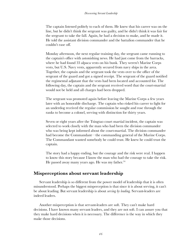The captain listened politely to each of them. He knew that his career was on the line, but he didn't think the sergeant was guilty, and he didn't think it was fair for the sergeant to take the fall. Again, he had a decision to make, and he made it. He told the assistant division commander and the battalion commander that he couldn't ease off.

Monday afternoon, the next regular training day, the sergeant came running to the captain's office with astonishing news. He had just come from the barracks, where he had found 33 alpaca vests on his bunk. They weren't Marine Corps vests, but U.S. Navy vests, apparently secured from navy ships in the area. Together, the captain and the sergeant took the vests over to the office of the sergeant of the guard and got a signed receipt. The sergeant of the guard notified the regimental adjutant that the vests had been located and accounted for. The following day, the captain and the sergeant received word that the court-martial would not be held and all charges had been dropped.

The sergeant was promoted again before leaving the Marine Corps a few years later with an honorable discharge. The captain who risked his career to fight for an underdog received the regular commission he sought and rose through the ranks to become a colonel, serving with distinction for thirty years.

Seven or eight years after the Tsingtao court martial incident, the captain was selected to work closely with the man who had been the division commander who was being kept informed about the court-martial. The division commander had become the Commandant—the commanding general of the Marine Corps. The Commandant wanted somebody he could trust. He knew he could trust the captain.

The story had a happy ending, but the courage and the risk were real. I happen to know this story because I know the man who had the courage to take the risk. He passed away many years ago. He was my father. $34$ 

# **Misperceptions about servant leadership**

Servant leadership is so different from the power model of leadership that it is often misunderstood. Perhaps the biggest misperception is that since it is about serving, it can't be about leading. But servant leadership is about *serving by leading.* Servant-leaders are indeed leaders.

Another misperception is that servant-leaders are soft. They can't make hard decisions. I have known many servant leaders, and they are not soft. I can assure you that they make hard decisions when it is necessary. The difference is the way in which they make those decisions.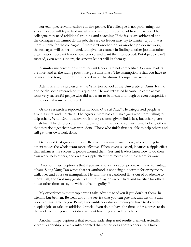For example, servant leaders can fire people. If a colleague is not performing, the servant leader will try to find out why, and will do his best to address the issues. The colleague may need additional training and coaching. If the issues are addressed and the colleague still cannot do the job, the servant leader may try to identify a job that is more suitable for the colleague. If there isn't another job, or another job doesn't work, the colleague will be terminated, and given assistance in finding another job at another organization. Servant leaders love people, and want them to succeed. But if people can't succeed, even with support, the servant leader will let them go.

A similar misperception is that servant leaders are not competitive. Servant leaders are nice, and as the saying goes, nice guys finish last. The assumption is that you have to be mean and tough in order to succeed in our hard-nosed competitive world.

Adam Grant is a professor at the Wharton School at the University of Pennsylvania, and he did some research on this question. He was intrigued because he came across some very successful people who did not seem to be mean and tough or even competitive in the normal sense of the word.

Grant's research is reported in his book, *Give and Take*. 35 He categorized people as givers, takers, and matchers. The "givers" were basically nice guys who were willing to help others. What Grant discovered is that yes, some givers finish last, but other givers finish first. The difference is that those who finish last spend so much time helping others that they don't get their own work done. Those who finish first are able to help others and still get their own work done.

Grant said that givers are most effective in a team environment, where giving to others makes the whole team more effective. When givers succeed, it causes a ripple effect that enhances the success of people around them. Servant leaders know how to do their own work, help others, and create a ripple effect that moves the whole team forward.

 Another misperception is that if you are a servant-leader, people will take advantage of you. Siang-Yang Tan wrote that servanthood is not being a doormat for everyone to walk over and abuse or manipulate. He said that servanthood flows out of obedience to God's will, and God may guide us at times to lay down our lives and sacrifice for others, but at other times to say no without feeling guilty.<sup>36</sup>

My experience is that people won't take advantage of you if you don't let them. Be friendly but be firm. Be clear about the service that you can provide, and the time and resources available to you. Being a servant-leader doesn't mean you have to do other people's jobs or take on additional work, if you do not have the time and resources to do the work well, or you cannot do it without harming yourself or others.

Another misperception is that servant leadership is not results-oriented. Actually, servant leadership is *more* results-oriented than other ideas about leadership. That's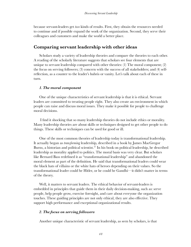because servant-leaders get *two* kinds of results. First, they obtain the resources needed to continue and if possible expand the work of the organization. Second, they serve their colleagues and customers and make the world a better place.

#### **Comparing servant leadership with other ideas**

Scholars study a variety of leadership theories and compare the theories to each other. A reading of the scholarly literature suggests that scholars see four elements that are unique to servant leadership compared with other theories: (1) The moral component; (2) the focus on serving followers; (3) concern with the success of all stakeholders; and (4) selfreflection, as a counter to the leader's hubris or vanity. Let's talk about each of these in turn.

#### *1. The moral component*

One of the unique characteristics of servant leadership is that it is ethical. Servant leaders are committed to treating people right. They also create an environment in which people can raise and discuss moral issues. They make it possible for people to challenge moral decisions.

 I find it shocking that so many leadership theories do not include ethics or morality. Many leadership theories are about skills or techniques designed to get other people to do things. These skills or techniques can be used for good or ill.

One of the most common theories of leadership today is transformational leadership. It actually began as *transforming* leadership, described in a book by James MacGregor Burns, a historian and political scientist.<sup>37</sup> In his book on political leadership, he described leadership as morality applied to politics. The moral basis was very clear. But scholars like Bernard Bass redefined it as "transformational leadership" and abandoned the moral element as part of the definition. He said that transformational leaders could wear the black hats of villains or the white hats of heroes depending on their values. So the transformational leader could be Hitler, or he could be Gandhi—it didn't matter in terms of the theory.

Well, it matters to servant leaders. The ethical behavior of servant-leaders is embedded in principles that guide them in their daily decision-making, such as: serve people, help people grow, exercise foresight, and care about everyone the organization touches. These guiding principles are not only ethical, they are also effective. They support high performance and exceptional organizational results.

#### *2. The focus on serving followers*

Another unique characteristic of servant leadership, as seen by scholars, is that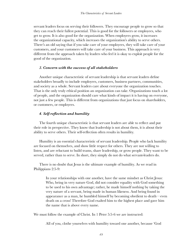servant leaders focus on serving their followers. They encourage people to grow so that they can reach their fullest potential. This is good for the followers or employees, who get to grow. It is also good for the organization. When employees grow, it increases the organizational capacity, which increases the organization's ability to serve others. There's an old saying that if you take care of your employees, they will take care of your customers, and your customers will take care of your business. This approach is very different from the approach taken by leaders who feel it is okay to exploit people for the good of the organization.

#### *3. Concern with the success of all stakeholders*

Another unique characteristic of servant leadership is that servant leaders define stakeholders broadly to include employees, customers, business partners, communities, and society as a whole. Servant leaders care about everyone the organization touches. That is the only truly ethical position an organization can take. Organizations touch a lot of people, and the organization should care what kinds of impact it is having on everyone, not just a few people. This is different from organizations that just focus on shareholders, or customers, or employees.

#### *4. Self-reflection and humility*

The fourth unique characteristic is that servant leaders are able to reflect and put their role in perspective. They know that leadership is not about them, it is about their ability to serve others. Their self-reflection often results in humility.

Humility is an essential characteristic of servant leadership. People who lack humility are focused on themselves, and show little respect for others. They are not willing to listen, and are reluctant to build teams, share leadership, or grow people. They want to be served, rather than to serve. In short, they simply do not do what servant-leaders do.

There is no doubt that Jesus is the ultimate example of humility. As we read in Philippians 2:5-9:

In your relationships with one another, have the same mindset as Christ Jesus: Who, being in very nature God, did not consider equality with God something to be used to his own advantage; rather, he made himself nothing by taking the very nature of a servant, being made in human likeness. And being found in appearance as a man, he humbled himself by becoming obedient to death—even death on a cross! Therefore God exalted him to the highest place and gave him the name that is above every name.

We must follow the example of Christ. In 1 Peter 5:5-6 we are instructed:

All of you, clothe yourselves with humility toward one another, because 'God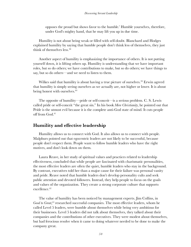opposes the proud but shows favor to the humble.' Humble yourselves, therefore, under God's mighty hand, that he may lift you up in due time.

Humility is not about being weak or filled with self-doubt. Blanchard and Hodges explained humility by saying that humble people don't think less of themselves, they just think of themselves less.38

Another aspect of humility is emphasizing the importance of others. It is not putting yourself down, it is lifting others up. Humility is understanding that we have important roles, but so do others; we have contributions to make, but so do others; we have things to say, but so do others—and we need to listen to them.

Wilkes said that humility is about having a true picture of ourselves.<sup>39</sup> Erwin agreed that humility is simply seeing ourselves as we actually are, not higher or lower. It is about being honest with ourselves.<sup>40</sup>

The opposite of humility—pride or self-conceit—is a serious problem. C. S. Lewis called pride or self-conceit "the great sin." In his book *Mere Christianity*, he pointed out that Pride is the utmost evil because it is the complete anti-God state of mind. It cuts people off from God.<sup>41</sup>

# **Humility and effective leadership**

Humility allows us to connect with God. It also allows us to connect with people. Malphurs pointed out that egocentric leaders are not likely to be successful, because people don't respect them. People want to follow humble leaders who have the right motives, and don't look down on them.

Laura Reave, in her study of spiritual values and practices related to leadership effectiveness, concluded that while people are fascinated with charismatic personalities, the most effective leaders are often the quiet, humble leaders who stay in the background. By contrast, executives told her than a major cause for their failure was personal vanity and pride. Reave noted that humble leaders don't develop personality cults and seek public attention and devoted followers. Instead, they help people to focus on the goals and values of the organization. They create a strong corporate culture that supports excellence.<sup>42</sup>

The value of humility has been noticed by management experts. Jim Collins, in *Good to Great*, <sup>43</sup> researched successful companies. The most effective leaders, whom he called Level 5 leaders, were humble about themselves while being very ambitious for their businesses. Level 5 leaders did not talk about themselves, they talked about their companies and the contributions of other executives. They were modest about themselves, but had ferocious resolve when it came to doing whatever needed to be done to make the company great.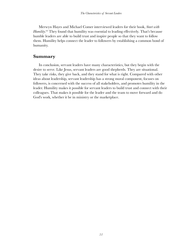Merwyn Hayes and Michael Comer interviewed leaders for their book, *Start with Humility*. <sup>44</sup> They found that humility was essential to leading effectively. That's because humble leaders are able to build trust and inspire people so that they want to follow them. Humility helps connect the leader to followers by establishing a common bond of humanity.

#### **Summary**

In conclusion, servant leaders have many characteristics, but they begin with the desire to serve. Like Jesus, servant leaders are good shepherds. They are situational. They take risks, they give back, and they stand for what is right. Compared with other ideas about leadership, servant leadership has a strong moral component, focuses on followers, is concerned with the success of all stakeholders, and promotes humility in the leader. Humility makes it possible for servant leaders to build trust and connect with their colleagues. That makes it possible for the leader and the team to move forward and do God's work, whether it be in ministry or the marketplace.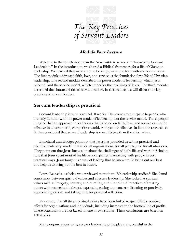

### *Module Four Lecture*

Welcome to the fourth module in the New Institute series on "Discovering Servant Leadership." In the introduction, we shared a Biblical framework for a life of Christian leadership. We learned that we are not to be kings, we are to lead with a servant's heart. The first module addressed faith, love, and service as the foundation for a life of Christian leadership. The second module described the power model of leadership, which Jesus rejected, and the service model, which embodies the teachings of Jesus. The third module described the characteristics of servant leaders. In this lecture, we will discuss the key practices of servant leaders.

# **Servant leadership is practical**

Servant leadership is very practical. It works. This comes as a surprise to people who are only familiar with the power model of leadership, not the service model. Those people imagine that an approach to leadership that is based on faith, love, and service cannot be effective in a hard-nosed, competitive world. And yet it *is* effective. In fact, the research so far has concluded that servant leadership is *more* effective than the alternatives.

Blanchard and Hodges point out that Jesus has provided us with a practical and effective leadership model that is for all organizations, for all people, and for all situations. They point out that Jesus knew a lot about the challenges of daily life and work.<sup>45</sup> Scholars note that Jesus spent most of his life as a carpenter, interacting with people in very practical ways. Jesus taught us a way of leading that he knew would bring out our best and help us to bring out the best in others.

Laura Reave is a scholar who reviewed more than 150 leadership studies.<sup>46</sup> She found consistency between spiritual values and effective leadership. She looked at spiritual values such as integrity, honesty, and humility, and the spiritual practices of treating others with respect and fairness, expressing caring and concern, listening responsively, appreciating others, and taking time for personal reflection.

Reave said that all these spiritual values have been linked to quantifiable positive effects for organizations and individuals, including increases in the bottom line of profits. These conclusions are not based on one or two studies. These conclusions are based on 150 studies.

Many organizations using servant leadership principles are successful in the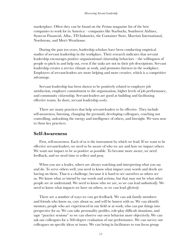marketplace. Often they can be found on the *Fortune* magazine list of the best companies to work for in America—companies like Starbucks, Southwest Airlines, Synovus Financial, Aflac, TD Industries, the Container Store, Marriott International, Nordstrom, and Men's Wearhouse.

During the past ten years, leadership scholars have been conducting empirical studies of servant leadership in the workplace. Their research indicates that servant leadership encourages positive organizational citizenship behaviors—the willingness of people to pitch in and help out, even if the tasks are not in their job descriptions. Servant leadership creates a service climate at work, and promotes fairness in the workplace. Employees of servant-leaders are more helping and more creative, which is a competitive advantage.

Servant leadership has been shown to be positively related to employee job satisfaction, employee commitment to the organization, higher levels of job performance, and community citizenship. Servant-leaders are good at building and facilitating effective teams. In short, servant leadership *works*.

There are many practices that help servant-leaders to be effective. They include self-awareness, listening, changing the pyramid, developing colleagues, coaching not controlling, unleashing the energy and intelligence of others, and foresight. We turn now to those key practices.

#### **Self-Awareness**

First, self-awareness. Each of us is the instrument by which we lead. If we want to be effective servant-leaders, we need to be aware of who we are and how we impact others. We want our impact to be as positive as possible. To become more aware, we need feedback, and we need time to reflect and pray.

When you are a leader, others are always watching and interpreting what you say and do. To serve others well, you need to know what impact your words and deeds are having on them. That is a challenge, because it is hard to see ourselves as others see us. We know what *we* intend by our words and actions, but that may not be what other people see or understand. We need to know who we are, so we can lead *authentically.* We need to know what impacts we have on others, so we can lead *effectively.*

There are a number of ways we can get feedback. We can ask family members and friends who know us, care about us, and will be honest with us. We can identify mentors, people who are experienced in our field or at work, who can put things into perspective for us. We can take personality profiles, role-play difficult situations, and tape "practice sessions" so we can observe our own behavior more objectively. We can ask our colleagues for a 360-degree evaluation of our performance. We can survey our colleagues on specific ideas or issues. We can bring in facilitators to run focus group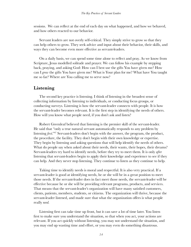sessions. We can reflect at the end of each day on what happened, and how we behaved, and how others reacted to our behavior.

Servant leaders are not overly self-critical. They simply strive to grow so that they can help others to grow. They seek advice and input about their behavior, their skills, and ways they can become even more effective as servant-leaders.

On a daily basis, we can spend some time alone to reflect and pray. As we know from Scripture, Jesus modelled solitude and prayer. We can follow his example by stepping back, praying, and asking God: How can I best use the gifts You have given me? How can I *grow* the gifts You have given me? What is Your plan for me? What have You taught me so far? Where are You calling me to serve now?

#### **Listening**

The second key practice is listening. I think of listening in the broadest sense of collecting information by listening to individuals, or conducting focus groups, or conducting surveys. Listening is how the servant-leader connects with people. It is how the servant-leader becomes relevant. It is the first step in identifying the needs of others. How will you know what people need, if you don't ask and listen?

Robert Greenleaf believed that listening is the premier skill of the servant-leader. He said that "only a true natural servant automatically responds to any problem by listening *first*."47 Servant-leaders don't begin with the answer, the program, the product, the procedure, the facility. They don't begin with their own knowledge or expertise. They begin by listening and asking questions that will help identify the needs of others. What do people say when asked about their needs, their wants, their hopes, their dreams? Servant-leaders try hard to identify needs, before they try to meet them. It is only *after* listening that servant-leaders begin to apply their knowledge and experience to see if they can help. And they never stop listening. They continue to listen as they continue to help.

Taking time to identify needs is moral and respectful. It is also very practical. If a servant-leader is good at identifying needs, he or she will be in a great position to meet those needs. If the servant-leader does in fact meet those needs, the servant-leader will be effective because he or she will be providing relevant programs, products, and services. That means that the servant-leader's organization will have many satisfied customers, clients, patients, members, students, or citizens. The organization will thrive, because the servant-leader listened, and made sure that what the organization offers is what people really *need.*

Listening first can take time up front, but it can save a lot of time later. You listen first to make sure you understand the situation, so that when you act, your actions are relevant. If you act quickly without listening, you may not understand the situation, and you may end up wasting time and effort, or you may even do something disastrous.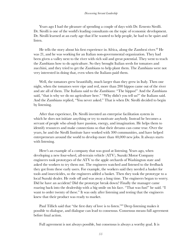Years ago I had the pleasure of spending a couple of days with Dr. Ernesto Sirolli. Dr. Sirolli is one of the world's leading consultants on the topic of economic development. Dr. Sirolli learned at an early age that if he wanted to help people, he had to be quiet and listen.

He tells the story about his first experience in Africa, along the Zambezi river.<sup>48</sup> He was 21, and he was working for an Italian non-governmental organization. They had been given a valley next to the river with rich soil and great potential. They went to teach the Zambians how to do agriculture. So they brought Italian seeds for tomatoes and zucchini, and they tried to get the Zambians to help plant them. The Zambians were not very interested in doing that, even when the Italians paid them.

Well, the tomatoes grew beautifully, much larger than they grew in Italy. Then one night, when the tomatoes were ripe and red, more than 200 hippos came out of the river and ate all of them. The Italians said to the Zambians: "The hippos!" And the Zambians said, "that is why we do no agriculture here." "Why didn't you tell us?" the Italians said. And the Zambians replied, "You never asked." That is when Dr. Sirolli decided to begin by listening.

After that experience, Dr. Sirolli invented an enterprise facilitation system in which he does not initiate anything or try to motivate anybody. Instead he becomes a servant of people who *already* have passion, energy, and imagination. He helps them to identify resources and make connections so that their dreams can come true. Over the years, he and the Sirolli Institute have worked with 300 communities, and have helped entrepreneurs around the world to develop more than 40,000 new jobs. It always starts with listening.

Here's an example of a company that was good at listening. Years ago, when developing a new four-wheel, all-terrain vehicle (ATV), Suzuki Motor Company engineers took prototypes of the ATV to the apple orchards of Washington state and asked the workers to try them out. The engineers watched and listened to the feedback they got from these early users. For example, the workers said they needed a basket for tools and insecticides, so the engineers added a basket. Then they took the prototype to a local Suzuki dealer. He rode off and was away a long time. The engineers began to worry. Did he have an accident? Did the prototype break down? Finally the manager came roaring back into the dealership with a big smile on his face. "That was fun!" he said. "I want to order twenty of these." It was only after listening and testing that the engineers knew that their product was ready to market.

Paul Tillich said that "the first duty of love is to listen."49 Deep listening makes it possible to dialogue, and dialogue can lead to consensus. Consensus means full agreement before final action.

Full agreement is not always possible, but consensus is always a worthy goal. It is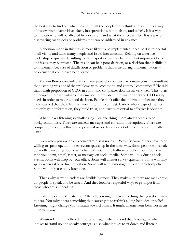the best way to find out what most if not all the people really think and feel. It is a way of discovering diverse ideas, facts, interpretations, hopes, fears, and beliefs. It is a way to find out who will be affected by a decision, and what the affect will be. It is a way of discovering roadblocks or problems that can be addressed in advance.

A decision made in this way is more likely to be implemented, because it is respectful of all views, and takes many people and issues into account. Relying on assertive leadership or quickly defaulting to the majority view may be faster, but important facts and issues may be missed. The result can be a poor decision, or a decision that is difficult to implement because of disaffection or problems that arise during implementation problems that could have been foreseen.

Marvin Bower concluded after many years of experience as a management consultant that listening was one of the problems with "command and control" companies.<sup>50</sup> He said that a high proportion of CEOs in command companies don't listen very well. This turns off people who have valuable information to provide—information that the CEO really needs in order to make a good decision. People don't offer the information because they have learned that the CEO just won't listen. By contrast, leaders who are good listeners not only gain information, they build trust, and trust is essential to effective leadership.

What makes listening so challenging? For one thing, there always seems to be background noise. There are unclear messages and constant interruptions. There are competing tasks, deadlines, and personal issues. It takes a lot of concentration to really listen.

Even when you are able to concentrate, it is not easy. Why? Because others have to be willing to speak up, and not everyone speaks up in the same way. Some people will speak up at office meetings. Some will chat with you in the hallway or coffee room. Some will send you a text, email, tweet, or message on social media. Some will talk during social events. Some will drop by your office. Some will answer survey questions. Some will only speak when asked a direct question. Some will send a message through somebody else. Some will only use body language.

That's why servant-leaders are flexible listeners. They make sure there are many ways for people to speak and be heard. And they look for respectful ways to get input from those who are *not* speaking.

Listening can be threatening. After all, you might hear something that you don't want to hear. You might hear something that causes you to rethink a long-held idea or belief. Listening might change your attitude toward others. It might change your behavior in an important way.

Winston Churchill offered important insight when he said that "courage is what it takes to stand up and speak; courage is also what it takes to sit down and listen."51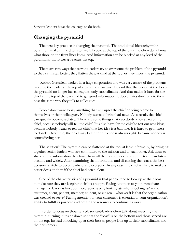Servant-leaders have the courage to do both.

# **Changing the pyramid**

The next key practice is changing the pyramid. The traditional hierarchy—the pyramid—makes it hard to listen well. People at the top of the pyramid often don't know what those on the front lines know. And information can be blocked at any level of the pyramid so that it never reaches the top.

There are two ways that servant-leaders try to overcome the problem of the pyramid so they can listen better: they flatten the pyramid at the top, or they invert the pyramid.

 Robert Greenleaf worked in a huge corporation and was very aware of the problems faced by the leader at the top of a pyramid structure. He said that the person at the top of the pyramid no longer has colleagues, only subordinates. And that makes it hard for the chief at the top of the pyramid to get good information. Subordinates don't talk to their boss the same way they talk to colleagues.

People don't want to say anything that will upset the chief or bring blame to themselves or their colleagues. Nobody wants to bring bad news. As a result, the chief can quickly become isolated. There are some things that everybody knows except the chief, because nobody will tell the chief. It is also hard for the chief to test out new ideas, because nobody wants to tell the chief that her idea is a bad one. It is hard to get honest feedback. Over time, the chief may begin to think she is always right, because nobody is contradicting her.

The solution? The pyramid can be flattened at the top, at least informally, by bringing together senior leaders who are committed to the mission and to each other. Ask them to share all the information they have, from all their various sources, so the team can listen broadly and widely. After examining the information and discussing the issues, the best decision is likely to become obvious to everyone. In any case, the chief is likely to make a better decision than if the chief had acted alone.

One of the characteristics of a pyramid is that people tend to look up at their boss to make sure they are keeping their boss happy. Paying attention to your immediate manager or leader is fine, but if everyone is only looking *up*, who is looking *out* at the customer, client, patient, member, student, or citizen—whoever it is that the organization was created to serve? Paying attention to your customers is essential to your organization's ability to fulfill its purpose and obtain the resources to continue its work.

In order to focus on those served, servant-leaders often talk about inverting the pyramid, turning it upside down so that the "boss" is on the bottom and those served are on the top. Instead of looking up at their bosses, people look up at their subordinates and their customers.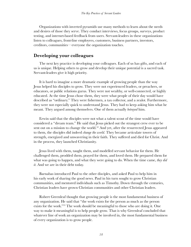Organizations with inverted pyramids use many methods to learn about the needs and desires of those they serve. They conduct interviews, focus groups, surveys, product testing, and internet-based feedback from users. Servant-leaders in these organizations listen to colleagues, front-line employees, customers, business partners, investors, creditors, communities—everyone the organization touches.

#### **Developing your colleagues**

The next key practice is developing your colleagues. Each of us has gifts, and each of us is unique. Helping others to grow and develop their unique potential is a sacred task. Servant-leaders give it high priority.

It is hard to imagine a more dramatic example of growing people than the way Jesus helped his disciples to grow. They were not experienced leaders, or preachers, or educators, or public relations gurus. They were not wealthy, or well-connected, or highly educated. At the time Jesus chose them, they were what people of their day would have described as "ordinary." They were fishermen, a tax collector, and a zealot. Furthermore, they were not especially quick to understand Jesus. They had to keep asking him what he meant. They argued among themselves. One of them actually *betrayed* him.

Erwin said that the disciples were not what a talent scout of the time would have considered a "dream team." He said that Jesus picked out the strangest crew ever to be sent out on a mission to change the world.<sup>52</sup> And yet, after the resurrected Jesus appeared to them, the disciples did indeed *change the world*. They became articulate towers of strength, energized and unwavering in their faith. They suffered and died for Christ. And in the process, they launched Christianity.

Jesus lived with them, taught them, and modelled servant behavior for them. He challenged them, prodded them, prayed for them, and loved them. He prepared them for what was going to happen, and what they were going to do. When the time came, *they did it*. And we are in their debt today.

Barnabas introduced Paul to the other disciples, and asked Paul to help him in his early work of sharing the good news. Paul in his turn sought to grow Christian communities, and mentored individuals such as Timothy. Down through the centuries, Christian leaders have grown Christian communities and other Christian leaders.

Robert Greenleaf thought that growing people is the most fundamental business of any organization. He said that "the work exists for the person as much as the person exists for the work."53 The work should be meaningful to those who are doing it. One way to make it meaningful is to help people grow. That is why Greenleaf concluded that whatever line of work an organization may be involved in, the most fundamental business of every organization is to grow people.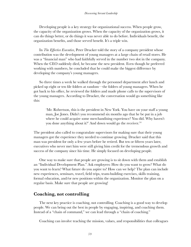Developing people is a key strategy for organizational success. When people grow, the capacity of the organization grows. When the capacity of the organization grows, it can do things better, or do things it was never able to do before. Individuals benefit, the organization benefits, and those served benefit. It's a triple win.

In *The Effective Executive*, Peter Drucker told the story of a company president whose contribution was the development of young managers at a large chain of retail stores. He was a "financial man" who had faithfully served in the number two slot in the company. When the CEO suddenly died, he became the new president. Even though he preferred working with numbers, he concluded that he could make the biggest difference by developing the company's young managers.

So three times a week he walked through the personnel department after lunch and picked up eight or ten file folders at random—the folders of young managers. When he got back to his office, he reviewed the folders and made phone calls to the supervisors of the young managers. According to Drucker, the conversation would go something like this:

'Mr. Robertson, this is the president in New York. You have on your staff a young man, Joe Jones. Didn't you recommend six months ago that he be put in a job where he could acquire some merchandising experience? You did. Why haven't you done anything about it?' And down would go the receiver.<sup>54</sup>

The president also called to congratulate supervisors for making sure that their young managers got the experience they needed to continue growing. Drucker said that this man was president for only a few years before he retired. But ten or fifteen years later, executives who never met him were still giving him credit for the tremendous growth and success of the company since his time. He simply focused on developing people.

One way to make sure that people are growing is to sit down with them and establish an "Individual Development Plan." Ask employees: How do you want to grow? What do you want to learn? What future do you aspire to? How can we help? The plan can include new experiences, seminars, travel, field trips, team-building exercises, skills training, formal education, and/or new positions within the organization. Monitor the plan on a regular basis. Make sure that people are growing!

#### **Coaching, not controlling**

The next key practice is coaching, not controlling. Coaching is a good way to develop people. We can bring out the best in people by engaging, inspiring, and coaching them. Instead of a "chain of command," we can lead through a "chain of coaching."

Coaching can involve teaching the mission, values, and responsibilities that colleagues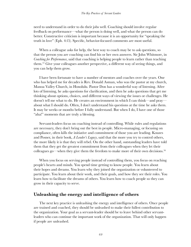need to understand in order to do their jobs well. Coaching should involve regular feedback on performance—what the person is doing well, and what the person can do better. Constructive criticism is important because it is an opportunity for "speaking the truth in love" (Eph. 4:15). Specific, behavior-focused comments are most useful.

When a colleague asks for help, the best way to coach may be to ask questions, so that the person you are coaching can find his or her own answers. Sir John Whitmore, in *Coaching for Performance*, said that coaching is helping people to learn rather than teaching them.55 Give your colleagues another perspective, a different way of seeing things, and you can help them grow.

I have been fortunate to have a number of mentors and coaches over the years. One who has helped me for decades is Rev. Donald Asman, who was the pastor at my church, Manoa Valley Church, in Honolulu. Pastor Don has a wonderful way of listening. After lots of listening, he asks questions for clarification, and then he asks questions that get me thinking about options, choices, and different ways of viewing the issues or challenges. He doesn't tell me what to do. He creates an environment in which I can think—and pray about what I should do. Often, I don't understand his questions at the time he asks them. It may be weeks or months before I fully understand. But when I do, I have one of those "aha!" moments that are truly a blessing.

Servant-leaders focus on coaching instead of controlling. While rules and regulations are necessary, they don't bring out the best in people. Micro-managing, or focusing on compliance, often kills the initiative and commitment of those you are leading. Kouzes and Posner, in their book, *A Leader's Legacy*, said that the more you try to control others, the more likely it is that they will rebel. On the other hand, outstanding leaders have told them that they get the greatest commitment from their colleagues when they let their colleagues go—when they give them the freedom to make more of their own decisions.<sup>56</sup>

When you focus on serving people instead of controlling them, you focus on reaching people's hearts and minds. You spend time getting to know people. You learn about their hopes and dreams. You learn why they joined the organization or volunteered to participate. You learn about their work, and their goals, and how they see their roles. You learn how to facilitate the dreams of others. You learn how to coach people so they can grow in their capacity to serve.

# **Unleashing the energy and intelligence of others**

The next key practice is unleashing the energy and intelligence of others. Once people are trained and coached, they should be unleashed to make their fullest contribution to the organization. Your goal as a servant-leader should be to leave behind other servantleaders who can continue the important work of the organization. That will only happen if people are unleashed.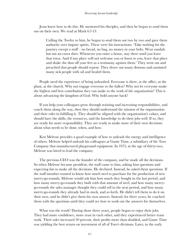Jesus knew how to do this. He mentored his disciples, and then he began to send them out on their own. We read at Mark 6:7-13:

Calling the Twelve to him, he began to send them out two by two and gave them authority over impure spirits. These were his instructions: 'Take nothing for the journey except a staff—no bread, no bag, no money in your belts. Wear sandals but not an extra shirt. Whenever you enter a house, stay there until you leave that town. And if any place will not welcome you or listen to you, leave that place and shake the dust off your feet as a testimony against them.' They went out and preached that people should repent. They drove out many demons and anointed many sick people with oil and healed them.

People need the experience of being unleashed. Everyone is there, at the office, at the plant, at the church. Why not engage everyone to the fullest? Why not let everyone make the highest and best contribution they can make to the work of the organization? This is about advancing the kingdom of God. Why hold anyone back?

If you help your colleagues grow through training and increasing responsibilities, and coach them along the way, then they should understand the mission of the organization and their roles in fulfilling it. They should be aligned with the organization's values, and should have the skills, the resources, and the knowledge to do their jobs well. If so, they are ready for more responsibility. They are ready to make more of their own decisions about what needs to be done, when, and how.

Ken Melrose provides a good example of how to unleash the energy and intelligence of others. Melrose helped unleash his colleagues at Game Time, a subsidiary of the Toro Company that manufactured playground equipment. In 1973, at the age of thirty-two, Melrose was hired to lead the company.

The previous CEO was the founder of the company, and he made all the decisions. So when Melrose became president, the staff came to him, asking him questions and expecting *him* to make all the decisions. He declined. Instead, he asked them questions. If the staff member wanted to know how much steel to purchase for the production of new merry-go-rounds, Melrose would ask him how much they bought in the last period, and how many merry-go-rounds they built with that amount of steel, and how many merrygo-rounds the sales manager thought they could sell in the next period, and how many merry-go-rounds they already had in stock, and so forth. He didn't tell them to do it on their own, and he didn't give them his own answer. Instead, for three years, he coached them with the questions until they could see how to work out the answers for themselves.

What was the result? During those three years, people began to enjoy their jobs. They had more confidence, more trust in each other, and they experienced better team work. Their sales increased 50 percent, their profits more than doubled, and Game Time was yielding the best return on investment of all of Toro's divisions. Later, in the early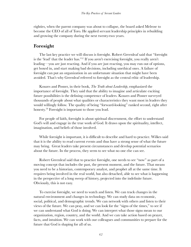eighties, when the parent company was about to collapse, the board asked Melrose to become the CEO of all of Toro. He applied servant leadership principles in rebuilding and growing the company during the next twenty-two years.

# **Foresight**

The last key practice we will discuss is foresight. Robert Greenleaf said that "foresight is the 'lead' that the leader has."57 If you aren't exercising foresight, you really aren't leading—you are just reacting. And if you are just reacting, you may run out of options, get boxed in, and start making bad decisions, including unethical ones. A failure of foresight can put an organization in an unfortunate situation that might have been avoided. That's why Greenleaf referred to foresight as the central ethic of leadership.

Kouzes and Posner, in their book, *The Truth about Leadership*, emphasized the importance of foresight. They said that the ability to imagine and articulate exciting future possibilities is the defining competence of leaders. Kouzes and Posner surveyed thousands of people about what qualities or characteristics they want most in leaders they would willingly follow. The quality of being "forward-looking" ranked second, right after honesty.58 Foresight is important to those you lead.

For people of faith, foresight is about spiritual discernment, the effort to understand God's will and engage in the true work of God. It draws upon the spirituality, intellect, imagination, and beliefs of those involved.

While foresight is important, it is difficult to describe and hard to practice. Wilkes said that it is the ability to read current events and thus have a strong sense of what the future may bring. Great leaders take present circumstances and develop potential scenarios about the future. In the process, they seem to see what no one else can see.

Robert Greenleaf said that to practice foresight, one needs to see "now" as part of a moving concept that includes the past, the present moment, and the future. That means you need to be a historian, contemporary analyst, and prophet all at the same time. It requires being involved in the real world, but also detached, able to see what is happening in the perspective of a long sweep of history, projected into the indefinite future. Obviously, this is not easy.

To exercise foresight, we need to watch and listen. We can track changes in the natural environment and changes in technology. We can study data on economic, social, political, and demographic trends. We can network with others and listen to their views of the future. We can pray, and we can look for the "signs of the times," to see if we can understand what God is doing. We can interpret what those signs mean to our organization, region, country, and the world. And we can take action based on prayer, facts, and intuition. We can work with our colleagues and communities to prepare for the future that God is shaping for all of us.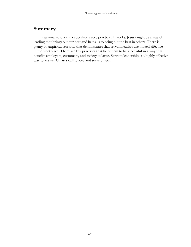# **Summary**

In summary, servant leadership is very practical. It works. Jesus taught us a way of leading that brings out our best and helps us to bring out the best in others. There is plenty of empirical research that demonstrates that servant leaders are indeed effective in the workplace. There are key practices that help them to be successful in a way that benefits employees, customers, and society at large. Servant leadership is a highly effective way to answer Christ's call to love and serve others.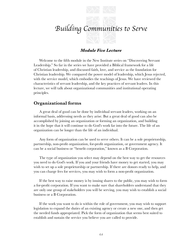# *Building Communities to Serve*

#### *Module Five Lecture*

Welcome to the fifth module in the New Institute series on "Discovering Servant Leadership." So far in the series we have provided a Biblical framework for a life of Christian leadership, and discussed faith, love, and service as the foundation for Christian leadership. We compared the power model of leadership, which Jesus rejected, with the service model, which embodies the teachings of Jesus. We have reviewed the characteristics of servant leadership, and the key practices of servant leaders. In this lecture, we will talk about organizational communities and institutional operating principles.

### **Organizational forms**

A great deal of good can be done by individual servant leaders, working on an informal basis, addressing needs as they arise. But a great deal of good can also be accomplished by joining an organization or forming an organization, and building it in the hope that it will continue to do God's work far into the future. The life of an organization can be longer than the life of an individual.

Any form of organization can be used to serve others. It can be a sole proprietorship, partnership, non-profit organization, for-profit organization, or government agency. It can be a social business or "benefit corporation," known as a B Corporation.

The type of organization you select may depend on the best way to get the resources you need to do God's work. If you and your friends have money to get started, you may wish to set up a sole proprietorship or partnership. If there are donors ready to help, and you can charge fees for services, you may wish to form a non-profit organization.

If the best way to raise money is by issuing shares to the public, you may wish to form a for-profit corporation. If you want to make sure that shareholders understand that they are only one group of stakeholders you will be serving, you may wish to establish a social business or a B Corporation.

If the work you want to do is within the role of government, you may wish to support legislation to expand the duties of an existing agency or create a new one, and then get the needed funds appropriated. Pick the form of organization that seems best suited to establish and sustain the service you believe you are called to provide.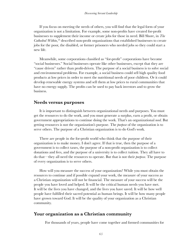If you focus on meeting the needs of others, you will find that the legal form of your organization is not a limitation. For example, some non-profits have created for-profit businesses to supplement their income or create jobs for those in need. Bill Shore, in *The Cathedral Within*, <sup>59</sup> described non-profit organizations that established businesses to create jobs for the poor, the disabled, or former prisoners who needed jobs so they could start a new life.

Meanwhile, some corporations classified as "for-profit" corporations have become "social businesses." Social businesses operate like other businesses, except that they are "cause driven" rather than profit-driven. The purpose of a social business is to solve social and environmental problems. For example, a social business could sell high quality food products at low prices in order to meet the nutritional needs of poor children. Or it could develop renewable energy systems and sell them at low prices to rural communities that have no energy supply. The profits can be used to pay back investors and to grow the business.

# **Needs versus purposes**

It is important to distinguish between organizational needs and purposes. You must get the resources to do the work, and you must generate a surplus, earn a profit, or obtain government appropriations to continue doing the work. That's an organizational *need*. But getting resources is not the organization's purpose. The *purpose* of the organization is to serve others. The purpose of a Christian organization is to do God's work.

There are people in the for-profit world who think that the purpose of their organization is to make money. I don't agree. If that is true, then the purpose of a government is to collect taxes, the purpose of a non-profit organization is to collect donations and fees, and the purpose of a university is to collect tuition. They all have to do that—they all need the resources to operate. But that is not their *purpose*. The purpose of every organization is to serve others.

How will you measure the success of your organization? While you must obtain the resources to continue and if possible expand your work, the measure of your success as a Christian organization will not be financial. The measure of your success will be the people you have loved and helped. It will be the critical human needs you have met. It will be the lives you have changed, and the lives you have saved. It will be how well people have fulfilled their sacred potential as human beings. It will be how many people have grown toward God. It will be the quality of your organization as a Christian community.

# **Your organization as a Christian community**

For thousands of years, people have come together and formed communities for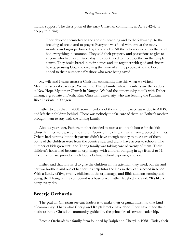mutual support. The description of the early Christian community in Acts 2:42-47 is deeply inspiring:

They devoted themselves to the apostles' teaching and to the fellowship, to the breaking of bread and to prayer. Everyone was filled with awe at the many wonders and signs performed by the apostles. All the believers were together and had everything in common. They sold their property and possessions to give to anyone who had need. Every day they continued to meet together in the temple courts. They broke bread in their homes and ate together with glad and sincere hearts, praising God and enjoying the favor of all the people. And the Lord added to their number daily those who were being saved.

My wife and I came across a Christian community like this when we visited Myanmar several years ago. We met the Thang family, whose members are the leaders at New Hope Myanmar Church in Yangon. We had the opportunity to talk with Esther Thang, a graduate of Pacific Rim Christian University, who was leading the PacRim Bible Institute in Yangon.

Esther told us that in 2008, some members of their church passed away due to AIDS, and left their children behind. There was nobody to take care of them, so Esther's mother brought them to stay with the Thang family.

About a year later, Esther's mother decided to start a children's house for the kids whose families were part of the church. Some of the children were from divorced families. Others had parents, but their parents didn't have enough money to take care of them. Some of the children were from the countryside, and didn't have access to schools. The number of kids grew until the Thang family was taking care of twenty of them. Their children's house had become an orphanage, with children ranging in age from 5 to 14. The children are provided with food, clothing, school expenses, and love.

Esther said that it is hard to give the children all the attention they need, but she and her two brothers and one of her cousins help tutor the kids so they can succeed in school. With a family of five, twenty children in the orphanage, and Bible students coming and going, the Thang family compound is a busy place. Esther laughed and said: "It's like a party every day."

# **Broetje Orchards**

The goal for Christian servant leaders is to make their organizations into that kind of community. That's what Cheryl and Ralph Broetje have done. They have made their business into a Christian community, guided by the principles of servant leadership.

Broetje Orchards is a family farm founded by Ralph and Cheryl in 1968. Today their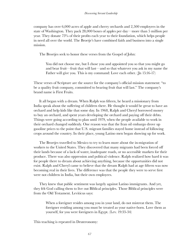company has over 6,000 acres of apple and cherry orchards and 2,500 employees in the state of Washington. They pack 28,000 boxes of apples per day—more than 5 million per year. They donate 75% of their profits each year to their foundation, which helps people in need all over the world. The Broetje's have combined faith and business into a single mission.

The Broetjes seek to honor these verses from the Gospel of John:

You did not choose me, but I chose you and appointed you so that you might go and bear fruit—fruit that will last—and so that whatever you ask in my name the Father will give you. This is my command: Love each other. (Jn 15:16-17)

These verses of Scripture are the source for the company's official mission statement: "to be a quality fruit company, committed to bearing fruit that will last." The company's brand name is First Fruits.

It all began with a dream. When Ralph was fifteen, he heard a missionary from India speak about the suffering of children there. He thought it would be great to have an orchard and help kids like that some day. In 1968, Ralph and Cheryl borrowed money to buy an orchard, and spent years developing the orchard and paying off their debts. Things were going according to plan until 1979, when the people available to work in their orchard changed suddenly. One reason was that the Iran oil embargo drove up gasoline prices to the point that U.S. migrant families stayed home instead of following crops around the country. In their place, young Latino men began showing up for work.

The Broetjes travelled to Mexico to try to learn more about the in-migration of workers to the United States. They discovered that many migrants had been forced off their lands because of a lack of water, inadequate roads, or no accessible markets for their produce. There was also oppression and political violence. Ralph realized how hard it was for people there to dream about achieving anything, because the opportunities did not exist. Ralph and Cheryl came to believe that the dream Ralph had at age fifteen was now becoming real in their lives. The difference was that the people they were to serve first were not children in India, but their own employees.

They knew that public sentiment was largely against Latino immigrants. And yet, they felt God calling them to live out Biblical principles. Those Biblical principles were from the Old Testament. Leviticus says:

When a foreigner resides among you in your land, do not mistreat them. The foreigner residing among you must be treated as your native-born. Love them as yourself, for you were foreigners in Egypt. (Lev. 19:33-34)

This teaching is repeated in Deuteronomy: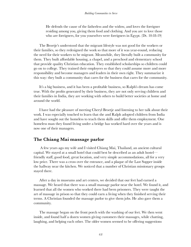He defends the cause of the fatherless and the widow, and loves the foreigner residing among you, giving them food and clothing. And you are to love those who are foreigners, for you yourselves were foreigners in Egypt. (Dt. 10:18-19)

The Broetje's understood that the migrant lifestyle was not good for the workers or their families, so they redesigned the work so that more of it was year-round, reducing the need for their workers to be migrant. Meanwhile, they literally built a community for them. They built affordable housing, a chapel, and a preschool and elementary school that provide quality Christian education. They established scholarships so children could go on to college. They trained their employees so that they could assume more and more responsibility and become managers and leaders in their own right. They summarize it this way: they built a community that cares for the business that cares for the community.

It's a big business, and it has been a profitable business, so Ralph's dream has come true. With the profits generated by their business, they are not only serving children and their families in India, they are working with others to build better societies at home and around the world.

I have had the pleasure of meeting Cheryl Broetje and listening to her talk about their work. I was especially touched to learn that she and Ralph adopted children from India and have sought out the homeless to teach them skills and offer them employment. One homeless man they found living under a bridge has worked hard over the years and is now one of their managers.

# **The Chiang Mai massage parlor**

 A few years ago my wife and I visited Chiang Mai, Thailand, an ancient cultural capital. We stayed at a small hotel that could best be described as an adult hostel friendly staff, good food, great location, and very simple accommodations, all for a very low price. There was a cross over the entrance, and a plaque of the Last Supper inside the hallway near the kitchen. We noticed that a number of Christian missionary groups stayed there.

After a day in museums and art centers, we decided that our feet had earned a massage. We heard that there was a small massage parlor near the hotel. We found it, and learned that all the women who worked there had been prisoners. They were taught the art of massage in prison so that they could earn a living when they finished serving their terms. A Christian founded the massage parlor to give them jobs. He also gave them a community.

The massage began on the front porch with the washing of our feet. We then went inside, and found half a dozen women giving customers their massages, while chatting, laughing, and helping each other. The older women seemed to be offering suggestions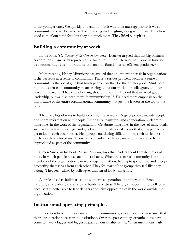to the younger ones. We quickly understood that it was not a massage parlor, it was a community, and we became part of it, talking and laughing along with them. They took good care of our tired feet, but they did much more. They lifted our spirits.

# **Building a community at work**

In his book, *The Concept of the Corporation*, Peter Drucker argued that the big business corporation is America's representative social institution. He said that its social function as a community is as important as its economic function as an efficient producer.<sup>60</sup>

More recently, Henry Mintzberg has argued that an important crisis in organizations is the decrease in a sense of community. That's a serious problem because a sense of community is the social glue that binds people together for the greater good. Mintzberg said that a sense of community means caring about our work, our colleagues, and our place in the world. That kind of caring should inspire us. He said that we need good leadership, but we also need more "communityship."61 We need more emphasis on the importance of the entire organizational community, not just the leaders at the top of the pyramid.

There are lots of ways to build a community at work. Respect people, include people, and share information with people. Emphasize teamwork and cooperation. Celebrate milestones in the work of the organization. Celebrate milestones in the lives of individuals, such as birthdays, weddings, and graduations. Create social events that allow people to get to know each other better. Help people out during difficult times, such as sickness, or the death of a loved one. Show every member of the organization that she or he is appreciated as part of the community.

Simon Sinek, in his book, *Leaders Eat Last,* says that leaders should create circles of safety in which people have each other's backs. When the sense of community is strong, members of the organization can work together without having to spend time and energy protecting themselves from each other. They feel part of the group; they feel like they belong. They feel valued by colleagues and cared for by superiors.<sup>62</sup>

A circle of safety builds trust and supports cooperation and innovation. People naturally share ideas, and share the burdens of stress. The organization is more effective because it is better able to face dangers and seize opportunities in the world outside the organization.

# **Institutional operating principles**

In addition to building organizations as communities, servant leaders make sure that their organizations are servant-institutions. Over the past century, organizations have come to have a bigger and bigger impact on our quality of life. When institutions truly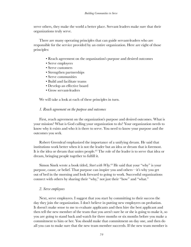serve others, they make the world a better place. Servant leaders make sure that their organizations truly serve.

There are many operating principles that can guide servant-leaders who are responsible for the service provided by an entire organization. Here are eight of those principles:

- Reach agreement on the organization's purpose and desired outcomes
- Serve employees
- Serve customers
- Strengthen partnerships
- Serve communities
- Build and facilitate teams
- Develop an effective board
- Grow servant-leaders

We will take a look at each of these principles in turn.

#### *1. Reach agreement on the purpose and outcomes*

First, reach agreement on the organization's purpose and desired outcomes. What is your mission? What is God calling your organization to do? Your organization needs to know why it exists and who it is there to serve. You need to know your purpose and the outcomes you seek.

Robert Greenleaf emphasized the importance of a unifying dream. He said that institutions work better when it is not the leader but an idea or dream that is foremost. It is the idea or dream that unites people.<sup>63</sup> The role of the leader is to serve that idea or dream, bringing people together to fulfill it.

Simon Sinek wrote a book titled, *Start with Why.*<sup>64</sup> He said that your "why" is your purpose, cause, or belief. That purpose can inspire you and others—it's why you get out of bed in the morning and look forward to going to work. Successful organizations connect with others by sharing their "why," not just their "how" and "what."

#### *2. Serve employees*

Next, serve employees. I suggest that you start by committing to their success the day they join the organization. I don't believe in putting new employees on probation. It doesn't make sense to me to evaluate applicants and then hire the best applicant and then tell the new member of the team that you aren't sure he or she is going to make it, so you are going to stand back and watch for three months or six months before you make a commitment to him or her. You should make that commitment on day one, and then do all you can to make sure that the new team member succeeds. If the new team member is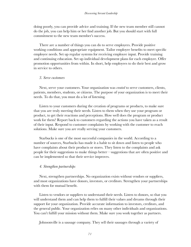doing poorly, you can provide advice and training. If the new team member still cannot do the job, you can help him or her find another job. But you should start with full commitment to the new team member's success.

There are a number of things you can do to serve employees. Provide positive working conditions and appropriate equipment. Tailor employee benefits to meet specific employee needs. Set up regular systems for receiving employee input. Provide training and continuing education. Set up individual development plans for each employee. Offer promotion opportunities from within. In short, help employees to do their best and grow in service to others.

#### *3. Serve customers*

Next, serve your customers. Your organization was *created* to serve customers, clients, patients, members, students, or citizens. The purpose of your organization is to meet their needs. To do that, you must do a lot of listening.

Listen to your customers during the creation of programs or products, to make sure that you are truly meeting their needs. Listen to them when they use your program or product, to get their reactions and perceptions. How well does the program or product work for them? Report back to customers regarding the actions you have taken as a result of their input. Respond to customer complaints by working with the customer to reach solutions. Make sure you are really serving your customers.

Starbucks is one of the most successful companies in the world. According to a number of sources, Starbucks has made it a habit to sit down and listen to people who have complaints about their products or stores. They listen to the complaints and ask people for their suggestions to make things better—suggestions that are often positive and can be implemented so that their service improves.

#### *4. Strengthen partnerships*

Next, strengthen partnerships. No organization exists without vendors or suppliers, and most organizations have donors, investors, or creditors. Strengthen your partnerships with them for mutual benefit.

Listen to vendors or suppliers to understand their needs. Listen to donors, so that you will understand them and can help them to fulfill their values and dreams through their support for your organization. Provide accurate information to investors, creditors, and the general public. Your organization relies on many other individuals and organizations. You can't fulfill your mission without them. Make sure you work together as partners.

Johnsonville is a sausage company. They sell their sausages through a variety of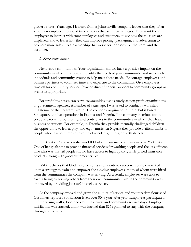grocery stores. Years ago, I learned from a Johnsonville company leader that they often send their employees to spend time at stores that sell their sausages. They want their employees to interact with store employees and customers, to see how the sausages are displayed, and to learn how they can improve pricing, packaging, and advertising to promote more sales. It's a partnership that works for Johnsonville, the store, and the customer.

#### *5. Serve communities*

Next, serve communities. Your organization should have a positive impact on the community in which it is located. Identify the needs of your community, and work with individuals and community groups to help meet those needs. Encourage employees and business partners to volunteer time and expertise to the community. Give employees time off for community service. Provide direct financial support to community groups or events as appropriate.

For-profit businesses can serve communities just as surely as non-profit organizations or government agencies. A number of years ago, I was asked to conduct a workshop in Estonia for the Tolaram Group. The company originated in India, but is based in Singapore, and has operations in Estonia and Nigeria. The company is serious about corporate social responsibility, and contributes to the communities in which they have business operations. For example, in Estonia they provide mentally challenged children the opportunity to learn, play, and enjoy music. In Nigeria they provide artificial limbs to people who have lost limbs as a result of accidents, illness, or birth defects.

I met Vikki Pryor when she was CEO of an insurance company in New York City. One of her goals was to provide financial services for working people and the less affluent. The idea was that *all* people should have access to high quality, fairly priced insurance products, along with good customer service.

 Vikki believes that God has given gifts and talents to everyone, so she embarked upon a strategy to train and empower the existing employees, many of whom were hired from the communities the company was serving. As a result, employees were able to earn a living by serving others from their own community. Life in the community was improved by providing jobs *and* financial services.

As the company evolved and grew, the culture of service and volunteerism flourished. Customers reported satisfaction levels over 95% year after year. Employees participated in fundraising walks, food and clothing drives, and community service days. Employee satisfaction was tracked, and it was learned that 87% planned to stay with the company through retirement.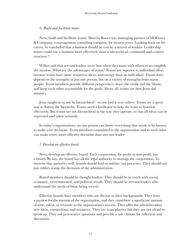#### *6. Build and facilitate teams*

Next, build and facilitate teams. Marvin Bower was managing partner of McKinsey & Company, a management consulting company, for sixteen years. Looking back on his career, he concluded that a business should be run by a *network* of leaders. Leadership teams could run a business more effectively than a hierarchical, command-and-control structure.<sup>65</sup>

Wilkes said that servant leaders serve best when they team with others to accomplish the mission. What are the advantages of teams? Teams are superior to individual effort because teams have more resources, ideas, and energy than an individual. Teams don't depend on the strengths of just one person, but on a variety of strengths from many people. Team members provide different perspectives, share the credit and the blame, and keep each other accountable for the goals. Above all, teams are how Jesus did ministry.

Jesus taught us to not be hierarchical—to not lord it over others. Teams are a great way to flatten the hierarchy. Teams need a facilitator to help the team to function effectively. But teams are not hierarchical in the way they operate, so that all ideas can be expressed and taken seriously.

In today's organizations, no one person can know everything that needs to be known to make wise decisions. Team members committed to the organization and to each other can make wiser, more effective decisions than any one leader.

#### *7. Develop an effective board*

Next, develop an effective board. Each corporation, for-profit or non-profit, has a board. By law, the board has all the legal authority to manage the corporation. To exercise that authority well, boards should lead or initiate, not just react. They should not just rubber stamp the decisions of the administration.

Board members should be thought leaders. They should be in touch with social, economic, environmental, and political trends. They should be servant-leaders who understand the needs of those being served.

Effective boards have members who are diverse in their backgrounds. They have a passion for the mission of the organization, and they contribute a significant amount of time, talent, or treasure to the organization's success. They offer the administration new ideas, connections, and resources. They are team players, but they are not afraid to speak up. They ask provocative questions and provide a safe climate for reflection and discussion.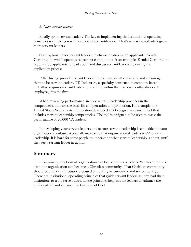#### *8. Grow servant-leaders*

Finally, grow servant leaders. The key to implementing the institutional operating principles is simple: you will need lots of servant-leaders. That's why servant-leaders grow more servant-leaders.

Start by looking for servant leadership characteristics in job applicants. Kendal Corporation, which operates retirement communities, is an example. Kendal Corporation requires job applicants to read about and discuss servant leadership during the application process.

 After hiring, provide servant leadership training for all employees and encourage them to be servant-leaders. TD Industries, a specialty construction company based in Dallas, requires servant leadership training within the first few months after each employee joins the firm.

When reviewing performance, include servant leadership practices in the competencies that are the basis for compensation and promotion. For example, the United States Veterans Administration developed a 360-degree assessment tool that includes servant leadership competencies. The tool is designed to be used to assess the performance of 20,000 VA leaders.

In developing your servant leaders, make sure servant leadership is embedded in your organizational culture. Above all, make sure that organizational leaders *model* servant leadership. It is hard for some people to understand what servant leadership is about, until they see a servant-leader in action.

# **Summary**

In summary, any form of organization can be used to serve others. Whatever form is used, the organization can become a Christian community. That Christian community should be a servant-institution, focused on serving its customers and society at large. There are institutional operating principles that guide servant leaders as they lead their institutions to truly serve others. These principles help servant leaders to enhance the quality of life and advance the kingdom of God.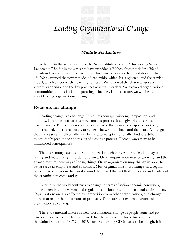# *Leading Organizational Change*

# *Module Six Lecture*

Welcome to the sixth module of the New Institute series on "Discovering Servant Leadership." So far in the series we have provided a Biblical framework for a life of Christian leadership, and discussed faith, love, and service as the foundation for that life. We examined the power model of leadership, which Jesus rejected, and the service model, which embodies the teachings of Jesus. We reviewed the characteristics of servant leadership, and the key practices of servant leaders. We explored organizational communities and institutional operating principles. In this lecture, we will be talking about leading organizational change.

# **Reasons for change**

Leading change is a challenge. It requires courage, wisdom, compassion, and humility. It can turn out to be a very complex process. It can give rise to serious disagreements. People may not agree on the facts, the values to be applied, or the goals to be reached. There are usually arguments between the head and the heart. A change that makes sense intellectually may be hard to accept emotionally. And it is difficult to accurately predict the end results of a change process. There always seem to be unintended consequences.

There are many reasons to lead organizational change. An organization may be failing and must change in order to survive. Or an organization may be growing, and the growth requires new ways of doing things. Or an organization may change in order to better serve its employees and customers. Most organizations must change on a regular basis due to changes in the world around them, and the fact that employees and leaders of the organization come and go.

Externally, the world continues to change in terms of socio-economic conditions, political trends and governmental regulations, technology, and the natural environment. Organizations are also affected by competition from other organizations, and changes in the market for their programs or products. There are a lot external factors pushing organizations to change.

There are internal factors as well. Organizations change as people come and go. Turnover is a fact of life. It is estimated that the average employee turnover rate in the United States was 18.5% in 2017. Turnover among CEOs has also been high. It is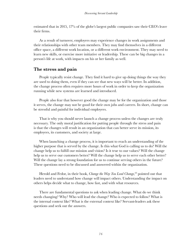estimated that in 2015, 17% of the globe's largest public companies saw their CEO's leave their firms.

As a result of turnover, employees may experience changes in work assignments and their relationships with other team members. They may find themselves in a different office space, a different work location, or a different work environment. They may need to learn new skills, or exercise more initiative or leadership. These can be big changes in a person's life at work, with impacts on his or her family as well.

#### **The stress and pain**

People typically resist change. They find it hard to give up doing things the way they are used to doing them, even if they can see that new ways will be better. In addition, the change process often requires more hours of work in order to keep the organization running while new systems are learned and introduced.

People also fear that however good the change may be for the organization and those it serves, the change may not be good for their own jobs and careers. In short, change can be stressful and painful for individual employees.

That is why you should never launch a change process unless the changes are truly necessary. The only moral justification for putting people through the stress and pain is that the changes will result in an organization that can better serve its mission, its employees, its customers, and society at large.

When launching a change process, it is important to reach an understanding of the higher purpose that is served by the change. Is this what God is calling us to do? Will the change help us to fulfill our mission and vision? Is it true to our values? Will the change help us to serve our customers better? Will the change help us to serve each other better? Will the change lay a strong foundation for us to continue serving others in the future? These questions need to be discussed and answered within the organization.

Herold and Fedor, in their book, *Change the Way You Lead Change,66* pointed out that leaders need to understand how change will impact others. Understanding the impact on others helps decide what to change, how fast, and with what resources.

There are fundamental questions to ask when leading change. What do we think needs changing? Why? Who will lead the change? Who is expected to follow? What is the internal context like? What is the external context like? Servant-leaders ask these questions and seek out the answers.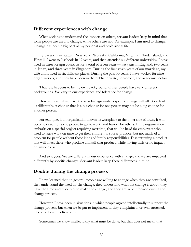# **Different experiences with change**

When seeking to understand the impacts on others, servant leaders keep in mind that some people are used to change, while others are not. For example, I am used to change. Change has been a big part of my personal and professional life.

I grew up in six states—New York, Nebraska, California, Virginia, Rhode Island, and Hawaii. I went to 9 schools in 12 years, and then attended six different universities. I have lived in three foreign countries for a total of seven years—two years in England, two years in Japan, and three years in Singapore. During the first seven years of our marriage, my wife and I lived in six different places. During the past 40 years, I have worked for nine organizations, and they have been in the public, private, non-profit, and academic sectors.

That just happens to be my own background. Other people have very different backgrounds. We vary in our experience and tolerance for change.

However, even if we have the *same* backgrounds, a specific change will affect each of us differently. A change that is a big change for one person may not be a big change for another person.

For example, if an organization moves its workplace to the other side of town, it will become easier for some people to get to work, and harder for others. If the organization embarks on a special project requiring overtime, that will be hard for employees who need to leave work on time to get their children to soccer practice, but not much of a problem for people without those kinds of family responsibilities. Discontinuing a product line will affect those who produce and sell that product, while having little or no impact on anyone else.

And so it goes. We are different in our experience with change, and we are impacted differently by specific changes. Servant leaders keep these differences in mind.

#### **Doubts during the change process**

I have learned that, in general, people are willing to change when they are consulted, they understand the need for the change, they understand what the change is about, they have the time and resources to make the change, and they are kept informed during the change process.

However, I have been in situations in which people agreed intellectually to support the change process, but when we began to implement it, they complained, or even attacked. The attacks were often bitter.

Sometimes we know intellectually what must be done, but that does not mean that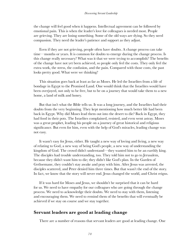the change will feel good when it happens. Intellectual agreement can be followed by emotional pain. This is when the leader's love for colleagues is needed most. People are grieving. They are losing something. Some of the old ways are dying. So they need compassion. They need the leader's patience and support as they adjust.

Even if they are not grieving, people often have doubts. A change process can take time—months or years. It is common for doubts to emerge during the change process. Is this change really necessary? What was it that we were trying to accomplish? The benefits of the change have not yet been achieved, so people only feel the costs. They only feel the extra work, the stress, the confusion, and the pain. Compared with those costs, the past looks pretty good. What were we thinking?

This situation goes back at least as far as Moses. He led the Israelites from a life of bondage in Egypt to the Promised Land. One would think that the Israelites would have been overjoyed, not only to be free, but to be on a journey that would take them to a new home, a land of milk and honey.

But that isn't what the Bible tells us. It was a long journey, and the Israelites had their doubts from the very beginning. They kept mentioning how much better life had been back in Egypt. Why did Moses lead them out into the desert to die? Back in Egypt, they had food in their pots. The Israelites complained, resisted, and even went astray. Moses was a great prophet, leading his people on a journey of great historical and religious significance. But even for him, even with the help of God's miracles, leading change was not easy.

It wasn't easy for Jesus, either. He taught a new way of loving and living, a new way of relating to God, a new way of being God's people, a new way of understanding the kingdom of God. The crowd didn't understand—they wanted him to be an earthly king. The disciples had trouble understanding, too. They told him not to go to Jerusalem, because they didn't want him to die; they didn't like God's plan. In the Garden of Gethsemane, they couldn't stay awake and pray with him. After Jesus was arrested, the disciples scattered, and Peter denied him three times. But that wasn't the end of the story. In fact, we know that the story will never end. Jesus changed the world, and Christ reigns.

If it was hard for Moses and Jesus, we shouldn't be surprised that it can be hard for us. We need to have empathy for our colleagues who are going through the change process. We need to acknowledge their doubts. We need to stay with them, listening and encouraging them. We need to remind them of the benefits that will eventually be achieved if we stay on course and we stay together.

# **Servant leaders are good at leading change**

There are a number of reasons that servant leaders are good at leading change. One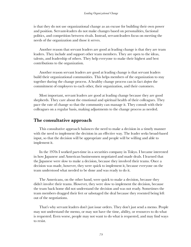is that they do not use organizational change as an excuse for building their own power and position. Servant-leaders do not make changes based on personalities, factional politics, and competition between rivals. Instead, servant-leaders focus on meeting the needs of the organization and those it serves.

Another reason that servant leaders are good at leading change is that they are team leaders. They include and support other team members. They are open to the ideas, talents, and leadership of others. They help everyone to make their highest and best contributions to the organization.

Another reason servant leaders are good at leading change is that servant leaders build their organizational communities. This helps members of the organization to stay together during the change process. A healthy change process can in fact *deepen* the commitment of employees to each other, their organization, and their customers.

Most important, servant leaders are good at leading change because they are good shepherds. They care about the emotional and spiritual health of their colleagues. They pace the rate of change so that the community can manage it. They consult with their colleagues on a regular basis, making adjustments to the change process as needed.

# **The consultative approach**

This consultative approach balances the need to make a decision in a timely manner with the need to implement the decision in an effective way. The leader seeks broad-based input, so that the decision will be appropriate and people will be willing and able to implement it.

In the 1970s I worked part-time in a securities company in Tokyo. I became interested in how Japanese and American businessmen negotiated and made deals. I learned that the Japanese were slow to make a decision, because they involved their teams. Once a decision was made, however, they were quick to implement it, because everyone on the team understood what needed to be done and was ready to do it.

The Americans, on the other hand, were quick to make a decision, because they didn't involve their teams. However, they were slow to implement the decision, because the team back home did not understand the decision and was not ready. Sometimes the team members dragged their feet or sabotaged the deal because they resented being left out of the negotiations.

That's why servant leaders don't just issue orders. They don't just send a memo. People may not understand the memo, or may not have the time, ability, or resources to do what is requested. Even worse, people may not want to do what is requested, and may find ways to resist.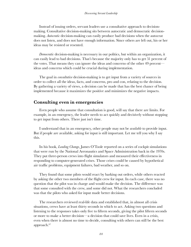Instead of issuing orders, servant leaders use a consultative approach to decisionmaking. Consultative decision-making sits between autocratic and democratic decisionmaking. *Autocratic* decision-making can easily produce bad decisions when the autocrat does not listen, and does not have enough information. Since others are left out, his or her ideas may be resisted or resented.

*Democratic* decision-making is necessary in our politics, but within an organization, it can easily lead to bad decisions. That's because the majority only has to get 51 percent of the votes. That means they can ignore the ideas and concerns of the other 49 percent ideas and concerns which could be crucial during implementation.

The goal in *consultative* decision-making is to get input from a variety of sources in order to collect all the ideas, facts, and concerns, pro and con, relating to the decision. By gathering a variety of views, a decision can be made that has the best chance of being implemented because it maximizes the positive and minimizes the negative impacts.

# **Consulting even in emergencies**

Even people who assume that consultation is good, will say that there are limits. For example, in an emergency, the leader needs to act quickly and decisively without stopping to get input from others. There just isn't time.

I understand that in an emergency, other people may not be *available* to provide input. But if people are available, asking for input is still important. Let me tell you why I say this.

In his book, *Leading Change*, James O'Toole reported on a series of cockpit simulations that were run by the National Aeronautics and Space Administration back in the 1970s. They put three-person crews into flight simulators and measured their effectiveness in responding to computer-generated crises. Those crises could be caused by hypothetical air traffic problems, equipment failures, bad weather, and so on.

They found that some pilots would react by barking out orders, while others reacted by asking the other two members of the flight crew for input. In each case, there was no question that the pilot was in charge and would make the decision. The difference was that some consulted with the crew, and some did not. What the researchers concluded was that the pilots who asked for input made better decisions.

The researchers reviewed real-life data and established that, in almost all crisis situations, crews have at least thirty seconds in which to act. Asking two questions and listening to the responses takes only five to fifteen seconds, giving the pilot fifteen seconds or more to make a better decision—a decision that could save lives. Even in a crisis, even when there is almost no time to decide, consulting with others can still be the best approach.67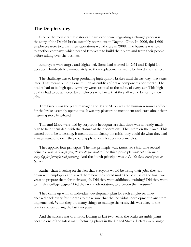# **The Delphi story**

One of the most dramatic stories I have ever heard regarding a change process is the story of the Delphi brake assembly operations in Dayton, Ohio. In 2006, the 1,600 employees were told that their operations would close in 2008. The business was sold to another company, which needed two years to build their plant and train their people before taking over the business.

Employees were angry and frightened. Some had worked for GM and Delphi for decades. Hundreds left immediately, so their replacements had to be hired and trained.

The challenge was to keep producing high quality brakes until the last day, two years later. That meant building one million assemblies of brake components per month. The brakes had to be high quality—they were essential to the safety of every car. This high quality had to be achieved by employees who knew that they all would be losing their jobs.

Tom Green was the plant manager and Mary Miller was the human resources officer for the brake assembly operations. It was my pleasure to meet them and learn about their inspiring story first-hand.

Tom and Mary were told by corporate headquarters that there was no ready-made plan to help them deal with the closure of their operations. They were on their own. This turned out to be a blessing. It meant that in facing the crisis, they could do what they had always wanted to do—they could apply servant leadership principles.

They applied four principles. The first principle was: *Listen, don't talk.* The second principle was: *Ask employees, "what do you need?"* The third principle was: *Set aside time every day for foresight and planning*. And the fourth principle was: *Ask, "do those served grow as persons?"*

Rather than focusing on the fact that everyone would be losing their jobs, they sat down with employees and asked them how they could make the best use of the final two years to prepare them for their *next* job. Did they want additional training? Did they want to finish a college degree? Did they want job rotation, to broaden their resume?

They came up with an individual development plan for each employee. They checked back every few months to make sure that the individual development plans were implemented. While they did many things to manage the crisis, this was a key to the plant's success during the last two years.

And the success was dramatic. During its last two years, the brake assembly plant became one of the safest manufacturing plants in the United States. Defects were single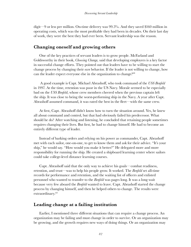digit—9 or less per million. On-time delivery was 99.5%. And they saved \$160 million in operating costs, which was the most profitable they had been in decades. On their last day of work, they were the best they had ever been. Servant leadership was the reason.

# **Changing oneself and growing others**

One of the key practices of servant leaders is to grow people. McFarland and Goldsworthy in their book, *Choosing Change,* said that developing employees is a key factor in successful change efforts. They pointed out that leaders have to be willing to start the change process by changing their *own* behavior. If the leader is not willing to change, how can the leader expect everyone else in the organization to change?<sup>68</sup>

 A good example is Capt. Michael Abrashoff, who took command of the *USS Benfold* in 1997. At the time, retention was poor in the US Navy. Morale seemed to be especially bad on the *USS Benfold*, whose crew members cheered when the previous captain left the ship. It was close to being the worst-performing ship in the Navy. A year after Capt. Abrashoff assumed command, it was rated the best in the fleet—with the same crew.

At first, Capt. Abrashoff didn't know how to turn the situation around. Yes, he knew all about command and control, but that had obviously failed his predecessor. What should he do? After watching and listening, he concluded that retaining people sometimes requires changing their lives. But first, he had to change himself. He had to become an entirely different type of leader.

Instead of barking orders and relying on his power as commander, Capt. Abrashoff met with each sailor, one-on-one, to get to know them and ask for their advice. "It's your ship," he would say. "How would you make it better?" He delegated more and more responsibility for running the ship. He created a shipboard learning center where sailors could take college-level distance learning courses.

Capt. Abrashoff said that the only way to achieve his goals—combat readiness, retention, and trust—was to help his people grow. It worked. The *Benfold* set all-time records for performance and retention, and the waiting list of officers and enlisted personnel who wanted to transfer to the *Benfold* was pages long. It was a long wait because very few aboard the *Benfold* wanted to leave. Capt. Abrashoff started the change process by changing himself, and then he helped others to change. The results were extraordinary.<sup>69</sup>

# **Leading change at a failing institution**

Earlier, I mentioned three different situations that can require a change process. An organization may be failing and must change in order to survive. Or an organization may be growing, and the growth requires new ways of doing things. Or an organization may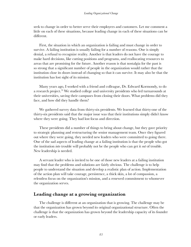seek to change in order to better serve their employees and customers. Let me comment a little on each of these situations, because leading change in each of these situations can be different.

First, the situation in which an organization is failing and must change in order to survive. A failing institution is usually failing for a number of reasons. One is simply denial, a refusal to recognize reality. Another is that leaders do not have the courage to make hard decisions, like cutting positions and programs, and reallocating resources to areas that are promising for the future. Another reason is that nostalgia for the past is so strong that a significant number of people in the organization would rather that the institution close its doors instead of changing so that it can survive. It may also be that the institution has lost sight of its mission.

Many years ago, I worked with a friend and colleague, Dr. Edward Kormondy, to do a research project.<sup>70</sup> We studied college and university presidents who led turnarounds at their universities, saving their campuses from closing their doors. What problems did they face, and how did they handle them?

We gathered survey data from thirty-six presidents. We learned that thirty-one of the thirty-six presidents said that the major issue was that their institutions simply didn't know where they were going. They had lost focus and direction.

These presidents did a number of things to bring about change, but they gave priority to strategic planning and restructuring the senior management team. Once they figured out where they were going, they needed new leaders who were committed to going there. One of the sad aspects of leading change at a failing institution is that the people who got the institution *into* trouble will probably not be the people who can get it *out* of trouble. New leadership is needed.

A servant leader who is invited to be one of those new leaders at a failing institution may find that the problems and solutions are fairly obvious. The challenge is to help people to understand the situation and develop a realistic plan of action. Implementation of the action plan will take courage, persistence, a thick skin, a lot of compassion, a relentless focus on the organization's mission, and a renewed commitment to whomever the organization serves.

# **Leading change at a growing organization**

The challenge is different at an organization that is growing. The challenge may be that the organization has grown beyond its original organizational structure. Often the challenge is that the organization has grown beyond the leadership capacity of its founder or early leaders.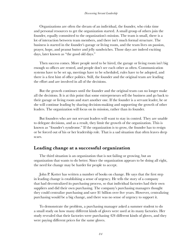Organizations are often the dream of an individual, the founder, who risks time and personal resources to get the organization started. A small group of others join the founder, equally committed to the organization's mission. The team is small, there is a lot of interaction between team members, and there isn't much formal structure. The business is started in the founder's garage or living room, and the team lives on passion, prayer, hope, and peanut butter and jelly sandwiches. Those days are indeed exciting days, later known as "the good old days."

Then success comes. More people need to be hired, the garage or living room isn't big enough so offices are rented, and people don't see each other as often. Communication systems have to be set up, meetings have to be scheduled, rules have to be adopted, and there is a first hint of office politics. Still, the founder and the original team are leading the effort and are involved in all of the decisions.

But the growth continues until the founder and the original team can no longer make all the decisions. It is at this point that some entrepreneurs sell the business and go back to their garage or living room and start another one. If the founder is a servant leader, he or she will continue leading by sharing decision-making and supporting the growth of other leaders. The organization will focus on its mission, rather than its founder.

But founders who are not servant leaders will want to stay in control. They are unable to delegate decisions, and as a result, they limit the growth of the organization. This is known as "founder's syndrome." If the organization is to grow, the founder has to resign or be forced out of his or her leadership role. That is a sad situation that often leaves deep scars.

# **Leading change at a successful organization**

The third situation is an organization that is not failing or growing, but an organization that wants to do better. Since the organization appears to be doing all right, the need for change may be harder for people to accept.

John P. Kotter has written a number of books on change. He says that the first step in leading change is establishing a sense of urgency. He tells the story of a company that had decentralized its purchasing process, so that individual factories had their own suppliers and did their own purchasing. The company's purchasing managers thought they could centralize purchasing and save \$1 billion over five years. However, centralizing purchasing would be a big change, and there was no sense of urgency to support it.

To demonstrate the problem, a purchasing manager asked a summer student to do a small study on how many different kinds of gloves were used at its many factories. Her study revealed that their factories were purchasing 424 different kinds of gloves, and they were paying different prices for the same gloves.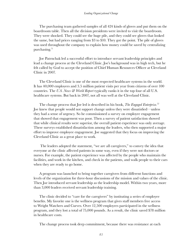The purchasing team gathered samples of all 424 kinds of gloves and put them on the boardroom table. Then all the division presidents were invited to visit the boardroom. They were shocked. They could see the huge pile, and they could see gloves that looked the same, but had prices ranging from \$3 to \$10. They got the point. The pile of gloves was used throughout the company to explain how money could be saved by centralizing purchasing.<sup>71</sup>

Joe Patrnchak led a successful effort to introduce servant leadership principles and lead a change process at the Cleveland Clinic. Joe's background was in high tech, but he felt called by God to accept the position of Chief Human Resources Officer at Cleveland Clinic in 2007.

The Cleveland Clinic is one of the most respected healthcare systems in the world. It has 40,000 employees and 3.5 million patient visits per year from citizens of over 100 countries. The *U.S. News & World Report* typically ranks it in the top four of all U.S. healthcare systems. But back in 2007, not all was well at the Cleveland Clinic.

The change process that Joe led is described in his book, *The Engaged Enterprise.72* Joe knew that people would not support change unless they were dissatisfied—unless they had a sense of urgency. So he commissioned a survey on employee engagement that showed that engagement was poor. Then a survey of patient satisfaction showed that while clinical results were superior, the overall patient experience was only average. These surveys established dissatisfaction among the leaders, who then supported a major effort to improve employee engagement. Joe suggested that they focus on improving the Cleveland Clinic as a great place to work.

 The leaders adopted the statement, "we are all caregivers," to convey the idea that everyone at the clinic affected patients in some way, even if they were not doctors or nurses. For example, the patient experience was affected by the people who maintain the facilities, and work in the kitchen, and check in the patients, and walk people to their cars when they are ready to go home.

A program was launched to bring together caregivers from different functions and levels of the organization for three-hour discussions of the mission and values of the clinic. Then Joe introduced servant leadership as the leadership model. Within two years, more than 3,000 leaders received servant leadership training.

The clinic decided to "care for the caregivers" by instituting a series of employee benefits. My favorite one is the wellness program that gives staff members free access to Weight Watchers and Curves. Over 12,500 employees participated in the wellness program, and they lost a total of 75,000 pounds. As a result, the clinic saved \$78 million in healthcare costs.

The change process took deep commitment, because there was resistance at each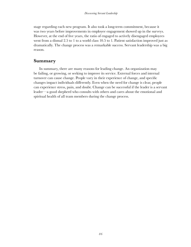stage regarding each new program. It also took a long-term commitment, because it was two years before improvements in employee engagement showed up in the surveys. However, at the end of five years, the ratio of engaged to actively disengaged employees went from a dismal 2.5 to 1 to a world class 10.5 to 1. Patient satisfaction improved just as dramatically. The change process was a remarkable success. Servant leadership was a big reason.

# **Summary**

In summary, there are many reasons for leading change. An organization may be failing, or growing, or seeking to improve its service. External forces and internal turnover can cause change. People vary in their experience of change, and specific changes impact individuals differently. Even when the need for change is clear, people can experience stress, pain, and doubt. Change can be successful if the leader is a servant leader—a good shepherd who consults with others and cares about the emotional and spiritual health of all team members during the change process.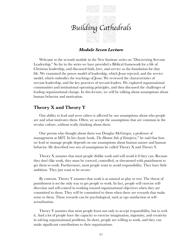

# *Module Seven Lecture*

Welcome to the seventh module in the New Institute series on "Discovering Servant Leadership." So far in the series we have provided a Biblical framework for a life of Christian leadership, and discussed faith, love, and service as the foundation for that life. We examined the power model of leadership, which Jesus rejected, and the service model, which embodies the teachings of Jesus. We reviewed the characteristics of servant leadership, and the key practices of servant leaders. We explored organizational communities and institutional operating principles, and then discussed the challenges of leading organizational change. In this lecture, we will be talking about assumptions about human behavior and motivation.

# **Theory X and Theory Y**

Our ability to lead and serve others is affected by our assumptions about who people are and what motivates them. Often, we accept the assumptions that are common in the secular culture, without really thinking about them.

One person who thought about them was Douglas McGregor, a professor of management at MIT. In his classic book, *The Human Side of Enterprise,*<sup>73</sup> he said that how we lead or manage people depends on our assumptions about human nature and human behavior. He described two sets of assumptions he called Theory X and Theory Y.

Theory X assumes that most people dislike work and will avoid it if they can. Because they don't like work, they must be coerced, controlled, or threatened with punishment to get them to work. Furthermore, most people want to avoid responsibility. They have little ambition. They just want to be secure.

By contrast, Theory Y assumes that work is as natural as play or rest. The threat of punishment is *not* the only way to get people to work. In fact, people will exercise selfdirection and self-control in working toward organizational objectives when they are committed to them. They will be committed to them when there are rewards that make sense to them. Those rewards can be psychological, such as ego satisfaction or selfactualization.

Theory Y assumes that most people learn not only to accept responsibility, but to seek it. And a lot of people have the capacity to exercise imagination, ingenuity, and creativity in solving organizational problems. In short, people are willing to work, and they can make significant contributions to their organizations.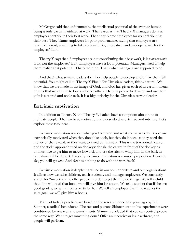McGregor said that unfortunately, the intellectual potential of the average human being is only partially utilized at work. The reason is that Theory X managers don't *let* employees contribute their best work. Then they blame employees for *not* contributing their best. They blame employees for poor performance, saying that employees are lazy, indifferent, unwilling to take responsibility, uncreative, and uncooperative. It's the employees' fault.

Theory Y says that if employees are not contributing their best work, it is *management'*s fault, not the employees' fault. Employees have a lot of potential. Managers need to help them realize that potential. That's their job. That's what managers are supposed to do.

And that's what servant leaders do. They help people to develop and utilize their full potential. You might call it "Theory Y Plus." For Christian leaders, this is natural. We know that we are made in the image of God, and God has given each of us certain talents or gifts that we can use to love and serve others. Helping people to develop and use their gifts is a sacred and noble task. It is a high priority for the Christian servant leader.

# **Extrinsic motivation**

In addition to Theory X and Theory Y, leaders have assumptions about how to motivate people. The two basic motivations are described as extrinsic and intrinsic. Let's explore these two ideas.

Extrinsic motivation is about what you *have* to do, not what you *want* to do. People are extrinsically motivated when they don't like a job, but they do it because they need the money or the reward, or they want to avoid punishment. This is the traditional "carrot and the stick" approach used on donkeys: dangle the carrot in front of the donkey as an incentive to get him to move forward, and use the stick to whap him in the back as punishment if he doesn't. Basically, extrinsic motivation is a simple proposition: If you do *this*, you will get *that*. And *that* has nothing to do with the work itself.

Extrinsic motivation is deeply ingrained in our secular culture and our organizations. It affects how we raise children, teach students, and manage employees. We constantly search for "incentives" to offer people in order to get them to do things. We tell a child that if he will read that book, we will give him ice cream. We tell a student that if she gets good grades, we will throw a party for her. We tell an employee that if he reaches the sales goal, we will give him a bonus.

Many of today's practices are based on the research done fifty years ago by B.F. Skinner, a radical behaviorist. The rats and pigeons Skinner used in his experiments were conditioned by rewards and punishments. Skinner concluded that you can control people the same way. Want to get something done? Offer an incentive or issue a threat, and people will perform.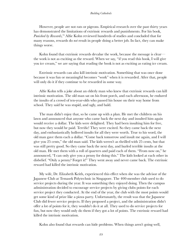However, people are not rats or pigeons. Empirical research over the past thirty years has demonstrated the limitations of extrinsic rewards and punishments. For his book, *Punished by Rewards,*<sup>74</sup> Alfie Kohn reviewed hundreds of studies and concluded that for many reasons, rewards do *not* result in people doing a better job. In fact, they can make things worse.

Kohn found that extrinsic rewards devalue the work, because the message is clear the work is not as exciting as the reward. When we say, "if you read this book, I will give you ice cream," we are saying that reading the book is not as exciting as eating ice cream.

Extrinsic rewards can also kill intrinsic motivation. Something that was once done because it was fun or meaningful becomes "work" when it is rewarded. After that, people will only do it if they continue to be rewarded in some way.

Alfie Kohn tells a joke about an elderly man who knew that extrinsic rewards can kill intrinsic motivation. The old man sat on his front porch, and each afternoon, he endured the insults of a crowd of ten-year-olds who passed his house on their way home from school. They said he was stupid, and ugly, and bald.

The man didn't enjoy that, so he came up with a plan. He met the children on his lawn and announced that anyone who came back the next day and insulted him again would receive a dollar. The kids were delighted. They had been insulting him for free, but now they would be paid. Terrific! They were excited. So they came back the next day, and enthusiastically hollered insults for all they were worth. True to his word, the old man gave them each a dollar. "Come back tomorrow and insult me again, and I will give you 25 cents," the old man said. The kids weren't as thrilled with 25 cents, but that was still pretty good. So they came back the next day, and hurled terrible insults at the old man. He met them with a roll of quarters and paid each of them. "From now on," he announced, "I can only give you a penny for doing this." The kids looked at each other in disbelief. "Only a penny? Forget it!" They went away and never came back. The extrinsic reward had killed the intrinsic motivation.

My wife, Dr. Elizabeth Keith, experienced this effect when she was the advisor of the Japanese Club at Temasek Polytechnic in Singapore. The 400-member club used to do service projects during the year. It was something they enjoyed doing. Then the campus administration decided to encourage service projects by giving clubs points for each service project they conducted. At the end of the year, the club with the most points would get some kind of prize like a pizza party. Unfortunately, the result was that the Japanese Club did fewer service projects. If they proposed a project, and the administration didn't offer a lot of points for it, they wouldn't do it at all. They used to do service projects for fun, but now they would only do them if they got a lot of points. The extrinsic reward had killed the intrinsic motivation.

Kohn also found that rewards can hide problems. When things aren't going well,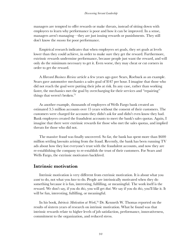managers are tempted to offer rewards or make threats, instead of sitting down with employees to learn why performance is poor and how it can be improved. In a sense, managers aren't managing—they are just issuing rewards or punishments. They still don't know the *reasons* for poor performance.

Empirical research indicates that when employees set goals, they set goals at levels lower than they could achieve, in order to make sure they get the reward. Furthermore, extrinsic rewards undermine performance, because people just want the reward, and will only do the minimum necessary to get it. Even worse, they may cheat or cut corners in order to get the reward.

A *Harvard Business Review* article a few years ago gave Sears, Roebuck as an example. Sears gave automotive mechanics a sales goal of \$147 per hour. I imagine that those who did not reach the goal were putting their jobs at risk. In any case, rather than working faster, the mechanics met the goal by overcharging for their services and "repairing" things that weren't broken.75

As another example, thousands of employees of Wells Fargo bank created an estimated 3.5 million accounts over 15 years without the consent of their customers. The customers were charged for accounts they didn't ask for and didn't even know they had. Bank employees created the fraudulent accounts to meet the bank's sales quotas. Again, I imagine that there were extrinsic rewards for those who met the sales quotas, and implied threats for those who did not.

The massive fraud was finally uncovered. So far, the bank has spent more than \$600 million settling lawsuits arising from the fraud. Recently, the bank has been running TV ads about how they lost everyone's trust with the fraudulent accounts, and now they are re-establishing the company to re-establish the trust of their customers. For Sears and Wells Fargo, the extrinsic motivators backfired.

#### **Intrinsic motivation**

Intrinsic motivation is very different from extrinsic motivation. It is about what you *want* to do, not what you *have* to do. People are intrinsically motivated when they do something because it is fun, interesting, fulfilling, or meaningful. The work itself is the reward. We don't say, if you do *this*, you will get *that*. We say if you do *this*, you'll like it. It will be fun, interesting, fulfilling, or meaningful.

In his book, *Intrinsic Motivation at Work*, 76 Dr. Kenneth W. Thomas reported on the results of sixteen years of research on intrinsic motivation. What he found was that intrinsic rewards relate to higher levels of job satisfaction, performance, innovativeness, commitment to the organization, and reduced stress.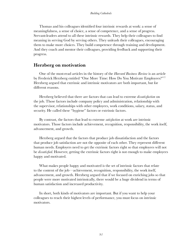Thomas and his colleagues identified four intrinsic rewards at work: a sense of meaningfulness, a sense of choice, a sense of competence, and a sense of progress. Servant-leaders attend to all these intrinsic rewards. They help their colleagues to find meaning in serving God by serving others. They unleash their colleagues, encouraging them to make more choices. They build competence through training and development. And they coach and mentor their colleagues, providing feedback and supporting their progress.

# **Herzberg on motivation**

One of the most-read articles in the history of the *Harvard Business Review* is an article by Frederick Herzberg entitled "One More Time: How Do You Motivate Employees?"77 Herzberg argued that extrinsic and intrinsic motivators are both important, but for different reasons.

Herzberg believed that there are factors that can lead to extreme *dissatisfaction* on the job. Those factors include company policy and administration, relationship with the supervisor, relationships with other employees, work conditions, salary, status, and security. He called these "hygiene" factors or extrinsic factors.

By contrast, the factors that lead to extreme *satisfaction* at work are intrinsic motivators. Those factors include achievement, recognition, responsibility, the work itself, advancement, and growth.

Herzberg argued that the factors that produce job dissatisfaction and the factors that produce job satisfaction are not the opposite of each other. They represent different human needs. Employers need to get the extrinsic factors right so that employees will not be *dissatisfied*. However, getting the extrinsic factors right is not enough to make employees happy and motivated.

What makes people happy and motivated is the set of intrinsic factors that relate to the content of the job—achievement, recognition, responsibility, the work itself, advancement, and growth. Herzberg argued that if we focused on enriching jobs so that people were more motivated intrinsically, there would be a huge dividend in terms of human satisfaction and increased productivity.

In short, both kinds of motivators are important. But if you want to help your colleagues to reach their highest levels of performance, you must focus on intrinsic motivators.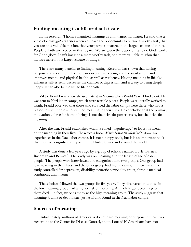#### **Finding meaning is a life or death issue**

In his research, Thomas identified meaning as an intrinsic motivator. He said that a sense of *meaningfulness* arises when you have the opportunity to pursue a worthy task, that you are on a valuable mission, that your purpose matters in the larger scheme of things. People of faith are blessed in this regard. We are given the opportunity to do God's work, for God's glory. I can't imagine a more worthy task, or a more valuable mission that matters more in the larger scheme of things.

There are many benefits to finding meaning. Research has shown that having purpose and meaning in life increases overall well-being and life satisfaction, and improves mental and physical health, as well as resiliency. Having meaning in life also enhances self-esteem, decreases the chances of depression, and is a key to being deeply happy. It can also be the key to life or death.

Viktor Frankl was a Jewish psychiatrist in Vienna when World War II broke out. He was sent to Nazi labor camps, which were terrible places. People were literally worked to death. Frankl observed that those who survived the labor camps were those who had a reason to live—those who still had meaning in their lives. He concluded that the primary motivational force for human beings is not the drive for power or sex, but the drive for meaning.

After the war, Frankl established what he called "logotherapy" to focus his clients on the meaning in their lives. He wrote a book, *Man's Search for Meaning*, 78 about his experiences in the Nazi labor camps. It is not a happy book, but it is an important book that has had a significant impact in the United States and around the world.

A study was done a few years ago by a group of scholars named Boyle, Barnes, Buchman and Bennet.79 The study was on meaning and the length of life of older people. The people were interviewed and categorized into two groups. One group had low meaning in their lives, and the other group had high meaning in their lives. The study controlled for depression, disability, neurotic personality traits, chronic medical conditions, and income.

The scholars followed the two groups for five years. They discovered that those in the low meaning group had a higher risk of mortality. A much larger percentage of them died—in fact, twice as many as the high meaning group. The study suggests that meaning *is* a life or death issue, just as Frankl found in the Nazi labor camps.

# **Sources of meaning**

Unfortunately, millions of Americans do not have meaning or purpose in their lives. According to the Center for Disease Control, about 4 out of 10 Americans have not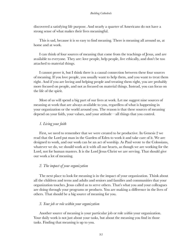#### *Building Cathedrals*

discovered a satisfying life purpose. And nearly a quarter of Americans do not have a strong sense of what makes their lives meaningful.

This is sad, because it is so easy to find meaning. There is meaning all around us, at home and at work.

I can think of four sources of meaning that come from the teachings of Jesus, and are available to everyone. They are: love people, help people, live ethically, and don't be too attached to material things.

I cannot prove it, but I think there is a causal connection between these four sources of meaning. If you love people, you usually want to help them, and you want to treat them right. And if you are loving and helping people and treating them right, you are probably more focused on people, and not as focused on material things. Instead, you can focus on the life of the spirit.

Most of us will spend a big part of our lives at work. Let me suggest nine sources of meaning at work that are always available to you, regardless of what is happening in your organization or the world around you. The reason is that these sources of meaning depend on your faith, your values, and your attitude—all things that you control.

#### *1. Living your faith*

First, we need to remember that we were created to be productive. In Genesis 2 we read that the Lord put man in the Garden of Eden to work it and take care of it. We are designed to work, and our work can be an act of worship. As Paul wrote to the Colossians, whatever we do, we should work at it with all our hearts, as though we are working for the Lord, not for human masters. It is the Lord Jesus Christ we are serving. That should give our work a lot of meaning.

#### *2. The impact of your organization*

The next place to look for meaning is in the impact of your organization. Think about all the children and teens and adults and seniors and families and communities that your organization touches. Jesus called us to serve others. That's what you and your colleagues are doing through your programs or products. You are making a difference in the lives of others. That should be a big source of meaning for you.

#### *3. Your job or role within your organization*

Another source of meaning is your particular job or role *within* your organization. Your daily work is not just about your tasks, but about the meaning you find in those tasks. Finding that meaning is up to you.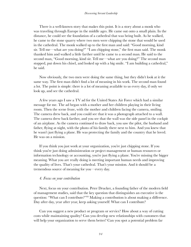There is a well-known story that makes this point. It is a story about a monk who was traveling through Europe in the middle ages. He came out onto a small plain. In the distance, he could see the foundation of a cathedral that was being built. As he walked, he came to the stone quarry where two men were chipping the stone that would be used in the cathedral. The monk walked up to the first man and said: "Good morning, kind sir. Tell me—what are you doing?" "I am chipping stone," the first man said. The monk thanked him and walked a little farther until he came to a second man. He said to the second man, "Good morning, kind sir. Tell me—what are you doing?" The second man stopped, put down his chisel, and looked up with a big smile. "I am building a cathedral," he said.

Now obviously, the two men were doing the same thing, but they didn't look at it the same way. The first man didn't find a lot of meaning in his work. The second man found a lot. The point is simple: there is a lot of meaning available to us every day, if only we look up, and see the cathedral.

A few years ago I saw a TV ad for the United States Air Force which had a similar message for me. The ad began with a mother and her children playing in their living room. Then the scene froze, with the mother and children facing the camera, smiling. The camera drew back, and you could see that it was a photograph attached to a wall. The camera drew back farther, and you see that the wall was the side panel in the cockpit of an airplane. As the camera continued to draw back, you saw the pilot, the husband and father, flying at night, with the photo of his family there next to him. And you knew that he wasn't just flying a plane. He was protecting the family and the country that he loved. He was on a mission.

If you think you just work at your organization, you're just chipping stone. If you think you're just doing administration or project management or human resources or information technology or accounting, you're just flying a plane. You're missing the bigger meaning. What you are really doing is meeting important human needs and improving the quality of lives. That's your cathedral. That's your mission. And it should be a tremendous source of meaning for you—every day.

#### *4. Focus on your contribution*

Next, focus on your contribution. Peter Drucker, a founding father of the modern field of management studies, said that the key question that distinguishes an executive is the question: "What can I contribute?"<sup>80</sup> Making a contribution is about making a difference. Day after day, year after year, keep asking yourself: What can I contribute?

Can you suggest a new product or program or service? How about a way of cutting costs while maintaining quality? Can you develop new relationships with customers that will help your organization to serve them better? Can you spot a potential problem far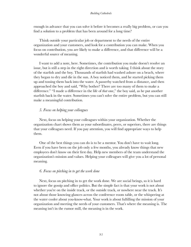enough in advance that you can solve it before it becomes a really big problem, or can you find a solution to a problem that has been around for a long time?

Think outside your particular job or department to the needs of the entire organization and your customers, and look for a contribution you can make. When you focus on contribution, you are likely to make a difference, and that difference will be a wonderful source of meaning.

I want to add a note, here. Sometimes, the contribution you make doesn't resolve an issue, but is still a step in the right direction and is worth taking. I think about the story of the starfish and the boy. Thousands of starfish had washed ashore on a beach, where they began to dry and die in the sun. A boy noticed them, and he started picking them up and tossing them back into the water. A passerby watched from a distance, and then approached the boy and said, "Why bother? There are too many of them to make a difference." "I made a difference in the life of *that* one," the boy said, as he put another starfish back in the water. Sometimes you can't solve the entire problem, but you can still make a meaningful contribution.

#### *5. Focus on helping your colleagues*

Next, focus on helping your colleagues within your organization. Whether the organization chart shows them as your subordinates, peers, or superiors, there are things that your colleagues need. If you pay attention, you will find appropriate ways to help them.

One of the best things you can do is to be a mentor. You don't have to wait long. Even if you have been on the job only a few months, you already know things that new employees don't know on their first day. Help new members of the team understand the organization's mission and values. Helping your colleagues will give you a lot of personal meaning.

# *6. Focus on pitching in to get the work done*

Next, focus on pitching in to get the work done. We are social beings, so it is hard to ignore the gossip and office politics. But the simple fact is that your work is not about whether you're on the inside track, or the outside track, or nowhere near the track. It's not about those knowing glances across the conference room table, or the whispering at the water cooler about you-know-what. Your work is about fulfilling the mission of your organization and meeting the needs of your customers. That's where the meaning is. The meaning isn't in the rumor mill, the meaning is in the work.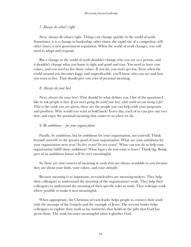#### *7. Always do what's right*

Next, always do what's right. Things can change quickly in the world of work. Sometimes, it is a change in leadership; other times, the rapid rise of a competitor; still other times, a new government regulation. When the world of work changes, you will need to adapt and respond.

But a change in the world of work shouldn't change who you are as a person, and it shouldn't change what you know is right and good and true. You need to have core values, and you need to live those values. If you do, you won't get lost. Even when the world around you becomes foggy and unpredictable, you'll know who you are and how you want to live. That should give you a lot of personal meaning.

#### *8. Always do your best*

Next, always do your best. That should be what defines you. One of the questions I like to ask people is this: *If you aren't giving the world your best, what world are you saving it for?* This is the work you are given, these are the people you can help with your programs and products. Why would you want to hold back? Every day, each of us can give our very best, and enjoy the personal meaning that comes to us when we do.

#### *9. Be ambitious—for your organization*

Finally, be ambitious, but be ambitious for your organization, not yourself. Think beyond yourself, to the greater good of your organization. What are your ambitions for your organization next year? In five years? In ten years? What can you do to help your organization fulfill those ambitions? What legacy do you want to leave? Think big. Being part of an ambitious future will be very meaningful.

So those are nine sources of meaning at work that are always available to you because they are about your faith, your values, and your attitude.

Because meaning is so important, servant-leaders are meaning-makers. They help their colleagues to understand the meaning of the organization's work. They help their colleagues to understand the meaning of their specific roles at work. They redesign work where possible to make it *more* meaningful.

When appropriate, the Christian servant leader helps people to connect their work with the message of the Gospels and the example of Jesus. The servant leader helps colleagues to explore their work as lay ministries that build on the gifts that God has given them. The work becomes meaningful when it glorifies God.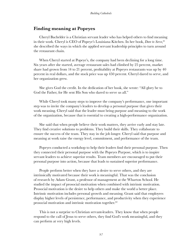# **Finding meaning at Popeyes**

Cheryl Bachelder is a Christian servant leader who has helped others to find meaning in their work. Cheryl is CEO of Popeye's Louisiana Kitchen. In her book, *Dare to Serve*, 81 she described the ways in which she applied servant leadership principles to turn around the restaurant chain.

When Cheryl started at Popeye's, the company had been declining for a long time. Six years after she started, average restaurant sales had climbed by 25 percent, market share had grown from 14 to 21 percent, profitability at Popeyes restaurants was up by 40 percent in real dollars, and the stock price was up 450 percent. Cheryl dared to serve, and her organization grew.

She gives God the credit. In the dedication of her book, she wrote: "All glory be to God the Father, for He sent His Son who dared to serve us all."

While Cheryl took many steps to improve the company's performance, one important step was to invite the company's leaders to develop a personal purpose that gives their work meaning. Cheryl said that the leader must bring purpose and meaning to the work of the organization, because that is essential to creating a high-performance organization.

She said that when people believe their work matters, they arrive early and stay late. They find creative solutions to problems. They build their skills. They collaborate to ensure the success of the team. They stay in the job longer. Cheryl said that purpose and meaning at work raise the energy level, commitment, and performance of the team.

Popeyes conducted a workshop to help their leaders find their personal purpose. Then they connected their personal purpose with the Popeyes Purpose, which is to inspire servant leaders to achieve superior results. Team members are encouraged to put their personal purpose into action, because that leads to sustained superior performance.

People perform better when they have a desire to serve others, and they are intrinsically motivated because their work is meaningful. That was the conclusion of research by Adam Grant, a professor of management at the Wharton School. He studied the impact of prosocial motivation when combined with intrinsic motivation. Prosocial motivation is the desire to help others and make the world a better place. Intrinsic motivation includes personal growth and meaning. Grant said that employees display higher levels of persistence, performance, and productivity when they experience prosocial motivation and intrinsic motivation together.82

This is not a surprise to Christian servant-leaders. They know that when people respond to the call of Jesus to serve others, they find God's work meaningful, and they can perform at very high levels.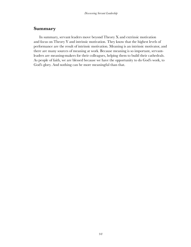# **Summary**

In summary, servant leaders move beyond Theory X and extrinsic motivation and focus on Theory Y and intrinsic motivation. They know that the highest levels of performance are the result of intrinsic motivation. Meaning is an intrinsic motivator, and there are many sources of meaning at work. Because meaning is so important, servantleaders are meaning-makers for their colleagues, helping them to build their cathedrals. As people of faith, we are blessed because we have the opportunity to do God's work, to God's glory. And nothing can be more meaningful than that.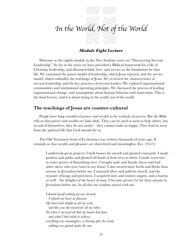# *In the World, Not of the World*

# *Module Eight Lecture*

Welcome to the eighth module in the New Institute series on "Discovering Servant Leadership." So far in the series we have provided a Biblical framework for a life of Christian leadership, and discussed faith, love, and service as the foundation for that life. We examined the power model of leadership, which Jesus rejected, and the service model, which embodies the teachings of Jesus. We reviewed the characteristics of servant leadership, and the key practices of servant leaders. We explored organizational communities and institutional operating principles. We discussed the process of leading organizational change, and assumptions about human behavior and motivation. This is the final lecture, and it is about being in the world, not of the world.

# **The teachings of Jesus are counter-cultural**

People have long considered power and wealth to be symbols of success. But the Bible tells us that power and wealth are false idols. They can be used as tools to help others, but in and of themselves, they do not satisfy—they cannot make us happy. They lead us away from the spiritual life that God intends for us.

The Old Testament book of Ecclesiastes was written thousands of years ago. It reminds us that wealth and pleasure are short-lived and meaningless (Ecc. 2:4-11):

I undertook great projects: I built houses for myself and planted vineyards. I made gardens and parks and planted all kinds of fruit trees in them. I made reservoirs to water groves of flourishing trees. I bought male and female slaves and had other slaves who were born in my house. I also owned more herds and flocks than anyone in Jerusalem before me. I amassed silver and gold for myself, and the treasure of kings and provinces. I acquired men and women singers, and a harem as well—the delights of the heart of man. I became greater by far than anyone in Jerusalem before me. In all this my wisdom stayed with me.

*I denied myself nothing my eyes desired; I refused my heart no pleasure. My heart took delight in all my work, and this was the reward for all my labor. Yet when I surveyed all that my hands had done and what I had toiled to achieve, everything was meaningless, a chasing after the wind; nothing was gained under the sun.*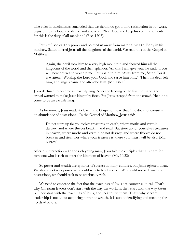The voice in Ecclesiastes concluded that we should do good, find satisfaction in our work, enjoy our daily food and drink, and above all, "fear God and keep his commandments, for this is the duty of all mankind" (Ecc. 12:13).

Jesus refused earthly power and pointed us away from material wealth. Early in his ministry, Satan offered Jesus all the kingdoms of the world. We read this in the Gospel of Matthew:

Again, the devil took him to a very high mountain and showed him all the kingdoms of the world and their splendor. 'All this I will give you,' he said, 'if you will bow down and worship me.' Jesus said to him: 'Away from me, Satan! For it is written, "Worship the Lord your God, and serve him only.'" Then the devil left him, and angels came and attended him. (Mt. 4:8-11)

Jesus declined to become an earthly king. After the feeding of the five thousand, the crowd wanted to make Jesus king—by force. But Jesus escaped from the crowd. He didn't come to be an earthly king.

As for money, Jesus made it clear in the Gospel of Luke that "life does not consist in an abundance of possessions." In the Gospel of Matthew, Jesus said:

Do not store up for yourselves treasures on earth, where moths and vermin destroy, and where thieves break in and steal. But store up for yourselves treasures in heaven, where moths and vermin do not destroy, and where thieves do not break in and steal. For where your treasure is, there your heart will be also. (Mt. 6:19-21)

After his interaction with the rich young man, Jesus told the disciples that it is hard for someone who is rich to enter the kingdom of heaven (Mt. 19:23).

So power and wealth are symbols of success in many cultures, but Jesus rejected them. We should not seek power, we should seek to be of service. We should not seek material possessions, we should seek to be spiritually rich.

We need to embrace the fact that the teachings of Jesus are counter-cultural. That's why Christian leaders don't start with the way the world is; they start with the way *Christ* is. They start with the teachings of Jesus, and seek to live them. That's why servant leadership is not about acquiring power or wealth. It is about identifying and meeting the needs of others.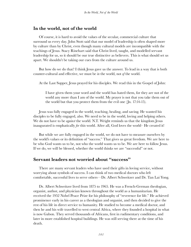# **In the world, not of the world**

Of course, it is hard to avoid the values of the secular, commercial culture that surround us every day. John Stott said that our model of leadership is often shaped more by culture than by Christ, even though many cultural models are incompatible with the teachings of Jesus. Stacy Rinehart said that Christ lived, taught, and modelled servant leadership for us, so it should be our true distinctive as believers. This is what should set us apart. We shouldn't be taking our cues from the culture around us.

But how do we do that? I think Jesus gave us the answer. To lead in a way that is both counter-cultural and effective, we must be *in* the world, not *of* the world.

At the Last Supper, Jesus prayed for his disciples. We read this in the Gospel of John:

I have given them your word and the world has hated them, for they are not of the world any more than I am of the world. My prayer is not that you take them out of the world but that you protect them from the evil one (Jn. 17:14-15).

Jesus was fully engaged in the world, teaching, healing, and saving. He wanted his disciples to be fully engaged, also. We need to be in the world, loving and helping others. We do not have to be *against* the world. N.T. Wright reminds us that the kingdom Jesus inaugurated is emphatically *for* this world. After all, God loves the world– He created it!

But while we are fully engaged in the world, we do not have to measure ourselves by the world's values or its definition of "success." That gives us great freedom. We are here to be who God wants us to be, not who the world wants us to be. We are here to follow Jesus. If we do, we will be blessed, whether the world thinks we are "successful" or not.

# **Servant leaders not worried about "success"**

There are many servant leaders who have used their gifts in loving service, without worrying about symbols of success. I can think of two medical doctors who left comfortable, successful lives to serve others—Dr. Albert Schweitzer and Dr. Tan Lai Yong.

Dr. Albert Schweitzer lived from 1875 to 1965. He was a French-German theologian, organist, author, and physician known throughout the world as a humanitarian. He received the 1952 Nobel Peace Prize for his philosophy of "reverence for life." He achieved prominence early in his career as a theologian and organist, and then decided to give the rest of his life in direct service to humanity. He studied to become a medical doctor, and then he and his wife travelled to west central Africa, where they founded a hospital in what is now Gabon. They served thousands of Africans, first in rudimentary conditions, and later in more established hospital buildings. He was still serving there at the time of his death.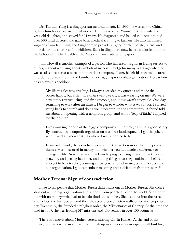Dr. Tan Lai Yong is a Singaporean medical doctor. In 1996, he was sent to China by his church as a cross-cultural worker. He went to rural Yunnan with his wife and year-old daughter, and stayed for 14 years. He diagnosed and healed villagers, trained over 500 local doctors, and gave basic medical training to farmers. He also mobilized surgeons from Kunming and Singapore to provide surgery for cleft palate, burns, and bone deformities for over 100 children. Back in Singapore now, he is a senior lecturer in the School of Public Health at the National University of Singapore.

John Howell is another example of a person who has used his gifts in loving service to others, without worrying about symbols of success. I met John many years ago when he was a sales director at a telecommunications company. Later, he left his successful career in order to serve children and families at a struggling nonprofit organization. Here is how he explains his decision:

My life in sales was grueling. I always exceeded my quotas and made the bosses happy, but after more than twenty years, it was wearing on me. We were constantly restructuring, and firing people, and it just wasn't enjoyable. One day, returning to work after an illness, I began to wonder what it was all for. I started going back to church and doing volunteer work in the community. A friend told me about an opening with a nonprofit group, and with a 'leap of faith,' I applied for the position.

I was working for one of the biggest companies in the state, earning a good salary. By contrast, the nonprofit organization was near bankruptcy… I got the job, and within weeks I knew that was where I was supposed to be.

In my sales work, the focus had been on the transaction more than the people. Success was measured in money, not whether you had made a difference or changed a life. Now I can see how I am helping to change lives—how kids are growing, and getting healthier, and doing things that they couldn't do before. I also get to be a teacher, training a new generation of managers and leaders within our organization. I get tremendous meaning and satisfaction from my work.<sup>83</sup>

# **Mother Teresa: Sign of contradiction**

I like to tell people that Mother Teresa didn't start out as Mother Teresa. She didn't start out with a big organization and support from people all over the world. She started out with no money—she had to beg for food and supplies. She went out into the street and helped the first person, and then the second person. Gradually other women joined her. Eventually, she founded a religious order, the Missionaries of Charity. At the time she died in 1997, she was leading 517 missions and 450 centers in over 100 countries.

There is a movie about Mother Teresa starring Olivia Hussey. At the end of the movie, there is a scene in a board room high up in a modern skyscraper, a tall building of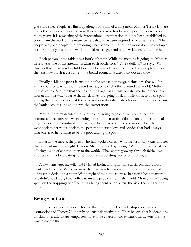glass and steel. People are lined up along both sides of a long table. Mother Teresa is there with other sisters of her order, as well as a priest who has been supporting her work for many years. It is a meeting of the international organization that has been established to coordinate the work of the many centers that have been inspired by Mother Teresa. The people are good people who are doing what people in the secular world do—they set up a corporation, fly around the world to hold meetings, send out newsletters, and so forth.

Each person at the table has a bottle of water. While the meeting is going on, Mother Teresa asks one of the attendants what each bottle cost. "Three dollars," he says. "With three dollars I can send a child to school for a whole year," Mother Teresa replies. Then she asks how much it cost to rent the board room. The attendant doesn't know.

Finally, while the priest is explaining the new text message technology that will be an inexpensive way for them to send messages to each other around the world, Mother Teresa stands. She says that she has nothing against all this, but she and her sisters have chosen another way to serve the Lord. They are going back to their roots, to be the poor among the poor. Everyone at the table is shocked as she instructs one of the sisters to close the bank accounts and shut down the corporation.

Mother Teresa's decided that she was not going to be drawn into the secular commercial culture. She wasn't going to spend thousands of dollars on an international organization that coordinated the work of her centers around the world. No—she went back to her roots, back to the person-to-person love and service that had always characterized her calling to be the poor among the poor.

Later in the movie, the priest who had worked closely with her for many years told her that she had made the right decision. She responded by saying: "We must never be afraid of being a sign of contradiction to the world." The centers grew up through faith, love, and service, not by creating corporations and spending money on meetings.

A few years ago, my wife and I visited India, and spent time at the Mother Teresa Center in Calcutta. While we were there we saw her room—a small room with a bed, a dresser, a desk, and a chair. We thought of that little room as her world headquarters. She didn't need a big fancy office to inspire people all over the world. Money wasn't being spent on the trappings of office, it was being spent on children, the sick, the hungry, the poor.

# **Being realistic**

In my experience, leaders who live the power model of leadership also hold the assumptions of Theory  $X$  and rely on extrinsic motivators. They believe that leadership is for their own advantage, employees have to be coerced, and extrinsic motivators are the way to coerce them.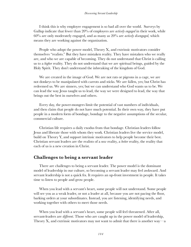I think this is why employee engagement is so bad all over the world. Surveys by Gallup indicate that fewer than 20% of employees are *actively engaged* in their work, while 60% are only moderately engaged, and as many as 20% are *actively disengaged,* which means they are working against the organization.

People who adopt the power model, Theory X, and extrinsic motivators consider themselves "realists." But they have mistaken reality. They have mistaken who we really are, and who we are capable of becoming. They do not understand that Christ is calling us to a *higher* reality. They do not understand that we are spiritual beings, guided by the Holy Spirit. They don't understand the inbreaking of the kingdom of God.

We are created in the image of God. We are not rats or pigeons in a cage, we are not donkeys to be manipulated with carrots and sticks. We are fallen, yes; but Christ has redeemed us. We are sinners, yes; but we can understand who God wants us to be. We can lead the way Jesus taught us to lead, the way we were designed to lead, the way that brings out the best in ourselves and others.

Every day, the power-mongers limit the potential of vast numbers of individuals, and then claim that people do not have much potential. In their own way, they have put people in a modern form of bondage, bondage to the negative assumptions of the secular, commercial culture.

Christian life requires a daily exodus from that bondage. Christian leaders follow Jesus and liberate those with whom they work. Christian leaders live the service model, build on Theory Y, and support intrinsic motivators to help people become their best. Christian servant leaders are the realists of a *new* reality, a *better* reality, the reality that each of us is a new creation in Christ.

# **Challenges to being a servant leader**

There are challenges to being a servant leader. The power model is the dominant model of leadership in our culture, so becoming a servant leader may feel awkward. And servant leadership is not a quick fix. It requires an up-front investment in people. It takes time to listen to people and grow people.

When you lead with a servant's heart, some people will not understand. Some people will see you as a weak leader, or not a leader at all, because you are not pacing the floor, barking orders at your subordinates. Instead, you are listening, identifying needs, and working together with others to meet those needs.

When you lead with a servant's heart, some people will feel threatened. After all, servant-leaders are *different*. Those who are caught up in the power model of leadership, Theory  $X$ , and extrinsic motivators may not want to admit that there is another way—a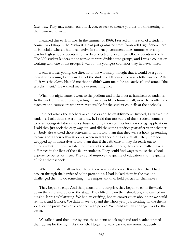*better* way. They may mock you, attack you, or seek to silence you. It's too threatening to their own world view.

I learned this early in life. In the summer of 1966, I served on the staff of a student council workshop in the Midwest. I had just graduated from Roosevelt High School here in Honolulu, where I had been active in student government. The summer workshop was for high school students who had been elected to lead their fellow students in the fall. The 300 student leaders at the workshop were divided into groups, and I was a counselor working with one of the groups. I was 18, the youngest counselor they had ever hired.

Because I was young, the director of the workshop thought that it would be a good idea if one evening I addressed all of the students. Of course, he was a little worried. After all, it was the *sixties*. He told me that he didn't want me to be an "activist" and attack "the establishment." He wanted me to say something nice.

When the night came, I went to the podium and looked out at hundreds of students. In the back of the auditorium, sitting in two rows like a human wall, were the adults—the teachers and counselors who were responsible for the student councils at their schools.

I did not attack the teachers or counselors or the establishment. Instead, I attacked the students. I told them the truth as I saw it. I said that too many of their student councils were self-congratulatory cliques, busy building their resumes for their college applications. I said they just took the easy way out, and did the same activities year after year, whether anybody else wanted those activities or not. I told them that they were a hoax, pretending to care about their fellow students, when in fact they didn't care at all—they were too wrapped up in themselves. I told them that if they *did* care, if they *did* reach out to other students, if they *did* listen to the rest of the student body, they could really make a difference in the lives of their fellow students. They could find ways to make the school experience better for them. They could improve the quality of education and the quality of life at their schools.

When I finished half an hour later, there was total silence. It was clear that I had broken through the barrier of polite pretending. I had looked them in the eye and challenged them to do something more important than hold parties for themselves.

They began to clap. And then, much to my surprise, they began to come forward, down the aisle, and up onto the stage. They lifted me on their shoulders, and carried me outside. It was exhilarating. We had an exciting, honest conversation about how we could *do* more, and *be* more. We didn't have to spend the whole year just deciding on the theme song for the prom. We could connect with people. We could actually change lives for the better.

We talked, and then, one by one, the students shook my hand and headed toward their dorms for the night. As they left, I began to walk back to my room. Suddenly, I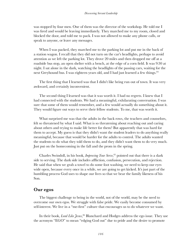was stopped by four men. One of them was the director of the workshop. He told me I was fired and would be leaving immediately. They marched me to my room, closed and blocked the door, and told me to pack. I was not allowed to make any phone calls, or speak to anyone, or leave any messages.

When I was packed, they marched me to the parking lot and put me in the back of a station wagon. I recall that they did not turn on the car's headlights, perhaps to avoid attention as we left the parking lot. They drove 20 miles and then dropped me off at a roadside bus stop, an open shelter with a bench, at the edge of a corn field. It was 9:30 at night. I sat alone in the dark, watching the headlights of the passing cars, waiting for the next Greyhound bus. I was eighteen years old, and I had just learned a few things.<sup>84</sup>

The first thing that I learned was that I didn't like being run out of town. It was very awkward, and certainly inconvenient.

The second thing I learned was that it was worth it. I had no regrets. I knew that I had connected with the students. We had a meaningful, exhilarating conversation. I was sure that some of them would remember, and a few would actually do something about it. They would figure out ways to serve their fellow students. To me, that was worth it.

What surprised me was that the adults in the back rows, the teachers and counselors, felt so threatened by what I said. What is so threatening about reaching out and caring about others and trying to make life better for them? But apparently that was hard for them to accept. My guess is that they didn't want the student leaders to do anything really meaningful, because that would be harder for the adults to control. The adults wanted the students to do what they told them to do, and they didn't want them to do very much. Just put on the homecoming in the fall and the prom in the spring.

Charles Swindoll, in his book, *Improving Your Serve*, 85 pointed out that there is a dark side to serving. The dark side includes affliction, confusion, persecution, and rejection. He said that when we grab a towel to do some foot washing, we need to keep our eyes wide open, because every once in a while, we are going to get kicked. It's just part of the humbling process God uses to shape our lives so that we bear the family likeness of his Son.

## **Our egos**

The biggest challenge to being in the world, not of the world, may be the need to overcome our own egos. We struggle with false pride. We easily become consumed by self-interest. We live in a "me-first" culture that encourages us to do whatever we want.

In their book, *Lead Like Jesus*, 86 Blanchard and Hodges address the ego issue. They use the acronym "EGO" to mean "edging God out" due to pride and the desire to promote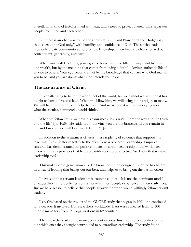oneself. This kind of EGO is filled with fear, and a need to protect oneself. This separates people from God and each other.

But there is another way to use the acronym EGO, and Blanchard and Hodges say that is "exalting God only," with humility and confidence in God. Those who exalt God only create communities and promote fellowship. Their lives are characterized by contentment, generosity, and trust.

When you exalt God only, your ego needs are met in a different way—not by power and wealth, but by the meaning that comes from living a faithful, loving, authentic life of service to others. Your ego needs are met by the knowledge that you are who God intends you to be, and you are doing what God intends you to do.

## **The assurance of Christ**

It is challenging to be in the world, not of the world, but we cannot waiver. Christ has taught us how to live and lead. When we follow him, we will bring hope and joy to many. We will help those who need help the most. And we will do it without worrying about what the secular, commercial world thinks.

When we follow Jesus, we have his assurances. Jesus said: "I am the way and the truth and the life" (Jn. 14:6). He said: "I am the vine; you are the branches. If you remain in me and I in you, you will bear much fruit…" (Jn. 15:5).

In addition to the assurances of Jesus, there is plenty of evidence that supports his teaching. Real-life stories testify to the effectiveness of servant leadership. Empirical research has demonstrated the positive impact of servant leadership in the workplace. There are many practices that help servant-leaders to be effective. We know that servant leadership *works*.

This makes sense. Jesus knows us. He knows how God designed us. So he has taught us a way of leading that brings out our best, and helps us to bring out the best in others.

I have said that servant leadership is counter-cultural. It is not the dominant model of leadership in most cultures, so it is not what most people experience in their daily lives. But we have reason to believe that people all over the world would willingly follow servant leaders.

I say this based on the results of the GLOBE study that began in 1991 and continued for a decade. It involved 170 researchers worldwide. Data were collected from 17,300 middle managers from 951 organizations in 62 countries.

The researchers asked the managers about various dimensions of leadership to find out which ones they thought contributed to outstanding leadership. The study found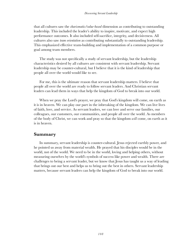that all cultures saw the *charismatic/value-based* dimension as contributing to outstanding leadership. This included the leader's ability to inspire, motivate, and expect high performance outcomes. It also included self-sacrifice, integrity, and decisiveness. All cultures also saw *team orientation* as contributing substantially to outstanding leadership. This emphasized effective team-building and implementation of a common purpose or goal among team members.

The study was not specifically a study of servant leadership, but the leadership characteristics desired by all cultures are consistent with servant leadership. Servant leadership may be counter-cultural, but I believe that it is the kind of leadership that people all over the world would like to see.

For me, this is the ultimate reason that servant leadership matters. I believe that people all over the world are ready to follow servant leaders. And Christian servant leaders can lead them in ways that help the kingdom of God to break into our world.

When we pray the Lord's prayer, we pray that God's kingdom will come, on earth as it is in heaven. We can play our part in the inbreaking of the kingdom. We can live lives of faith, love, and service. As servant leaders, we can love and serve our families, our colleagues, our customers, our communities, and people all over the world. As members of the body of Christ, we can work and pray so that the kingdom *will* come, on earth as it is in heaven.

## **Summary**

In summary, servant leadership is counter-cultural. Jesus rejected earthly power, and he pointed us away from material wealth. He prayed that his disciples would be in the world, not of the world. We need to be in the world, loving and helping others, without measuring ourselves by the world's symbols of success like power and wealth. There are challenges to being a servant leader, but we know that Jesus has taught us a way of leading that brings out our best and helps us to bring out the best in others. Servant leadership matters, because servant leaders can help the kingdom of God to break into our world.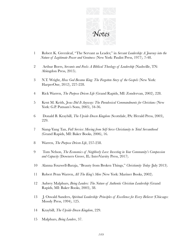

- 1 Robert K. Greenleaf, "The Servant as Leader," in *Servant Leadership: A Journey into the Nature of Legitimate Power and Greatness* (New York: Paulist Press, 1977), 7-48.
- 2 Arthur Boers, *Servants and Fools: A Biblical Theology of Leadership* (Nashville, TN: Abingdon Press, 2015).
- 3 N.T. Wright, *How God Became King: The Forgotten Story of the Gospels* (New York: HarperOne, 2012), 227-228.
- 4 Rick Warren, *The Purpose Driven Life* (Grand Rapids, MI: Zondervan, 2002), 228.
- 5 Kent M. Keith, *Jesus Did It Anyway: The Paradoxical Commandments for Christians* (New York: G.P. Putnam's Sons, 2005), 34-36.
- 6 Donald B. Kraybill, *The Upside-Down Kingdom* (Scottdale, PA: Herald Press, 2003), 229.
- 7 Siang-Yang Tan, *Full Service: Moving from Self-Serve Christianity to Total Servanthood*  (Grand Rapids, MI: Baker Books, 2006), 16.
- 8 Warren, *The Purpose Driven Life*, 257-258.
- 9 Tom Nelson, *The Economics of Neighborly Love: Investing in Your Community's Compassion and Capacity* (Downers Grove, IL: InterVarsity Press, 2017).
- 10 Alanna Foxzwell-Baraja, "Beauty from Broken Things," *Christianity Today* (July 2013).
- 11 Robert Penn Warren, *All The King's Men* (New York: Mariner Books, 2002).
- 12 Aubrey Malphurs, *Being Leaders: The Nature of Authentic Christian Leadership* (Grand Rapids, MI: Baker Books, 2003), 38.
- 13 J. Oswald Sanders, *Spiritual Leadership: Principles of Excellence for Every Believer* (Chicago: Moody Press, 1994), 125.
- 14 Kraybill, *The Upside-Down Kingdom*, 229.
- 15 Malphurs, *Being Leaders*, 37.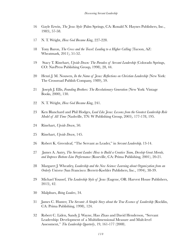- 16 Gayle Erwin, *The Jesus Style* (Palm Springs, CA: Ronald N. Haynes Publishers, Inc., 1983), 57-58.
- 17 N. T. Wright, *How God Became King*, 227-228.
- 18 Tony Baron, *The Cross and the Towel: Leading to a Higher Calling* (Tucson, AZ: Wheatmark, 2011), 51-52.
- 19 Stacy T. Rinehart, *Upside Down: The Paradox of Servant Leadership* (Colorado Springs, CO: NavPress Publishing Group, 1998), 28, 44.
- 20 Henri J. M. Nouwen, *In the Name of Jesus: Reflections on Christian Leadership* (New York: The Crossroad Publish Company, 1989), 59.
- 21 Joseph J. Ellis, *Founding Brothers: The Revolutionary Generation* (New York: Vintage Books, 2000), 130.
- 22 N. T. Wright, *How God Became King*, 241.
- 23 Ken Blanchard and Phil Hodges, *Lead Like Jesus: Lessons from the Greatest Leadership Role Model of All Time* (Nashville, TN: W Publishing Group, 2005), 177-178, 195.
- 24 Rinehart, *Upside Down*, 50.
- 25 Rinehart, *Upside Down*, 145.
- 26 Robert K. Greenleaf, "The Servant as Leader," in *Servant Leadership,* 13-14.
- 27 James A. Autry, *The Servant Leader: How to Build a Creative Team, Develop Great Morale, and Improve Bottom-Line Performance* (Roseville, CA: Prima Publishing, 2001), 20-21.
- 28 Margaret J. Wheatley, *Leadership and the New Science: Learning about Organization from an Orderly Universe* (San Francisco: Berrett-Koehler Publishers, Inc., 1994), 38-39.
- 29 Michael Youssef, *The Leadership Style of Jesus* (Eugene, OR: Harvest House Publishers, 2013), 42.
- 30 Malphurs, *Being Leaders*, 34.
- 31 James C. Hunter, *The Servant: A Simple Story about the True Essence of Leadership* (Rocklin, CA: Prima Publishing, 1998), 124.
- 32 Robert C. Liden, Sandy J. Wayne, Hao Zhao and David Henderson, "Servant Leadership: Development of a Multidimensional Measure and Mult-level Assessment," *The Leadership Quarterly*, 19, 161-177 (2008).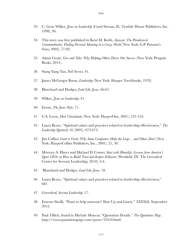- 33 C. Gene Wilkes, *Jesus on Leadership* (Carol Stream, IL: Tyndale House Publishers, Inc. 1998), 96.
- 34 This story was first published in Kent M. Keith, *Anyway: The Paradoxical Commandments: Finding Personal Meaning in a Crazy World* (New York: G.P. Putnam's Sons, 2002), 77-82.
- 35 Adam Grant, *Give and Take: Why Helping Others Drives Our Success* (New York: Penguin Books, 2014).
- 36 Siang Yang Tan, *Full Service*, 41.
- 37 James McGregor Burns, *Leadership* (New York: Harper Torchbooks, 1978).
- 38 Blanchard and Hodges, *Lead Like Jesus*, 66-67.
- 39 Wilkes, *Jesus on Leadership*, 41.
- 40 Erwin, *The Jesus Style*, 71.
- 41 C.S. Lewis, *Mere Christianity* (New York: HarperOne, 2001), 121-124.
- 42 Laura Reave, "Spiritual values and practices related to leadership effectiveness," *The Leadership Quarterly* 16 (2005), 672-673.
- 43 Jim Collins, *Good to Great: Why Some Companies Make the Leap… and Others Don't* (New York: HarperCollins Publishers, Inc., 2001), 21, 30.
- 44 Merwyn A. Hayes and Michael D. Comer, *Start with Humility: Lessons from America's Quiet CEOs on How to Build Trust and Inspire Followers* (Westfield, IN: The Greenleaf Center for Servant Leadership, 2010), 3-4.
- 45 Blanchard and Hodges, *Lead Like Jesus*, 18.
- 46 Laura Reave, "Spiritual values and practices related to leadership effectiveness," 681.
- 47 Greenleaf, *Servant Leadership*, 17.
- 48 Ernesto Sirolli, "Want to help someone? Shut Up and Listen." *TEDTalk*, September 2012.
- 49 Paul Tillich, found in Michale Moncur, "Quotation Details." *The Quotations Page*. http://www.quotationspage.com/quote/33410.html.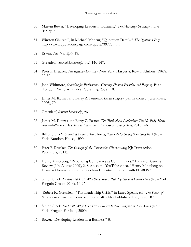- 50 Marvin Bower, "Developing Leaders in Business," *The McKinsey Quarterly*, no. 4 (1997): 9.
- 51 Winston Churchill, in Michael Moncur, "Quotation Details." *The Quotation Page*. http://www.quotationspage.com/quote/39728.html.
- 52 Erwin, *The Jesus Style*, 19.
- 53 Greenleaf, *Servant Leadership*, 142, 146-147.
- 54 Peter F. Drucker, *The Effective Executive* (New York: Harper & Row, Publishers, 1967), 59-60.
- 55 John Whitmore, *Coaching for Performance: Growing Human Potential and Purpose,* 4th ed. (London: Nicholas Brealey Publishing, 2009), 10.
- 56 James M. Kouzes and Barry Z. Posner, *A Leader's Legacy* (San Francisco: Jossey-Bass, 2006), 79.
- 57 Greenleaf, *Servant Leadership*, 26.
- 58 James M. Kouzes and Barry Z. Posner, *The Truth about Leadership: The No-Fads, Heartof-the-Matter Facts You Need to Know* (San Francisco: Jossey-Bass, 2010), 46.
- 59 Bill Shore, *The Cathedral Within: Transforming Your Life by Giving Something Back* (New York: Random House, 1999).
- 60 Peter F. Drucker, *The Concept of the Corporation* (Piscataway, NJ: Transaction Publishers, 2011).
- 61 Henry Mintzberg, "Rebuilding Companies as Communities," Harvard Business Review (July-August 2009), 2. See also the YouTube video, "Henry Mintzberg on Firms as Communities for a Brazilian Executive Program with FIERGS."
- 62 Simon Sinek, *Leaders Eat Last: Why Some Teams Pull Together and Others Don't* (New York: Penguin Group, 2014), 19-25.
- 63 Robert K. Greenleaf, "The Leadership Crisis," in Larry Spears, ed., *The Power of Servant Leadership* (San Francisco: Berrett-Koehler Publishers, Inc., 1998), 87.
- 64 Simon Sinek, *Start with Why: How Great Leaders Inspire Everyone to Take Action* (New York: Penguin Portfolio, 2009).
- 65 Bower, "Developing Leaders in a Business," 6.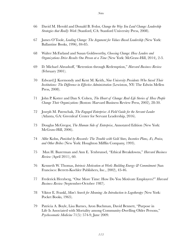- 66 David M. Herold and Donald B. Fedor, *Change the Way You Lead Change: Leadership Strategies that Really Work* (Stanford, CA: Stanford University Press, 2008).
- 67 James O'Toole, *Leading Change: The Argument for Values-Based Leadership (*New York: Ballantine Books, 1996), 84-85.
- 68 Walter McFarland and Susan Goldsworthy, *Choosing Change: How Leaders and Organizations Drive Results One Person at a Time* (New York: McGraw-Hill, 2014), 2-3.
- 69 D. Michael Abrashoff, "Retention through Redemption," *Harvard Business Review* (February 2001).
- 70 Edward J. Kormondy and Kent M. Keith, *Nine University Presidents Who Saved Their Institutions: The Difference in Effective Administration* (Lewiston, NY: The Edwin Mellen Press, 2008).
- 71 John P. Kotter and Dan S. Cohen, *The Heart of Change: Real-Life Stories of How People Change Their Organizations* (Boston: Harvard Business Review Press, 2002), 28-30.
- 72 Joseph M. Patrnchak, *The Engaged Enterprise: A Field Guide for the Servant-Leader* (Atlanta, GA: Greenleaf Center for Servant Leadership, 2016).
- 73 Douglas McGregor, *The Human Side of Enterprise*, Annotated Edition (New York: McGraw-Hill, 2006).
- 74 Alfie Kohn, *Punished by Rewards: The Trouble with Gold Stars, Incentive Plans, A's, Praise, and Other Bribes* (New York: Houghton Mifflin Company, 1993).
- 75 Max H. Bazerman and Ann E. Tenbrunsel, "Ethical Breakdowns," *Harvard Business Review* (April 2011), 60.
- 76 Kenneth W. Thomas, *Intrinsic Motivation at Work: Building Energy & Commitment* (San Francisco: Berrett-Koehler Publishers, Inc., 2002), 43-46.
- 77 Frederick Herzberg, "One More Time: How Do You Motivate Employees?" *Harvard Business Review* (September-October 1987).
- 78 Viktor E. Frankl, *Man's Search for Meaning: An Introduction to Logotherapy* (New York: Pocket Books, 1963).
- 79 Patricia A. Boyle, Lisa Barnes, Aron Buchman, David Bennett, "Purpose in Life Is Associated with Mortality among Community-Dwelling Older Persons," *Psychosomatic Medicine* 71(5): 574-9, June 2009.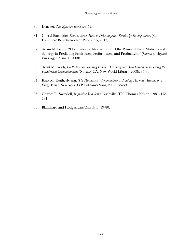- 80 Drucker, *The Effective Executive,* 52.
- 81 Cheryl Bachelder, *Dare to Serve: How to Drive Superior Results by Serving Others* (San Francisco: Berrett-Koehler Publishers, 2015).
- 82 Adam M. Grant, "Does Intrinsic Motivation Fuel the Prosocial Fire? Motivational Synergy in Predicting Persistence, Performance, and Productivity." *Journal of Applied Psychology* 93, no. 1 (2008).
- 83 Kent M. Keith, *Do It Anyway: Finding Personal Meaning and Deep Happiness by Living the Paradoxical Commandments* (Novato, CA: New World Library, 2008), 35-36.
- 84 Kent M. Keith, *Anyway: The Paradoxical Commandments: Finding Personal Meaning in a Crazy World* (New York: G.P. Putnam's Sons, 2002), 55-59.
- 85 Charles R. Swindoll, *Improving Your Serve* (Nashville, TN: Thomas Nelson, 1981),178- 181.
- 86 Blanchard and Hodges, *Lead Like Jesus*, 39-80.